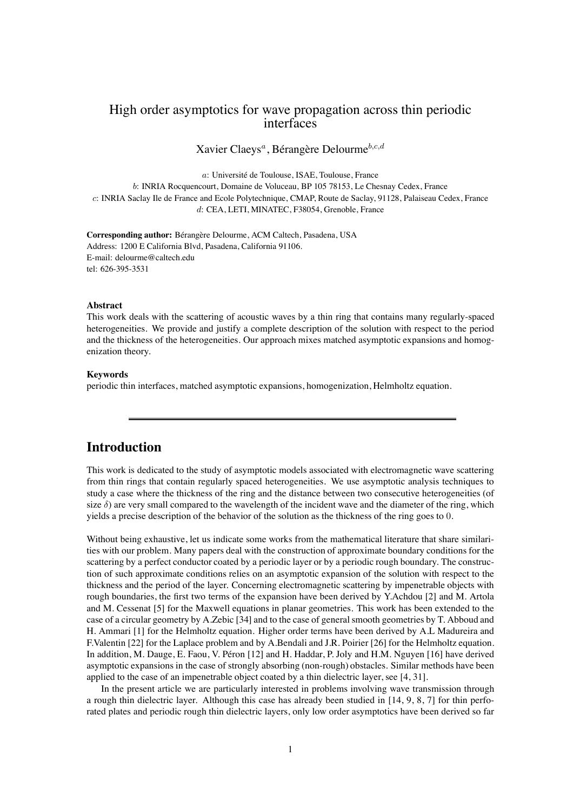# High order asymptotics for wave propagation across thin periodic interfaces

Xavier Claeys<sup>*a*</sup>, Bérangère Delourme<sup>b,c,d</sup>

a: Université de Toulouse, ISAE, Toulouse, France

b: INRIA Rocquencourt, Domaine de Voluceau, BP 105 78153, Le Chesnay Cedex, France c: INRIA Saclay Ile de France and Ecole Polytechnique, CMAP, Route de Saclay, 91128, Palaiseau Cedex, France d: CEA, LETI, MINATEC, F38054, Grenoble, France

**Corresponding author:** Bérangère Delourme, ACM Caltech, Pasadena, USA Address: 1200 E California Blvd, Pasadena, California 91106. E-mail: delourme@caltech.edu tel: 626-395-3531

#### **Abstract**

This work deals with the scattering of acoustic waves by a thin ring that contains many regularly-spaced heterogeneities. We provide and justify a complete description of the solution with respect to the period and the thickness of the heterogeneities. Our approach mixes matched asymptotic expansions and homogenization theory.

#### **Keywords**

periodic thin interfaces, matched asymptotic expansions, homogenization, Helmholtz equation.

# **Introduction**

This work is dedicated to the study of asymptotic models associated with electromagnetic wave scattering from thin rings that contain regularly spaced heterogeneities. We use asymptotic analysis techniques to study a case where the thickness of the ring and the distance between two consecutive heterogeneities (of size  $\delta$ ) are very small compared to the wavelength of the incident wave and the diameter of the ring, which yields a precise description of the behavior of the solution as the thickness of the ring goes to 0.

Without being exhaustive, let us indicate some works from the mathematical literature that share similarities with our problem. Many papers deal with the construction of approximate boundary conditions for the scattering by a perfect conductor coated by a periodic layer or by a periodic rough boundary. The construction of such approximate conditions relies on an asymptotic expansion of the solution with respect to the thickness and the period of the layer. Concerning electromagnetic scattering by impenetrable objects with rough boundaries, the first two terms of the expansion have been derived by Y.Achdou [\[2\]](#page-37-0) and M. Artola and M. Cessenat [\[5\]](#page-37-1) for the Maxwell equations in planar geometries. This work has been extended to the case of a circular geometry by A.Zebic [\[34\]](#page-38-0) and to the case of general smooth geometries by T. Abboud and H. Ammari [\[1\]](#page-37-2) for the Helmholtz equation. Higher order terms have been derived by A.L Madureira and F.Valentin [\[22\]](#page-38-1) for the Laplace problem and by A.Bendali and J.R. Poirier [\[26\]](#page-38-2) for the Helmholtz equation. In addition, M. Dauge, E. Faou, V. Péron [\[12\]](#page-37-3) and H. Haddar, P. Joly and H.M. Nguyen [\[16\]](#page-38-3) have derived asymptotic expansions in the case of strongly absorbing (non-rough) obstacles. Similar methods have been applied to the case of an impenetrable object coated by a thin dielectric layer, see [\[4,](#page-37-4) [31\]](#page-38-4).

In the present article we are particularly interested in problems involving wave transmission through a rough thin dielectric layer. Although this case has already been studied in [\[14,](#page-37-5) [9,](#page-37-6) [8,](#page-37-7) [7\]](#page-37-8) for thin perforated plates and periodic rough thin dielectric layers, only low order asymptotics have been derived so far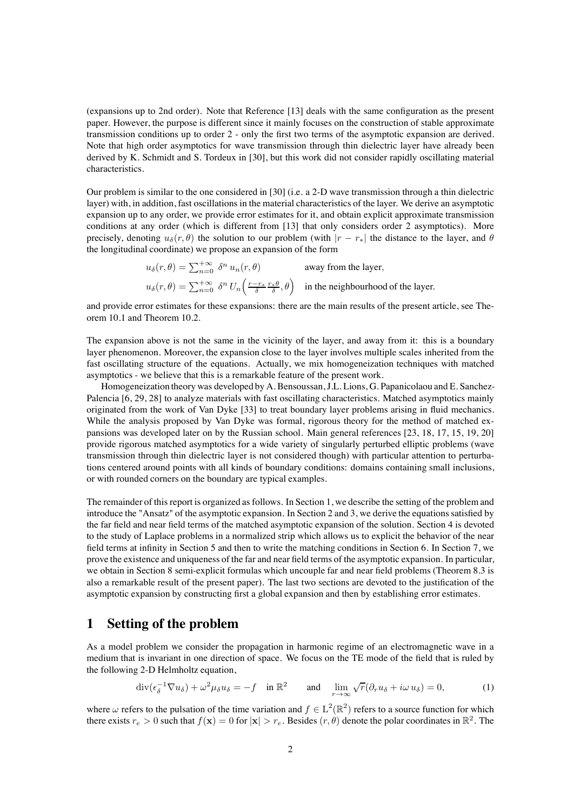(expansions up to 2nd order). Note that Reference [\[13\]](#page-37-9) deals with the same configuration as the present paper. However, the purpose is different since it mainly focuses on the construction of stable approximate transmission conditions up to order 2 - only the first two terms of the asymptotic expansion are derived. Note that high order asymptotics for wave transmission through thin dielectric layer have already been derived by K. Schmidt and S. Tordeux in [\[30\]](#page-38-5), but this work did not consider rapidly oscillating material characteristics.

Our problem is similar to the one considered in [\[30\]](#page-38-5) (i.e. a 2-D wave transmission through a thin dielectric layer) with, in addition, fast oscillations in the material characteristics of the layer. We derive an asymptotic expansion up to any order, we provide error estimates for it, and obtain explicit approximate transmission conditions at any order (which is different from [\[13\]](#page-37-9) that only considers order 2 asymptotics). More precisely, denoting  $u_{\delta}(r, \theta)$  the solution to our problem (with  $|r - r_*|$  the distance to the layer, and  $\theta$ the longitudinal coordinate) we propose an expansion of the form

$$
u_{\delta}(r,\theta) = \sum_{n=0}^{+\infty} \delta^n u_n(r,\theta)
$$
 away from the layer,  

$$
u_{\delta}(r,\theta) = \sum_{n=0}^{+\infty} \delta^n U_n\left(\frac{r-r_*}{\delta} \frac{r_*\theta}{\delta},\theta\right)
$$
 in the neighbourhood of the layer.

and provide error estimates for these expansions: there are the main results of the present article, see Theorem [10.1](#page-26-0) and Theorem [10.2.](#page-26-1)

The expansion above is not the same in the vicinity of the layer, and away from it: this is a boundary layer phenomenon. Moreover, the expansion close to the layer involves multiple scales inherited from the fast oscillating structure of the equations. Actually, we mix homogeneization techniques with matched asymptotics - we believe that this is a remarkable feature of the present work.

Homogeneization theory was developed by A. Bensoussan, J.L. Lions, G. Papanicolaou and E. Sanchez-Palencia [\[6,](#page-37-10) [29,](#page-38-6) [28\]](#page-38-7) to analyze materials with fast oscillating characteristics. Matched asymptotics mainly originated from the work of Van Dyke [\[33\]](#page-38-8) to treat boundary layer problems arising in fluid mechanics. While the analysis proposed by Van Dyke was formal, rigorous theory for the method of matched expansions was developed later on by the Russian school. Main general references [\[23,](#page-38-9) [18,](#page-38-10) [17,](#page-38-11) [15,](#page-37-11) [19,](#page-38-12) [20\]](#page-38-13) provide rigorous matched asymptotics for a wide variety of singularly perturbed elliptic problems (wave transmission through thin dielectric layer is not considered though) with particular attention to perturbations centered around points with all kinds of boundary conditions: domains containing small inclusions, or with rounded corners on the boundary are typical examples.

The remainder of this report is organized as follows. In Section 1, we describe the setting of the problem and introduce the "Ansatz" of the asymptotic expansion. In Section 2 and 3, we derive the equations satisfied by the far field and near field terms of the matched asymptotic expansion of the solution. Section 4 is devoted to the study of Laplace problems in a normalized strip which allows us to explicit the behavior of the near field terms at infinity in Section 5 and then to write the matching conditions in Section 6. In Section 7, we prove the existence and uniqueness of the far and near field terms of the asymptotic expansion. In particular, we obtain in Section 8 semi-explicit formulas which uncouple far and near field problems (Theorem [8.3](#page-23-0) is also a remarkable result of the present paper). The last two sections are devoted to the justification of the asymptotic expansion by constructing first a global expansion and then by establishing error estimates.

### <span id="page-1-1"></span>**1 Setting of the problem**

As a model problem we consider the propagation in harmonic regime of an electromagnetic wave in a medium that is invariant in one direction of space. We focus on the TE mode of the field that is ruled by the following 2-D Helmholtz equation,

<span id="page-1-0"></span>
$$
\operatorname{div}(\epsilon_{\delta}^{-1} \nabla u_{\delta}) + \omega^2 \mu_{\delta} u_{\delta} = -f \quad \text{in } \mathbb{R}^2 \qquad \text{and} \quad \lim_{r \to \infty} \sqrt{r} (\partial_r u_{\delta} + i \omega u_{\delta}) = 0, \tag{1}
$$

where  $\omega$  refers to the pulsation of the time variation and  $f \in L^2(\mathbb{R}^2)$  refers to a source function for which there exists  $r_e > 0$  such that  $f(\mathbf{x}) = 0$  for  $|\mathbf{x}| > r_e$ . Besides  $(r, \theta)$  denote the polar coordinates in  $\mathbb{R}^2$ . The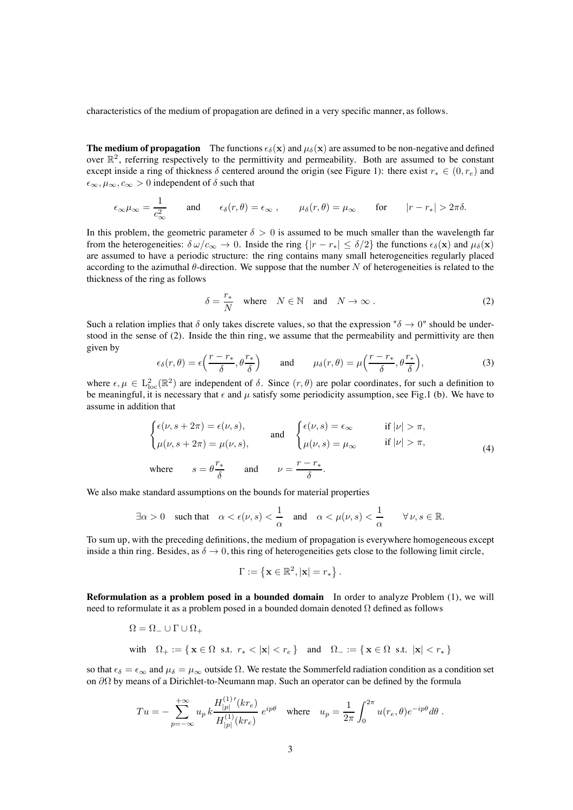characteristics of the medium of propagation are defined in a very specific manner, as follows.

**The medium of propagation** The functions  $\epsilon_{\delta}(\mathbf{x})$  and  $\mu_{\delta}(\mathbf{x})$  are assumed to be non-negative and defined over  $\mathbb{R}^2$ , referring respectively to the permittivity and permeability. Both are assumed to be constant except inside a ring of thickness  $\delta$  centered around the origin (see Figure [1\)](#page-40-0): there exist  $r_* \in (0, r_e)$  and  $\epsilon_{\infty}, \mu_{\infty}, c_{\infty} > 0$  independent of  $\delta$  such that

$$
\epsilon_{\infty}\mu_{\infty} = \frac{1}{c_{\infty}^2} \quad \text{and} \quad \epsilon_{\delta}(r,\theta) = \epsilon_{\infty} , \quad \mu_{\delta}(r,\theta) = \mu_{\infty} \quad \text{for} \quad |r - r_*| > 2\pi\delta.
$$

In this problem, the geometric parameter  $\delta > 0$  is assumed to be much smaller than the wavelength far from the heterogeneities:  $\delta \omega/c_{\infty} \to 0$ . Inside the ring  $\{|r - r_{*}| \leq \delta/2\}$  the functions  $\epsilon_{\delta}(\mathbf{x})$  and  $\mu_{\delta}(\mathbf{x})$ are assumed to have a periodic structure: the ring contains many small heterogeneities regularly placed according to the azimuthal  $\theta$ -direction. We suppose that the number N of heterogeneities is related to the thickness of the ring as follows

<span id="page-2-0"></span>
$$
\delta = \frac{r_*}{N} \quad \text{where} \quad N \in \mathbb{N} \quad \text{and} \quad N \to \infty \,. \tag{2}
$$

Such a relation implies that  $\delta$  only takes discrete values, so that the expression " $\delta \to 0$ " should be understood in the sense of [\(2\)](#page-2-0). Inside the thin ring, we assume that the permeability and permittivity are then given by

$$
\epsilon_{\delta}(r,\theta) = \epsilon\left(\frac{r-r_*}{\delta},\theta\frac{r_*}{\delta}\right) \quad \text{and} \quad \mu_{\delta}(r,\theta) = \mu\left(\frac{r-r_*}{\delta},\theta\frac{r_*}{\delta}\right),\tag{3}
$$

where  $\epsilon, \mu \in L^2_{loc}(\mathbb{R}^2)$  are independent of  $\delta$ . Since  $(r, \theta)$  are polar coordinates, for such a definition to be meaningful, it is necessary that  $\epsilon$  and  $\mu$  satisfy some periodicity assumption, see Fig[.1](#page-40-0) (b). We have to assume in addition that

<span id="page-2-1"></span>
$$
\begin{cases}\n\epsilon(\nu, s + 2\pi) = \epsilon(\nu, s), & \text{and} \\
\mu(\nu, s + 2\pi) = \mu(\nu, s), & \text{and} \\
s = \theta \frac{r_*}{\delta} & \text{and} \\
\mu(\nu, s) = \mu_\infty & \text{if } |\nu| > \pi,\n\end{cases}
$$
\n(4)

We also make standard assumptions on the bounds for material properties

$$
\exists \alpha > 0 \quad \text{such that} \quad \alpha < \epsilon(\nu, s) < \frac{1}{\alpha} \quad \text{and} \quad \alpha < \mu(\nu, s) < \frac{1}{\alpha} \qquad \forall \, \nu, s \in \mathbb{R}.
$$

To sum up, with the preceding definitions, the medium of propagation is everywhere homogeneous except inside a thin ring. Besides, as  $\delta \to 0$ , this ring of heterogeneities gets close to the following limit circle,

$$
\Gamma := \left\{ \mathbf{x} \in \mathbb{R}^2, |\mathbf{x}| = r_* \right\}.
$$

**Reformulation as a problem posed in a bounded domain** In order to analyze Problem [\(1\)](#page-1-0), we will need to reformulate it as a problem posed in a bounded domain denoted Ω defined as follows

$$
\begin{aligned} &\Omega = \Omega_- \cup \Gamma \cup \Omega_+ \\ &\text{with}\quad \Omega_+ := \{ \, \mathbf{x} \in \Omega \; \text{ s.t. } \; r_* < |\mathbf{x}| < r_e \, \} \quad \text{and} \quad \Omega_- := \{ \, \mathbf{x} \in \Omega \; \text{ s.t. } \; |\mathbf{x}| < r_* \, \} \end{aligned}
$$

so that  $\epsilon_{\delta} = \epsilon_{\infty}$  and  $\mu_{\delta} = \mu_{\infty}$  outside  $\Omega$ . We restate the Sommerfeld radiation condition as a condition set on ∂Ω by means of a Dirichlet-to-Neumann map. Such an operator can be defined by the formula

$$
Tu = -\sum_{p=-\infty}^{+\infty} u_p k \frac{H_{|p|}^{(1)'}(kr_e)}{H_{|p|}^{(1)}(kr_e)} e^{ip\theta} \text{ where } u_p = \frac{1}{2\pi} \int_0^{2\pi} u(r_e, \theta) e^{-ip\theta} d\theta.
$$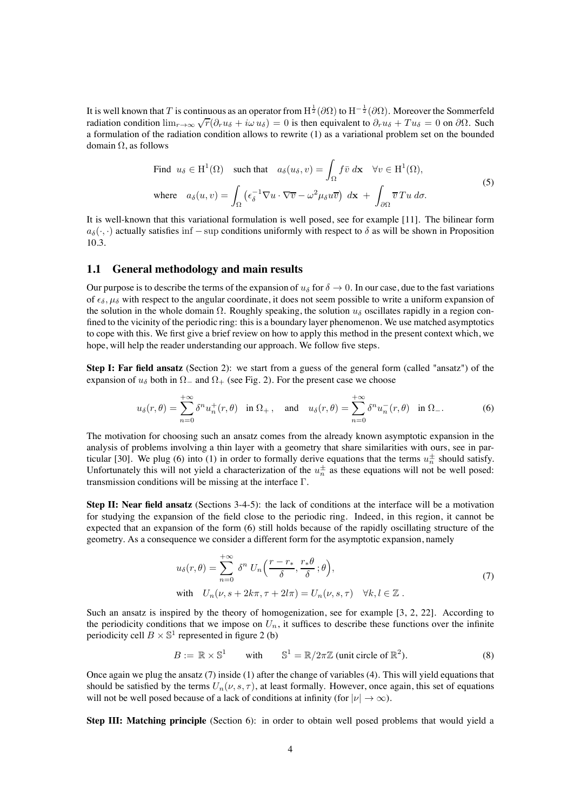It is well known that  $T$  is continuous as an operator from  $\rm H^{\frac 12}(\partial\Omega)$  to  $\rm H^{-\frac 12}(\partial\Omega).$  Moreover the Sommerfeld radiation condition  $\lim_{r\to\infty}\sqrt{r}(\partial_r u_\delta + i\omega u_\delta) = 0$  is then equivalent to  $\partial_r u_\delta + Tu_\delta = 0$  on  $\partial\Omega$ . Such a formulation of the radiation condition allows to rewrite [\(1\)](#page-1-0) as a variational problem set on the bounded domain Ω, as follows

<span id="page-3-2"></span>Find 
$$
u_{\delta} \in H^{1}(\Omega)
$$
 such that  $a_{\delta}(u_{\delta}, v) = \int_{\Omega} f \bar{v} d\mathbf{x} \quad \forall v \in H^{1}(\Omega),$   
\nwhere  $a_{\delta}(u, v) = \int_{\Omega} \left( \epsilon_{\delta}^{-1} \nabla u \cdot \nabla \bar{v} - \omega^{2} \mu_{\delta} u \bar{v} \right) d\mathbf{x} + \int_{\partial \Omega} \bar{v} T u d\sigma.$  (5)

It is well-known that this variational formulation is well posed, see for example [\[11\]](#page-37-12). The bilinear form  $a_{\delta}(\cdot, \cdot)$  actually satisfies inf – sup conditions uniformly with respect to  $\delta$  as will be shown in Proposition [10.3.](#page-27-0)

#### **1.1 General methodology and main results**

Our purpose is to describe the terms of the expansion of  $u_{\delta}$  for  $\delta \to 0$ . In our case, due to the fast variations of  $\epsilon_{\delta}$ ,  $\mu_{\delta}$  with respect to the angular coordinate, it does not seem possible to write a uniform expansion of the solution in the whole domain  $\Omega$ . Roughly speaking, the solution  $u_{\delta}$  oscillates rapidly in a region confined to the vicinity of the periodic ring: this is a boundary layer phenomenon. We use matched asymptotics to cope with this. We first give a brief review on how to apply this method in the present context which, we hope, will help the reader understanding our approach. We follow five steps.

**Step I: Far field ansatz** (Section 2): we start from a guess of the general form (called "ansatz") of the expansion of  $u_{\delta}$  both in  $\Omega_{-}$  and  $\Omega_{+}$  (see Fig. [2\)](#page-41-0). For the present case we choose

<span id="page-3-0"></span>
$$
u_{\delta}(r,\theta) = \sum_{n=0}^{+\infty} \delta^n u_n^+(r,\theta) \quad \text{in } \Omega_+, \quad \text{and} \quad u_{\delta}(r,\theta) = \sum_{n=0}^{+\infty} \delta^n u_n^-(r,\theta) \quad \text{in } \Omega_-. \tag{6}
$$

The motivation for choosing such an ansatz comes from the already known asymptotic expansion in the analysis of problems involving a thin layer with a geometry that share similarities with ours, see in par-ticular [\[30\]](#page-38-5). We plug [\(6\)](#page-3-0) into [\(1\)](#page-1-0) in order to formally derive equations that the terms  $u_n^{\pm}$  should satisfy. Unfortunately this will not yield a characterization of the  $u_n^{\pm}$  as these equations will not be well posed: transmission conditions will be missing at the interface Γ.

**Step II: Near field ansatz** (Sections 3-4-5): the lack of conditions at the interface will be a motivation for studying the expansion of the field close to the periodic ring. Indeed, in this region, it cannot be expected that an expansion of the form [\(6\)](#page-3-0) still holds because of the rapidly oscillating structure of the geometry. As a consequence we consider a different form for the asymptotic expansion, namely

<span id="page-3-1"></span>
$$
u_{\delta}(r,\theta) = \sum_{n=0}^{+\infty} \delta^n U_n\left(\frac{r-r_*}{\delta}, \frac{r_*\theta}{\delta}; \theta\right),
$$
  
with  $U_n(\nu, s + 2k\pi, \tau + 2l\pi) = U_n(\nu, s, \tau) \quad \forall k, l \in \mathbb{Z}$ . (7)

Such an ansatz is inspired by the theory of homogenization, see for example [\[3,](#page-37-13) [2,](#page-37-0) [22\]](#page-38-1). According to the periodicity conditions that we impose on  $U_n$ , it suffices to describe these functions over the infinite periodicity cell  $B \times \mathbb{S}^1$  represented in figure [2](#page-41-0) (b)

$$
B := \mathbb{R} \times \mathbb{S}^1 \qquad \text{with} \qquad \mathbb{S}^1 = \mathbb{R}/2\pi\mathbb{Z} \text{ (unit circle of } \mathbb{R}^2\text{).}
$$
 (8)

Once again we plug the ansatz [\(7\)](#page-3-1) inside [\(1\)](#page-1-0) after the change of variables [\(4\)](#page-2-1). This will yield equations that should be satisfied by the terms  $U_n(\nu, s, \tau)$ , at least formally. However, once again, this set of equations will not be well posed because of a lack of conditions at infinity (for  $|\nu| \to \infty$ ).

**Step III: Matching principle** (Section 6): in order to obtain well posed problems that would yield a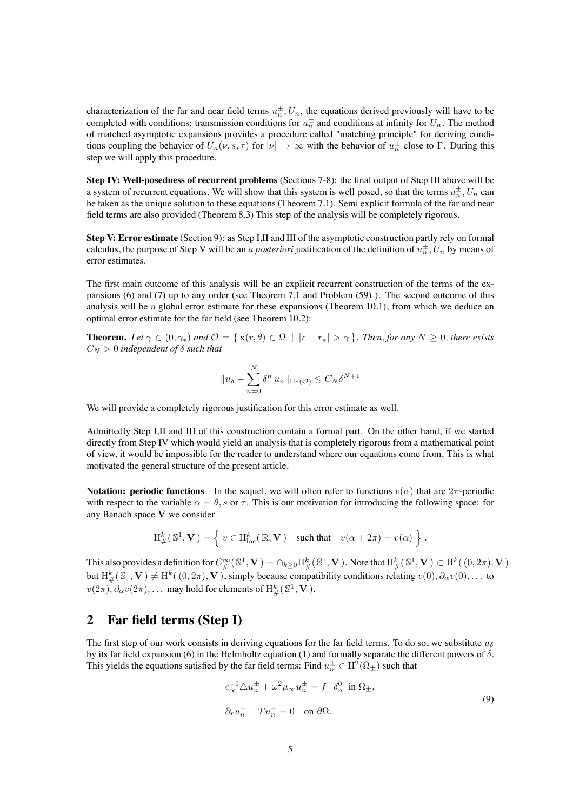characterization of the far and near field terms  $u_n^{\pm}$ ,  $U_n$ , the equations derived previously will have to be completed with conditions: transmission conditions for  $u_n^{\pm}$  and conditions at infinity for  $U_n$ . The method of matched asymptotic expansions provides a procedure called "matching principle" for deriving conditions coupling the behavior of  $U_n(\nu, s, \tau)$  for  $|\nu| \to \infty$  with the behavior of  $u_n^{\pm}$  close to  $\Gamma$ . During this step we will apply this procedure.

**Step IV: Well-posedness of recurrent problems** (Sections 7-8): the final output of Step III above will be a system of recurrent equations. We will show that this system is well posed, so that the terms  $u_n^{\pm}$ ,  $U_n$  can be taken as the unique solution to these equations (Theorem [7.1\)](#page-19-0). Semi explicit formula of the far and near field terms are also provided (Theorem [8.3\)](#page-23-0) This step of the analysis will be completely rigorous.

**Step V: Error estimate** (Section 9): as Step I,II and III of the asymptotic construction partly rely on formal calculus, the purpose of Step V will be an *a posteriori* justification of the definition of  $u_n^{\pm}$ ,  $U_n$  by means of error estimates.

The first main outcome of this analysis will be an explicit recurrent construction of the terms of the expansions [\(6\)](#page-3-0) and [\(7\)](#page-3-1) up to any order (see Theorem [7.1](#page-19-0) and Problem [\(59\)](#page-20-0) ). The second outcome of this analysis will be a global error estimate for these expansions (Theorem [10.1\)](#page-26-0), from which we deduce an optimal error estimate for the far field (see Theorem [10.2\)](#page-26-1):

**Theorem.** Let  $\gamma \in (0, \gamma_*)$  and  $\mathcal{O} = {\mathbf{x}(r, \theta) \in \Omega \mid |r - r_*| > \gamma}$ . Then, for any  $N \ge 0$ , there exists  $C_N > 0$  *independent of*  $\delta$  *such that* 

$$
||u_{\delta} - \sum_{n=0}^{N} \delta^{n} u_{n}||_{\mathcal{H}^{1}(\mathcal{O})} \leq C_{N} \delta^{N+1}
$$

We will provide a completely rigorous justification for this error estimate as well.

Admittedly Step I,II and III of this construction contain a formal part. On the other hand, if we started directly from Step IV which would yield an analysis that is completely rigorous from a mathematical point of view, it would be impossible for the reader to understand where our equations come from. This is what motivated the general structure of the present article.

**Notation: periodic functions** In the sequel, we will often refer to functions  $v(\alpha)$  that are  $2\pi$ -periodic with respect to the variable  $\alpha = \theta$ , s or  $\tau$ . This is our motivation for introducing the following space: for any Banach space V we consider

$$
{\rm H}^k_\#(\,\mathbb{S}^1,\mathbf{V}\,) = \left\{ \; v \in {\rm H}^k_{\rm loc}(\,\mathbb{R},\mathbf{V}\,) \quad \text{such that} \quad v(\alpha+2\pi) = v(\alpha) \; \right\} \,.
$$

This also provides a definition for  $C^{\infty}_{\#}(\mathbb{S}^1,\mathbf{V})=\cap_{k\geq 0}\mathrm{H}^k_{\#}(\mathbb{S}^1,\mathbf{V})$  . Note that  $\mathrm{H}^k_{\#}(\mathbb{S}^1,\mathbf{V})\subset \mathrm{H}^k((0,2\pi),\mathbf{V})$ but  $H^k_\#(\mathbb{S}^1,\mathbf{V})\neq H^k((0,2\pi),\mathbf{V})$ , simply because compatibility conditions relating  $v(0),\partial_\alpha v(0),\dots$  to  $v(2\pi), \partial_\alpha v(2\pi), \ldots$  may hold for elements of  $\mathrm{H}^k_\#(\mathbb{S}^1,\mathbf{V})$ .

# <span id="page-4-1"></span>**2 Far field terms (Step I)**

The first step of our work consists in deriving equations for the far field terms. To do so, we substitute  $u_{\delta}$ by its far field expansion [\(6\)](#page-3-0) in the Helmholtz equation [\(1\)](#page-1-0) and formally separate the different powers of  $\delta$ . This yields the equations satisfied by the far field terms: Find  $u_n^{\pm} \in \mathrm{H}^2(\Omega_{\pm})$  such that

<span id="page-4-0"></span>
$$
\epsilon_{\infty}^{-1} \triangle u_n^{\pm} + \omega^2 \mu_{\infty} u_n^{\pm} = f \cdot \delta_n^0 \text{ in } \Omega_{\pm},
$$
  
\n
$$
\partial_r u_n^+ + T u_n^+ = 0 \text{ on } \partial \Omega.
$$
 (9)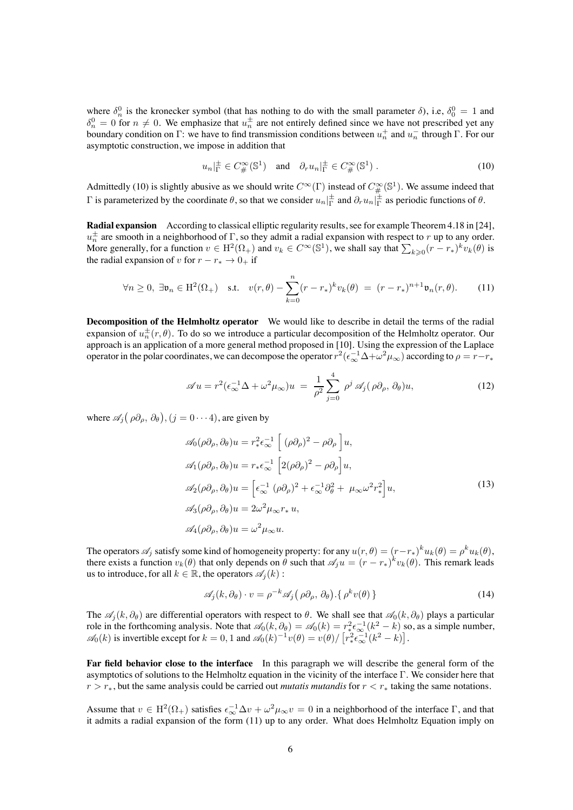where  $\delta_n^0$  is the kronecker symbol (that has nothing to do with the small parameter  $\delta$ ), i.e,  $\delta_0^0 = 1$  and  $\delta_n^0 = 0$  for  $n \neq 0$ . We emphasize that  $u_n^{\pm}$  are not entirely defined since we have not prescribed yet any boundary condition on  $\Gamma$ : we have to find transmission conditions between  $u_n^+$  and  $u_n^-$  through  $\Gamma$ . For our asymptotic construction, we impose in addition that

<span id="page-5-1"></span><span id="page-5-0"></span>
$$
u_n|_{\Gamma}^{\pm} \in C^{\infty}_{\#}(\mathbb{S}^1)
$$
 and  $\partial_r u_n|_{\Gamma}^{\pm} \in C^{\infty}_{\#}(\mathbb{S}^1)$ . (10)

Admittedly [\(10\)](#page-5-0) is slightly abusive as we should write  $C^{\infty}(\Gamma)$  instead of  $C^{\infty}_{\#}(\mathbb{S}^1)$ . We assume indeed that  $\Gamma$  is parameterized by the coordinate  $\theta$ , so that we consider  $u_n|_{\Gamma}^{\pm}$  and  $\partial_r u_n|_{\Gamma}^{\pm}$  as periodic functions of  $\theta$ .

**Radial expansion** According to classical elliptic regularity results, see for example Theorem 4.18 in [\[24\]](#page-38-14),  $u_n^{\pm}$  are smooth in a neighborhood of  $\Gamma$ , so they admit a radial expansion with respect to r up to any order. More generally, for a function  $v \in H^2(\Omega_+)$  and  $v_k \in C^\infty(\mathbb{S}^1)$ , we shall say that  $\sum_{k \geq 0} (r - r_*)^k v_k(\theta)$  is the radial expansion of v for  $r - r_* \to 0_+$  if

$$
\forall n \geq 0, \ \exists \mathfrak{v}_n \in \mathrm{H}^2(\Omega_+) \quad \text{s.t.} \quad v(r,\theta) - \sum_{k=0}^n (r - r_*)^k v_k(\theta) \ = \ (r - r_*)^{n+1} \mathfrak{v}_n(r,\theta). \tag{11}
$$

**Decomposition of the Helmholtz operator** We would like to describe in detail the terms of the radial expansion of  $u_n^{\pm}(r, \theta)$ . To do so we introduce a particular decomposition of the Helmholtz operator. Our approach is an application of a more general method proposed in [\[10\]](#page-37-14). Using the expression of the Laplace operator in the polar coordinates, we can decompose the operator  $r^2(\epsilon_\infty^{-1}\Delta+\omega^2\mu_\infty)$  according to  $\rho=r-r_*$ 

<span id="page-5-2"></span>
$$
\mathscr{A}u = r^2(\epsilon_{\infty}^{-1}\Delta + \omega^2\mu_{\infty})u = \frac{1}{\rho^2}\sum_{j=0}^4 \rho^j \mathscr{A}_j(\rho\partial_\rho, \partial_\theta)u,
$$
 (12)

where  $\mathscr{A}_j(\rho\partial_\rho, \partial_\theta), (j = 0 \cdots 4)$ , are given by

<span id="page-5-3"></span>
$$
\mathscr{A}_{0}(\rho\partial_{\rho},\partial_{\theta})u = r_{*}^{2}\epsilon_{\infty}^{-1}\left[(\rho\partial_{\rho})^{2} - \rho\partial_{\rho}\right]u,
$$
  
\n
$$
\mathscr{A}_{1}(\rho\partial_{\rho},\partial_{\theta})u = r_{*}\epsilon_{\infty}^{-1}\left[2(\rho\partial_{\rho})^{2} - \rho\partial_{\rho}\right]u,
$$
  
\n
$$
\mathscr{A}_{2}(\rho\partial_{\rho},\partial_{\theta})u = \left[\epsilon_{\infty}^{-1}(\rho\partial_{\rho})^{2} + \epsilon_{\infty}^{-1}\partial_{\theta}^{2} + \mu_{\infty}\omega^{2}r_{*}^{2}\right]u,
$$
  
\n
$$
\mathscr{A}_{3}(\rho\partial_{\rho},\partial_{\theta})u = 2\omega^{2}\mu_{\infty}r_{*}u,
$$
  
\n
$$
\mathscr{A}_{4}(\rho\partial_{\rho},\partial_{\theta})u = \omega^{2}\mu_{\infty}u.
$$
\n(13)

The operators  $\mathscr{A}_j$  satisfy some kind of homogeneity property: for any  $u(r, \theta) = (r-r_*)^k u_k(\theta) = \rho^k u_k(\theta)$ , there exists a function  $v_k(\theta)$  that only depends on  $\theta$  such that  $\mathscr{A}_j u = (r - r_*)^k v_k(\theta)$ . This remark leads us to introduce, for all  $k \in \mathbb{R}$ , the operators  $\mathscr{A}_i(k)$ :

<span id="page-5-4"></span>
$$
\mathscr{A}_j(k, \partial_\theta) \cdot v = \rho^{-k} \mathscr{A}_j\big(\rho \partial_\rho, \partial_\theta\big) \cdot \{ \rho^k v(\theta) \}
$$
 (14)

The  $\mathscr{A}_i(k, \partial_\theta)$  are differential operators with respect to  $\theta$ . We shall see that  $\mathscr{A}_0(k, \partial_\theta)$  plays a particular role in the forthcoming analysis. Note that  $\mathscr{A}_0(k, \partial_\theta) = \mathscr{A}_0(k) = r_*^2 \epsilon_\infty^{-1}(k^2 - k)$  so, as a simple number,  $\mathscr{A}_0(k)$  is invertible except for  $k = 0, 1$  and  $\mathscr{A}_0(k)^{-1}v(\theta) = v(\theta)/\left[r_*^2\epsilon_\infty^{-1}(k^2 - k)\right]$ .

**Far field behavior close to the interface** In this paragraph we will describe the general form of the asymptotics of solutions to the Helmholtz equation in the vicinity of the interface Γ. We consider here that  $r>r_*$ , but the same analysis could be carried out *mutatis mutandis* for  $r < r_*$  taking the same notations.

Assume that  $v \in H^2(\Omega_+)$  satisfies  $\epsilon_{\infty}^{-1} \Delta v + \omega^2 \mu_{\infty} v = 0$  in a neighborhood of the interface  $\Gamma$ , and that it admits a radial expansion of the form [\(11\)](#page-5-1) up to any order. What does Helmholtz Equation imply on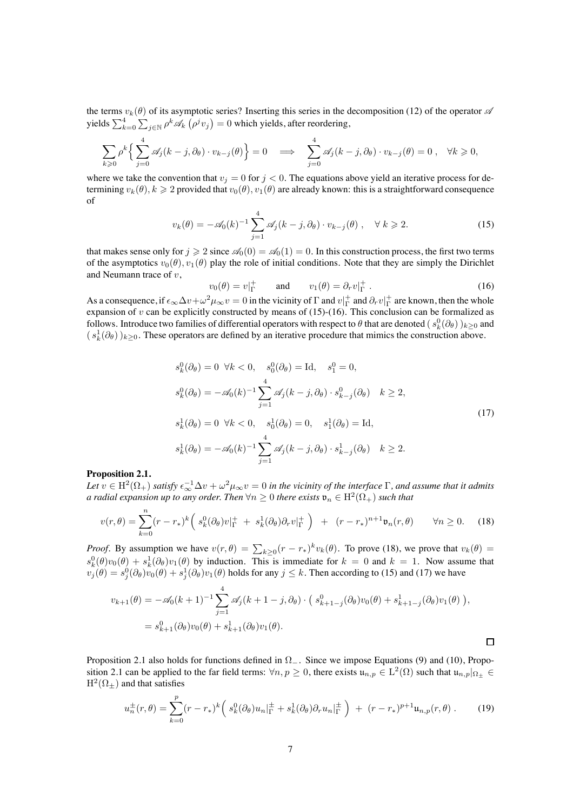the terms  $v_k(\theta)$  of its asymptotic series? Inserting this series in the decomposition [\(12\)](#page-5-2) of the operator  $\mathscr A$ yields  $\sum_{k=0}^4\sum_{j\in\mathbb{N}}\rho^k\mathscr{A}_k\left(\rho^j v_j\right)=0$  which yields, after reordering,

$$
\sum_{k\geq 0} \rho^k \left\{ \sum_{j=0}^4 \mathscr{A}_j(k-j,\partial_\theta) \cdot v_{k-j}(\theta) \right\} = 0 \quad \Longrightarrow \quad \sum_{j=0}^4 \mathscr{A}_j(k-j,\partial_\theta) \cdot v_{k-j}(\theta) = 0 \;, \quad \forall k \geq 0,
$$

where we take the convention that  $v_j = 0$  for  $j < 0$ . The equations above yield an iterative process for determining  $v_k(\theta)$ ,  $k \geq 2$  provided that  $v_0(\theta)$ ,  $v_1(\theta)$  are already known: this is a straightforward consequence of

$$
v_k(\theta) = -\mathscr{A}_0(k)^{-1} \sum_{j=1}^4 \mathscr{A}_j(k-j,\partial_\theta) \cdot v_{k-j}(\theta) , \quad \forall \ k \geqslant 2.
$$
 (15)

that makes sense only for  $j \ge 2$  since  $\mathcal{A}_0(0) = \mathcal{A}_0(1) = 0$ . In this construction process, the first two terms of the asymptotics  $v_0(\theta)$ ,  $v_1(\theta)$  play the role of initial conditions. Note that they are simply the Dirichlet and Neumann trace of v,

<span id="page-6-1"></span><span id="page-6-0"></span>
$$
v_0(\theta) = v|_{\Gamma}^+ \quad \text{and} \quad v_1(\theta) = \partial_r v|_{\Gamma}^+ \,. \tag{16}
$$

<span id="page-6-3"></span>As a consequence, if  $\epsilon_{\infty} \Delta v + \omega^2 \mu_{\infty} v = 0$  in the vicinity of  $\Gamma$  and  $v|_{\Gamma}^+$  and  $\partial_r v|_{\Gamma}^+$  are known, then the whole expansion of  $v$  can be explicitly constructed by means of [\(15\)](#page-6-0)-[\(16\)](#page-6-1). This conclusion can be formalized as follows. Introduce two families of differential operators with respect to  $\theta$  that are denoted  $(s_k^0(\partial_\theta))_{k\geq 0}$  and  $(s_k^1(\partial_\theta))_{k\geq 0}$ . These operators are defined by an iterative procedure that mimics the construction above.

$$
s_k^0(\partial_\theta) = 0 \quad \forall k < 0, \quad s_0^0(\partial_\theta) = \text{Id}, \quad s_1^0 = 0,
$$
\n
$$
s_k^0(\partial_\theta) = -\mathscr{A}_0(k)^{-1} \sum_{j=1}^4 \mathscr{A}_j(k-j,\partial_\theta) \cdot s_{k-j}^0(\partial_\theta) \quad k \ge 2,
$$
\n
$$
s_k^1(\partial_\theta) = 0 \quad \forall k < 0, \quad s_0^1(\partial_\theta) = 0, \quad s_1^1(\partial_\theta) = \text{Id},
$$
\n
$$
s_k^1(\partial_\theta) = -\mathscr{A}_0(k)^{-1} \sum_{j=1}^4 \mathscr{A}_j(k-j,\partial_\theta) \cdot s_{k-j}^1(\partial_\theta) \quad k \ge 2.
$$
\n
$$
(17)
$$

#### <span id="page-6-4"></span>**Proposition 2.1.**

*Let*  $v \in H^2(\Omega_+)$  *satisfy*  $\epsilon_{\infty}^{-1} \Delta v + \omega^2 \mu_{\infty} v = 0$  *in the vicinity of the interface* Γ, and assume that it admits *a radial expansion up to any order. Then*  $\forall n \geq 0$  *there exists*  $\mathfrak{v}_n \in \mathrm{H}^2(\Omega_+)$  *such that* 

$$
v(r,\theta) = \sum_{k=0}^{n} (r - r_*)^k \left( s_k^0(\partial_\theta) v|_{\Gamma}^+ + s_k^1(\partial_\theta) \partial_r v|_{\Gamma}^+ \right) + (r - r_*)^{n+1} \mathfrak{v}_n(r,\theta) \qquad \forall n \ge 0. \tag{18}
$$

*Proof.* By assumption we have  $v(r, \theta) = \sum_{k \geq 0} (r - r_*)^k v_k(\theta)$ . To prove [\(18\)](#page-6-2), we prove that  $v_k(\theta) =$  $s_k^0(\theta)v_0(\theta) + s_k^1(\partial_\theta)v_1(\theta)$  by induction. This is immediate for  $k = 0$  and  $k = 1$ . Now assume that  $v_j(\theta) = s_j^0(\partial_\theta)v_0(\theta) + s_j^1(\partial_\theta)v_1(\theta)$  holds for any  $j \leq k$ . Then according to [\(15\)](#page-6-0) and [\(17\)](#page-6-3) we have

$$
v_{k+1}(\theta) = -\mathscr{A}_0(k+1)^{-1} \sum_{j=1}^4 \mathscr{A}_j(k+1-j,\partial_\theta) \cdot (s_{k+1-j}^0(\partial_\theta) v_0(\theta) + s_{k+1-j}^1(\partial_\theta) v_1(\theta)),
$$
  
=  $s_{k+1}^0(\partial_\theta) v_0(\theta) + s_{k+1}^1(\partial_\theta) v_1(\theta).$ 

Proposition [2.1](#page-6-4) also holds for functions defined in Ω−. Since we impose Equations [\(9\)](#page-4-0) and [\(10\)](#page-5-0), Propo-sition [2.1](#page-6-4) can be applied to the far field terms:  $\forall n, p \ge 0$ , there exists  $\mathfrak{u}_{n,p} \in L^2(\Omega)$  such that  $\mathfrak{u}_{n,p}|_{\Omega_+} \in$  $H^2(\Omega_+)$  and that satisfies

<span id="page-6-5"></span>
$$
u_n^{\pm}(r,\theta) = \sum_{k=0}^p (r - r_*)^k \left( s_k^0(\partial_\theta) u_n \Big|_{\Gamma}^{\pm} + s_k^1(\partial_\theta) \partial_r u_n \Big|_{\Gamma}^{\pm} \right) + (r - r_*)^{p+1} u_{n,p}(r,\theta).
$$
 (19)

<span id="page-6-2"></span> $\Box$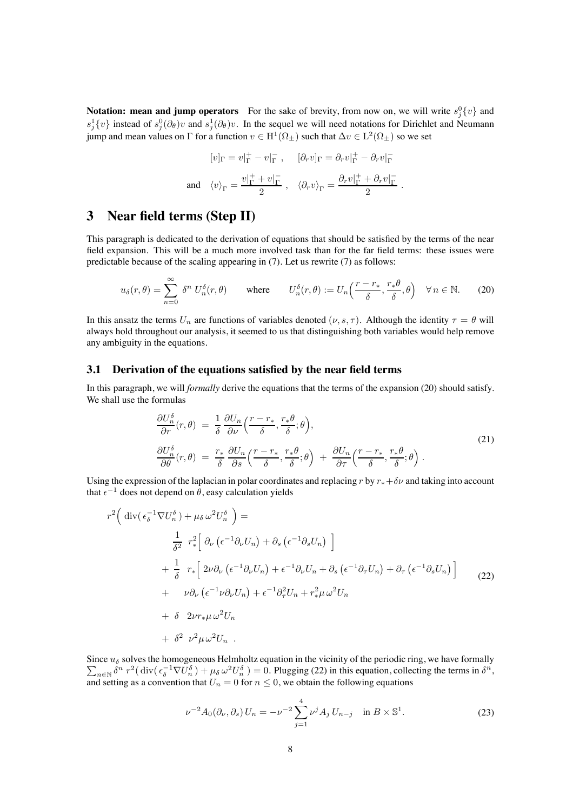**Notation: mean and jump operators** For the sake of brevity, from now on, we will write  $s_j^0\{v\}$  and  $s_j^1\{v\}$  instead of  $s_j^0(\partial_\theta)v$  and  $s_j^1(\partial_\theta)v$ . In the sequel we will need notations for Dirichlet and Neumann jump and mean values on Γ for a function  $v \in H^1(\Omega_\pm)$  such that  $\Delta v \in L^2(\Omega_\pm)$  so we set

<span id="page-7-0"></span>
$$
[v]_{\Gamma} = v|_{\Gamma}^+ - v|_{\Gamma}^-, \quad [\partial_r v]_{\Gamma} = \partial_r v|_{\Gamma}^+ - \partial_r v|_{\Gamma}^-
$$
  
and  $\langle v \rangle_{\Gamma} = \frac{v|_{\Gamma}^+ + v|_{\Gamma}^-}{2}$ ,  $\langle \partial_r v \rangle_{\Gamma} = \frac{\partial_r v|_{\Gamma}^+ + \partial_r v|_{\Gamma}^-}{2}$ .

# **3 Near field terms (Step II)**

This paragraph is dedicated to the derivation of equations that should be satisfied by the terms of the near field expansion. This will be a much more involved task than for the far field terms: these issues were predictable because of the scaling appearing in [\(7\)](#page-3-1). Let us rewrite [\(7\)](#page-3-1) as follows:

$$
u_{\delta}(r,\theta) = \sum_{n=0}^{\infty} \delta^n U_n^{\delta}(r,\theta) \quad \text{where} \quad U_n^{\delta}(r,\theta) := U_n\left(\frac{r-r_*}{\delta}, \frac{r_*\theta}{\delta}, \theta\right) \quad \forall n \in \mathbb{N}.
$$
 (20)

In this ansatz the terms  $U_n$  are functions of variables denoted  $(\nu, s, \tau)$ . Although the identity  $\tau = \theta$  will always hold throughout our analysis, it seemed to us that distinguishing both variables would help remove any ambiguity in the equations.

#### <span id="page-7-3"></span>**3.1 Derivation of the equations satisfied by the near field terms**

In this paragraph, we will *formally* derive the equations that the terms of the expansion [\(20\)](#page-7-0) should satisfy. We shall use the formulas

<span id="page-7-4"></span><span id="page-7-1"></span>
$$
\frac{\partial U_n^{\delta}}{\partial r}(r,\theta) = \frac{1}{\delta} \frac{\partial U_n}{\partial \nu} \left( \frac{r - r_*}{\delta}, \frac{r_* \theta}{\delta}; \theta \right), \n\frac{\partial U_n^{\delta}}{\partial \theta}(r,\theta) = \frac{r_*}{\delta} \frac{\partial U_n}{\partial s} \left( \frac{r - r_*}{\delta}, \frac{r_* \theta}{\delta}; \theta \right) + \frac{\partial U_n}{\partial \tau} \left( \frac{r - r_*}{\delta}, \frac{r_* \theta}{\delta}; \theta \right).
$$
\n(21)

Using the expression of the laplacian in polar coordinates and replacing r by  $r_*+\delta \nu$  and taking into account that  $\epsilon^{-1}$  does not depend on  $\theta$ , easy calculation yields

$$
r^{2} \left( \operatorname{div}(\epsilon_{\delta}^{-1} \nabla U_{n}^{\delta}) + \mu_{\delta} \omega^{2} U_{n}^{\delta} \right) =
$$
  

$$
\frac{1}{\delta^{2}} r_{*}^{2} \left[ \partial_{\nu} (\epsilon^{-1} \partial_{\nu} U_{n}) + \partial_{s} (\epsilon^{-1} \partial_{s} U_{n}) \right]
$$
  

$$
+ \frac{1}{\delta} r_{*} \left[ 2\nu \partial_{\nu} (\epsilon^{-1} \partial_{\nu} U_{n}) + \epsilon^{-1} \partial_{\nu} U_{n} + \partial_{s} (\epsilon^{-1} \partial_{\tau} U_{n}) + \partial_{\tau} (\epsilon^{-1} \partial_{s} U_{n}) \right]
$$
  

$$
+ \nu \partial_{\nu} (\epsilon^{-1} \nu \partial_{\nu} U_{n}) + \epsilon^{-1} \partial_{\tau}^{2} U_{n} + r_{*}^{2} \mu \omega^{2} U_{n}
$$
  

$$
+ \delta 2\nu r_{*} \mu \omega^{2} U_{n}
$$
  

$$
+ \delta^{2} \nu^{2} \mu \omega^{2} U_{n}.
$$
 (22)

 $\sum_{n\in\mathbb{N}}\delta^n r^2(\text{div}(\epsilon_\delta^{-1}\nabla U_n^{\delta})+\mu_\delta\omega^2U_n^{\delta})=0.$  Plugging [\(22\)](#page-7-1) in this equation, collecting the terms in  $\delta^n$ , Since  $u_{\delta}$  solves the homogeneous Helmholtz equation in the vicinity of the periodic ring, we have formally and setting as a convention that  $U_n = 0$  for  $n \leq 0$ , we obtain the following equations

<span id="page-7-2"></span>
$$
\nu^{-2} A_0(\partial_\nu, \partial_s) U_n = -\nu^{-2} \sum_{j=1}^4 \nu^j A_j U_{n-j} \quad \text{in } B \times \mathbb{S}^1.
$$
 (23)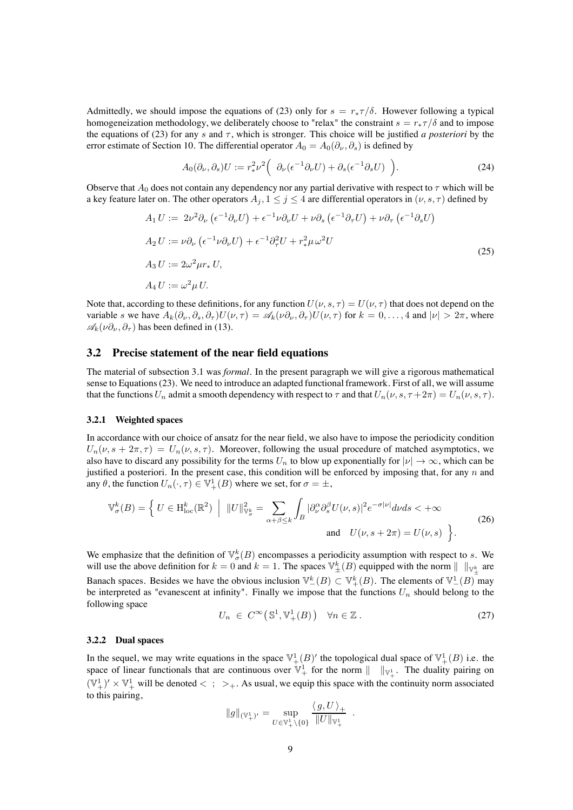Admittedly, we should impose the equations of [\(23\)](#page-7-2) only for  $s = r_* \tau / \delta$ . However following a typical homogeneization methodology, we deliberately choose to "relax" the constraint  $s = r_* \tau/\delta$  and to impose the equations of [\(23\)](#page-7-2) for any s and  $\tau$ , which is stronger. This choice will be justified *a posteriori* by the error estimate of Section [10.](#page-26-2) The differential operator  $A_0 = A_0(\partial_\nu, \partial_s)$  is defined by

<span id="page-8-2"></span><span id="page-8-0"></span>
$$
A_0(\partial_\nu, \partial_s) U := r_*^2 \nu^2 \left( \partial_\nu (\epsilon^{-1} \partial_\nu U) + \partial_s (\epsilon^{-1} \partial_s U) \right).
$$
 (24)

Observe that  $A_0$  does not contain any dependency nor any partial derivative with respect to  $\tau$  which will be a key feature later on. The other operators  $A_i, 1 \leq j \leq 4$  are differential operators in  $(\nu, s, \tau)$  defined by

$$
A_1 U := 2\nu^2 \partial_\nu \left( \epsilon^{-1} \partial_\nu U \right) + \epsilon^{-1} \nu \partial_\nu U + \nu \partial_s \left( \epsilon^{-1} \partial_\tau U \right) + \nu \partial_\tau \left( \epsilon^{-1} \partial_s U \right)
$$
  
\n
$$
A_2 U := \nu \partial_\nu \left( \epsilon^{-1} \nu \partial_\nu U \right) + \epsilon^{-1} \partial_\tau^2 U + r_*^2 \mu \omega^2 U
$$
  
\n
$$
A_3 U := 2\omega^2 \mu r_* U,
$$
  
\n
$$
A_4 U := \omega^2 \mu U.
$$
\n(25)

Note that, according to these definitions, for any function  $U(\nu, s, \tau) = U(\nu, \tau)$  that does not depend on the variable s we have  $A_k(\partial_\nu, \partial_s, \partial_\tau)U(\nu, \tau) = \mathscr{A}_k(\nu \partial_\nu, \partial_\tau)U(\nu, \tau)$  for  $k = 0, \ldots, 4$  and  $|\nu| > 2\pi$ , where  $\mathscr{A}_k(\nu \partial_\nu, \partial_\tau)$  has been defined in [\(13\)](#page-5-3).

#### **3.2 Precise statement of the near field equations**

The material of subsection [3.1](#page-7-3) was *formal*. In the present paragraph we will give a rigorous mathematical sense to Equations [\(23\)](#page-7-2). We need to introduce an adapted functional framework. First of all, we will assume that the functions  $U_n$  admit a smooth dependency with respect to  $\tau$  and that  $U_n(\nu, s, \tau + 2\pi) = U_n(\nu, s, \tau)$ .

#### **3.2.1 Weighted spaces**

In accordance with our choice of ansatz for the near field, we also have to impose the periodicity condition  $U_n(\nu, s + 2\pi, \tau) = U_n(\nu, s, \tau)$ . Moreover, following the usual procedure of matched asymptotics, we also have to discard any possibility for the terms  $U_n$  to blow up exponentially for  $|v| \to \infty$ , which can be justified a posteriori. In the present case, this condition will be enforced by imposing that, for any  $n$  and any  $\theta$ , the function  $U_n(\cdot, \tau) \in \mathbb{V}_+^1(B)$  where we set, for  $\sigma = \pm$ ,

$$
\mathbb{V}_{\sigma}^{k}(B) = \left\{ U \in \mathcal{H}_{\text{loc}}^{k}(\mathbb{R}^{2}) \middle| \|U\|_{\mathbb{V}_{\sigma}^{k}}^{2} = \sum_{\alpha + \beta \leq k} \int_{B} |\partial_{\nu}^{\alpha} \partial_{s}^{\beta} U(\nu, s)|^{2} e^{-\sigma |\nu|} d\nu ds < +\infty \right\}
$$
\n
$$
\text{and} \quad U(\nu, s + 2\pi) = U(\nu, s) \left.\right\}.
$$
\n(26)

We emphasize that the definition of  $\mathbb{V}_{\sigma}^{k}(B)$  encompasses a periodicity assumption with respect to s. We will use the above definition for  $k = 0$  and  $k = 1$ . The spaces  $\mathbb{V}_{\pm}^{k}(B)$  equipped with the norm  $|| \ ||_{\mathbb{V}_{\pm}^{k}}$  are Banach spaces. Besides we have the obvious inclusion  $\mathbb{V}_{-}^{k}(B) \subset \mathbb{V}_{+}^{k}(B)$ . The elements of  $\mathbb{V}_{-}^{1}(B)$  may be interpreted as "evanescent at infinity". Finally we impose that the functions  $U_n$  should belong to the following space

<span id="page-8-1"></span>
$$
U_n \in C^{\infty}(\mathbb{S}^1, \mathbb{V}^1_+(B)) \quad \forall n \in \mathbb{Z} \,. \tag{27}
$$

.

#### **3.2.2 Dual spaces**

In the sequel, we may write equations in the space  $\mathbb{V}^1_+(B)'$  the topological dual space of  $\mathbb{V}^1_+(B)$  i.e. the space of linear functionals that are continuous over  $\mathbb{V}_+^1$  for the norm  $|| \t ||_{\mathbb{V}_+^1}$ . The duality pairing on  $(\mathbb{V}_+^1)' \times \mathbb{V}_+^1$  will be denoted  $\lt$ ;  $\gt_+$ . As usual, we equip this space with the continuity norm associated to this pairing,

$$
\|g\|_{(\mathbb{V}_+^1)'} = \sup_{U \in \mathbb{V}_+^1 \backslash {\{0\}}} \frac{\langle g, U \rangle_+}{\|U\|_{\mathbb{V}_+^1}}
$$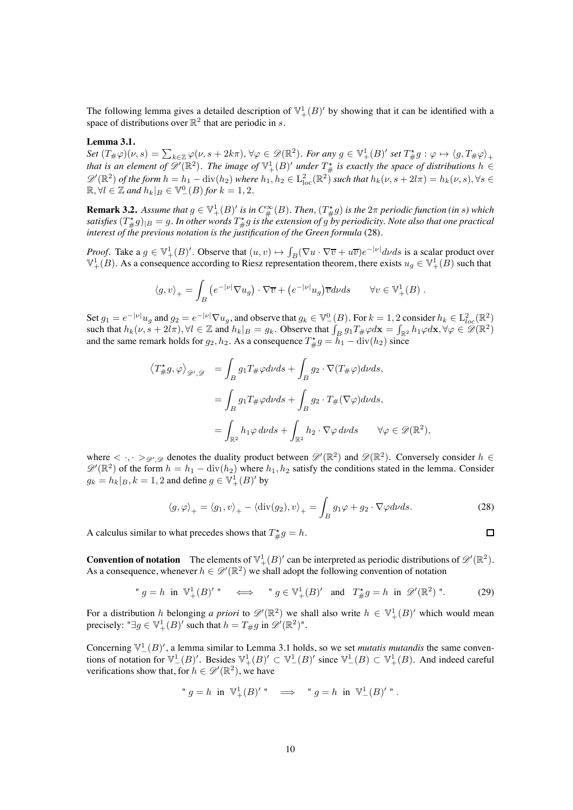<span id="page-9-1"></span>The following lemma gives a detailed description of  $\mathbb{V}^1_+(B)'$  by showing that it can be identified with a space of distributions over  $\mathbb{R}^2$  that are periodic in s.

#### **Lemma 3.1.**

 $Set(T_{\#}\varphi)(\nu,s) = \sum_{k \in \mathbb{Z}} \varphi(\nu,s+2k\pi), \forall \varphi \in \mathscr{D}(\mathbb{R}^2)$ *. For any*  $g \in \mathbb{V}_+^1(B)'$  *set*  $T_{\#}^{\star}g : \varphi \mapsto \langle g, T_{\#}\varphi \rangle_+$ that is an element of  $\mathscr{D}'(\mathbb{R}^2)$ . The image of  $\mathbb{V}^1_+(B)'$  under  $T^*_{\#}$  is exactly the space of distributions  $h \in$  $\mathscr{D}'(\mathbb{R}^2)$  of the form  $h = h_1 - \text{div}(h_2)$  where  $h_1, h_2 \in L^2_{\text{loc}}(\mathbb{R}^2)$  such that  $h_k(\nu, s + 2l\pi) = h_k(\nu, s)$ ,  $\forall s \in$  $\mathbb{R}, \forall l \in \mathbb{Z}$  and  $h_k|_B \in \mathbb{V}_-^0(B)$  for  $k = 1, 2$ .

**Remark 3.2.** Assume that  $g \in \mathbb{V}_+^1(B)'$  is in  $C^{\infty}_{\#}(B)$ . Then,  $(T^*_{\#}g)$  is the  $2\pi$  periodic function (in s) which satisfies  $(T^{\star}_{\#}g)_{|B}=g.$  In other words  $T^{\star}_{\#}g$  is the extension of  $g$  by periodicity. Note also that one practical *interest of the previous notation is the justification of the Green formula* [\(28\)](#page-9-0)*.*

*Proof.* Take a  $g \in \mathbb{V}_+^1(B)'$ . Observe that  $(u, v) \mapsto \int_B (\nabla u \cdot \nabla \overline{v} + u \overline{v}) e^{-|\nu|} dv ds$  is a scalar product over  $\mathbb{V}_+^1(B)$ . As a consequence according to Riesz representation theorem, there exists  $u_g \in \mathbb{V}_+^1(B)$  such that

$$
\langle g, v \rangle_+ = \int_B \left( e^{-|\nu|} \nabla u_g \right) \cdot \nabla \overline{v} + \left( e^{-|\nu|} u_g \right) \overline{v} d\nu ds \qquad \forall v \in \mathbb{V}_+^1(B) .
$$

Set  $g_1 = e^{-|\nu|} u_g$  and  $g_2 = e^{-|\nu|} \nabla u_g$ , and observe that  $g_k \in \mathbb{V}^0_-(B)$ . For  $k = 1, 2$  consider  $h_k \in L^2_{loc}(\mathbb{R}^2)$ such that  $h_k(\nu, s + 2l\pi)$ ,  $\forall l \in \mathbb{Z}$  and  $h_k|_B = g_k$ . Observe that  $\int_B g_1 T_{\#} \varphi d\mathbf{x} = \int_{\mathbb{R}^2} h_1 \varphi d\mathbf{x}$ ,  $\forall \varphi \in \mathcal{D}(\mathbb{R}^2)$ and the same remark holds for  $g_2, h_2$ . As a consequence  $T^*_{\#}g = \bar{h}_1 - \text{div}(h_2)$  since

$$
\langle T_{\#}^{\star}g, \varphi \rangle_{\mathscr{D}',\mathscr{D}} = \int_{B} g_{1}T_{\#}\varphi d\nu ds + \int_{B} g_{2} \cdot \nabla (T_{\#}\varphi) d\nu ds,
$$
  

$$
= \int_{B} g_{1}T_{\#}\varphi d\nu ds + \int_{B} g_{2} \cdot T_{\#}(\nabla \varphi) d\nu ds,
$$
  

$$
= \int_{\mathbb{R}^{2}} h_{1}\varphi d\nu ds + \int_{\mathbb{R}^{2}} h_{2} \cdot \nabla \varphi d\nu ds \qquad \forall \varphi \in \mathscr{D}(\mathbb{R}^{2}),
$$

where  $\langle \cdot, \cdot \rangle_{\mathcal{D}',\mathcal{D}}$  denotes the duality product between  $\mathcal{D}'(\mathbb{R}^2)$  and  $\mathcal{D}(\mathbb{R}^2)$ . Conversely consider  $h \in \mathbb{R}$  $\mathscr{D}'(\mathbb{R}^2)$  of the form  $h = h_1 - \text{div}(h_2)$  where  $h_1, h_2$  satisfy the conditions stated in the lemma. Consider  $g_k = h_k|_B, k = 1, 2$  and define  $g \in \mathbb{V}_+^1(B)'$  by

<span id="page-9-0"></span>
$$
\langle g, \varphi \rangle_+ = \langle g_1, v \rangle_+ - \langle \operatorname{div}(g_2), v \rangle_+ = \int_B g_1 \varphi + g_2 \cdot \nabla \varphi d\nu ds. \tag{28}
$$

<span id="page-9-2"></span> $\Box$ 

A calculus similar to what precedes shows that  $T^*_{\#}g = h$ .

**Convention of notation** The elements of  $\mathbb{V}^1_+(B)'$  can be interpreted as periodic distributions of  $\mathscr{D}'(\mathbb{R}^2)$ . As a consequence, whenever  $h \in \mathcal{D}'(\mathbb{R}^2)$  we shall adopt the following convention of notation

"  $g = h$  in  $\mathbb{V}_+^1(B)'$ "  $\iff$  "  $g \in \mathbb{V}_+^1(B)'$  and  $T^*_{\#}g = h$  in  $\mathscr{D}'(\mathbb{R}^2)$ ". (29)

For a distribution h belonging a priori to  $\mathscr{D}'(\mathbb{R}^2)$  we shall also write  $h \in \mathbb{V}^1_+(B)'$  which would mean precisely: " $\exists g \in \mathbb{V}^1_+(B)'$  such that  $h = T_{\#}g$  in  $\mathscr{D}'(\mathbb{R}^2)$ ".

Concerning  $\mathbb{V}_-(B)$ , a lemma similar to Lemma [3.1](#page-9-1) holds, so we set *mutatis mutandis* the same conventions of notation for  $\mathbb{V}^1_-(B)'$ . Besides  $\mathbb{V}^1_+(B)' \subset \mathbb{V}^1_-(B)'$  since  $\mathbb{V}^1_-(B) \subset \mathbb{V}^1_+(B)$ . And indeed careful verifications show that, for  $h \in \mathscr{D}'(\mathbb{R}^2)$ , we have

" 
$$
g = h
$$
 in  $\mathbb{V}^1_+(B)'$ "  $\implies$  "  $g = h$  in  $\mathbb{V}^1_-(B)'$ ".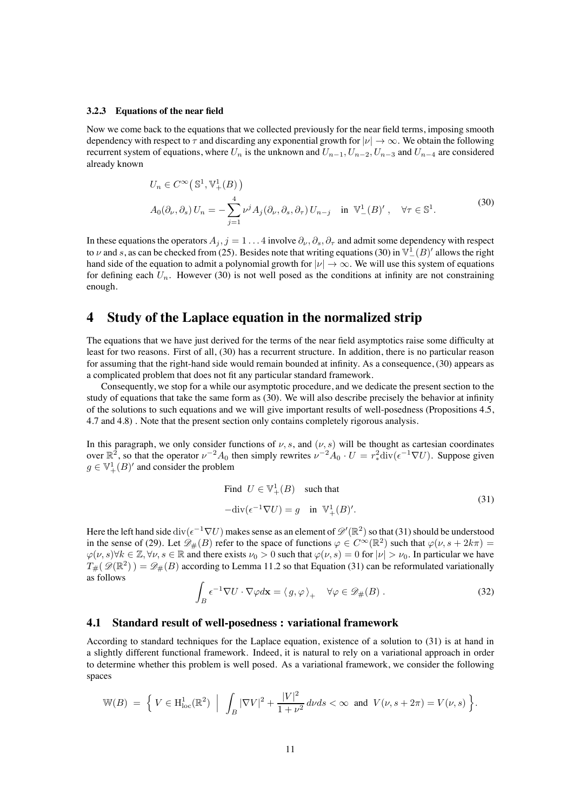#### **3.2.3 Equations of the near field**

Now we come back to the equations that we collected previously for the near field terms, imposing smooth dependency with respect to  $\tau$  and discarding any exponential growth for  $|v| \to \infty$ . We obtain the following recurrent system of equations, where  $U_n$  is the unknown and  $U_{n-1}$ ,  $U_{n-2}$ ,  $U_{n-3}$  and  $U_{n-4}$  are considered already known

<span id="page-10-0"></span>
$$
U_n \in C^{\infty}(\mathbb{S}^1, \mathbb{V}_+^1(B))
$$
  
\n
$$
A_0(\partial_\nu, \partial_s) U_n = -\sum_{j=1}^4 \nu^j A_j(\partial_\nu, \partial_s, \partial_\tau) U_{n-j} \text{ in } \mathbb{V}_-^1(B)', \ \forall \tau \in \mathbb{S}^1.
$$
\n
$$
(30)
$$

In these equations the operators  $A_j$ ,  $j = 1 \ldots 4$  involve  $\partial_{\nu}$ ,  $\partial_{s}$ ,  $\partial_{\tau}$  and admit some dependency with respect to  $\nu$  and s, as can be checked from [\(25\)](#page-8-0). Besides note that writing equations [\(30\)](#page-10-0) in  $\mathbb{V}^1_-(B)'$  allows the right hand side of the equation to admit a polynomial growth for  $|v| \to \infty$ . We will use this system of equations for defining each  $U_n$ . However [\(30\)](#page-10-0) is not well posed as the conditions at infinity are not constraining enough.

# **4 Study of the Laplace equation in the normalized strip**

The equations that we have just derived for the terms of the near field asymptotics raise some difficulty at least for two reasons. First of all, [\(30\)](#page-10-0) has a recurrent structure. In addition, there is no particular reason for assuming that the right-hand side would remain bounded at infinity. As a consequence, [\(30\)](#page-10-0) appears as a complicated problem that does not fit any particular standard framework.

Consequently, we stop for a while our asymptotic procedure, and we dedicate the present section to the study of equations that take the same form as [\(30\)](#page-10-0). We will also describe precisely the behavior at infinity of the solutions to such equations and we will give important results of well-posedness (Propositions [4.5,](#page-13-0) [4.7](#page-15-0) and [4.8\)](#page-15-1) . Note that the present section only contains completely rigorous analysis.

In this paragraph, we only consider functions of  $\nu$ , s, and  $(\nu, s)$  will be thought as cartesian coordinates over  $\mathbb{R}^2$ , so that the operator  $\nu^{-2}A_0$  then simply rewrites  $\nu^{-2}A_0 \cdot U = r_*^2 \text{div}(\epsilon^{-1} \nabla U)$ . Suppose given  $g \in \mathbb{V}_+^1(B)'$  and consider the problem

<span id="page-10-1"></span>Find 
$$
U \in \mathbb{V}_+^1(B)
$$
 such that  
\n
$$
-\text{div}(\epsilon^{-1}\nabla U) = g \text{ in } \mathbb{V}_+^1(B)'. \tag{31}
$$

Here the left hand side div $(\epsilon^{-1} \nabla U)$  makes sense as an element of  $\mathscr{D}'(\mathbb{R}^2)$  so that [\(31\)](#page-10-1) should be understood in the sense of [\(29\)](#page-9-2). Let  $\mathscr{D}_\#(B)$  refer to the space of functions  $\varphi \in C^\infty(\mathbb{R}^2)$  such that  $\varphi(\nu, s + 2k\pi) =$  $\varphi(\nu, s) \forall k \in \mathbb{Z}, \forall \nu, s \in \mathbb{R}$  and there exists  $\nu_0 > 0$  such that  $\varphi(\nu, s) = 0$  for  $|\nu| > \nu_0$ . In particular we have  $T_{\#}(\mathscr{D}(\mathbb{R}^2)) = \mathscr{D}_{\#}(B)$  according to Lemma [11.2](#page-35-0) so that Equation [\(31\)](#page-10-1) can be reformulated variationally as follows

$$
\int_{B} \epsilon^{-1} \nabla U \cdot \nabla \varphi d\mathbf{x} = \langle g, \varphi \rangle_{+} \quad \forall \varphi \in \mathscr{D}_{\#}(B) . \tag{32}
$$

#### <span id="page-10-2"></span>**4.1 Standard result of well-posedness : variational framework**

According to standard techniques for the Laplace equation, existence of a solution to [\(31\)](#page-10-1) is at hand in a slightly different functional framework. Indeed, it is natural to rely on a variational approach in order to determine whether this problem is well posed. As a variational framework, we consider the following spaces

$$
\mathbb{W}(B) \ = \ \Big\{ \ V \in \mathrm{H}^1_{\mathrm{loc}}(\mathbb{R}^2) \ \ \Big| \ \ \int_B |\nabla V|^2 + \frac{|V|^2}{1+\nu^2} \, d\nu ds < \infty \ \ \text{and} \ \ V(\nu, s + 2\pi) = V(\nu, s) \ \Big\}.
$$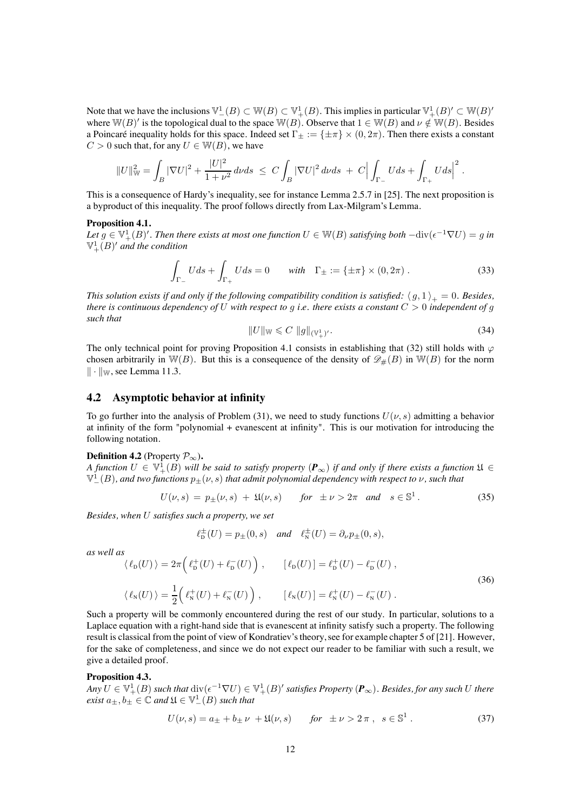Note that we have the inclusions  $\mathbb{V}_-(B) \subset \mathbb{W}(B) \subset \mathbb{V}_+(B)$ . This implies in particular  $\mathbb{V}_+(B)' \subset \mathbb{W}(B)'$ where  $W(B)'$  is the topological dual to the space  $W(B)$ . Observe that  $1 \in W(B)$  and  $\nu \notin W(B)$ . Besides a Poincaré inequality holds for this space. Indeed set  $\Gamma_{\pm} := {\pm \pi} \times (0, 2\pi)$ . Then there exists a constant  $C > 0$  such that, for any  $U \in W(B)$ , we have

$$
||U||_{\mathbb{W}}^2 = \int_B |\nabla U|^2 + \frac{|U|^2}{1+\nu^2} d\nu ds \ \leq \ C \int_B |\nabla U|^2 d\nu ds \ + \ C \Big| \int_{\Gamma_-} U ds + \int_{\Gamma_+} U ds \Big|^2 \ .
$$

<span id="page-11-0"></span>This is a consequence of Hardy's inequality, see for instance Lemma 2.5.7 in [\[25\]](#page-38-15). The next proposition is a byproduct of this inequality. The proof follows directly from Lax-Milgram's Lemma.

#### **Proposition 4.1.**

*Let*  $g \in \mathbb{V}_+^1(B)'$ . Then there exists at most one function  $U \in \mathbb{W}(B)$  satisfying both  $-\text{div}(\epsilon^{-1}\nabla U) = g$  in  $\mathbb{V}^1_+(B)'$  and the condition

<span id="page-11-3"></span>
$$
\int_{\Gamma_{-}} Uds + \int_{\Gamma_{+}} Uds = 0 \quad \text{with} \quad \Gamma_{\pm} := \{\pm \pi\} \times (0, 2\pi) . \tag{33}
$$

<span id="page-11-5"></span>*This solution exists if and only if the following compatibility condition is satisfied:*  $\langle g, 1 \rangle_+ = 0$ *. Besides, there is continuous dependency of* U *with respect to* g *i.e. there exists a constant* C > 0 *independent of* g *such that*

$$
||U||_{\mathbb{W}} \leq C ||g||_{(\mathbb{V}_+^1)'}. \tag{34}
$$

The only technical point for proving Proposition [4.1](#page-11-0) consists in establishing that [\(32\)](#page-10-2) still holds with  $\varphi$ chosen arbitrarily in  $\mathbb{W}(B)$ . But this is a consequence of the density of  $\mathscr{D}_{\#}(B)$  in  $\mathbb{W}(B)$  for the norm  $\|\cdot\|_{\mathbb{W}}$ , see Lemma [11.3.](#page-35-1)

#### **4.2 Asymptotic behavior at infinity**

To go further into the analysis of Problem [\(31\)](#page-10-1), we need to study functions  $U(\nu, s)$  admitting a behavior at infinity of the form "polynomial + evanescent at infinity". This is our motivation for introducing the following notation.

#### <span id="page-11-1"></span>**Definition 4.2** (Property  $\mathcal{P}_{\infty}$ ).

*A* function  $U \in \mathbb{V}_+^1(B)$  will be said to satisfy property  $(\mathbf{P}_\infty)$  if and only if there exists a function  $\mathfrak{U} \in$  $\mathbb{V}^1_-(B)$ , and two functions  $p_{\pm}(\nu,s)$  that admit polynomial dependency with respect to  $\nu$ , such that

$$
U(\nu, s) = p_{\pm}(\nu, s) + \mathfrak{U}(\nu, s) \quad \text{for } \pm \nu > 2\pi \text{ and } s \in \mathbb{S}^1. \tag{35}
$$

*Besides, when* U *satisfies such a property, we set*

$$
\ell_p^{\pm}(U) = p_{\pm}(0, s) \quad \text{and} \quad \ell_N^{\pm}(U) = \partial_{\nu} p_{\pm}(0, s),
$$

*as well as*

<span id="page-11-4"></span>
$$
\langle \ell_{\mathcal{D}}(U) \rangle = 2\pi \left( \ell_{\mathcal{D}}^{+}(U) + \ell_{\mathcal{D}}^{-}(U) \right), \qquad [\ell_{\mathcal{D}}(U)] = \ell_{\mathcal{D}}^{+}(U) - \ell_{\mathcal{D}}^{-}(U),
$$
\n
$$
\langle \ell_{\mathcal{N}}(U) \rangle = \frac{1}{2} \left( \ell_{\mathcal{N}}^{+}(U) + \ell_{\mathcal{N}}^{-}(U) \right), \qquad [\ell_{\mathcal{N}}(U)] = \ell_{\mathcal{N}}^{+}(U) - \ell_{\mathcal{N}}^{-}(U).
$$
\n(36)

Such a property will be commonly encountered during the rest of our study. In particular, solutions to a Laplace equation with a right-hand side that is evanescent at infinity satisfy such a property. The following result is classical from the point of view of Kondratiev's theory, see for example chapter 5 of [\[21\]](#page-38-16). However, for the sake of completeness, and since we do not expect our reader to be familiar with such a result, we give a detailed proof.

#### <span id="page-11-2"></span>**Proposition 4.3.**

 $Any U \in \mathbb{V}_+^1(B)$  such that  $\text{div}(\epsilon^{-1} \nabla U) \in \mathbb{V}_+^1(B)'$  satisfies Property  $(\mathbf{P}_\infty)$ . Besides, for any such U there  $\ell$ *exist*  $a_{\pm}, b_{\pm} \in \mathbb{C}$  and  $\mathfrak{U} \in \mathbb{V}^1_-(B)$  *such that* 

$$
U(\nu, s) = a_{\pm} + b_{\pm} \nu + \mathfrak{U}(\nu, s) \qquad \text{for } \pm \nu > 2\pi \,, \ s \in \mathbb{S}^1 \,. \tag{37}
$$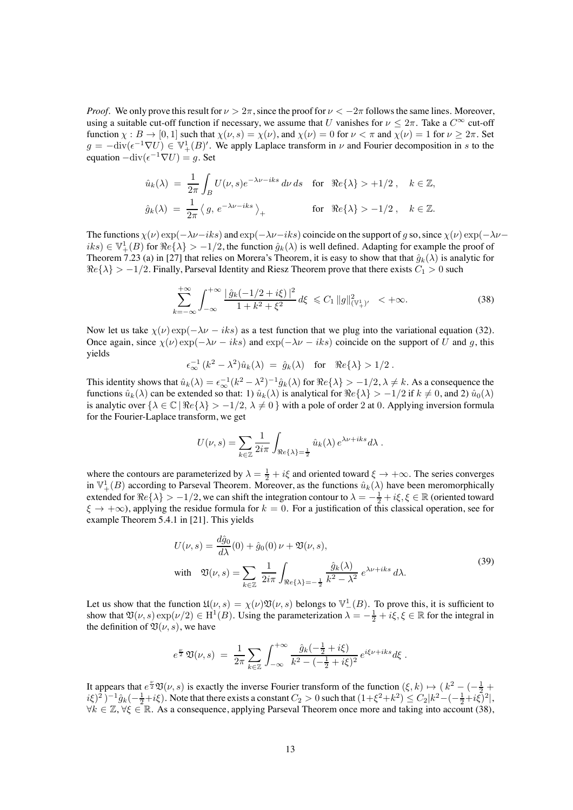*Proof.* We only prove this result for  $\nu > 2\pi$ , since the proof for  $\nu < -2\pi$  follows the same lines. Moreover, using a suitable cut-off function if necessary, we assume that U vanishes for  $\nu \leq 2\pi$ . Take a  $C^{\infty}$  cut-off function  $\chi : B \to [0, 1]$  such that  $\chi(\nu, s) = \chi(\nu)$ , and  $\chi(\nu) = 0$  for  $\nu < \pi$  and  $\chi(\nu) = 1$  for  $\nu \geq 2\pi$ . Set  $g = -\text{div}(\epsilon^{-1} \nabla U) \in \mathbb{V}_+^1(B)'$ . We apply Laplace transform in  $\nu$  and Fourier decomposition in s to the equation  $-\text{div}(\epsilon^{-1}\nabla U) = q$ . Set

$$
\begin{array}{lcl} \hat{u}_k(\lambda) \;=\; \frac{1}{2\pi} \int_B U(\nu,s) e^{-\lambda \nu - iks} \, d\nu \, ds &\mbox{for}\quad \Re e\{\lambda\} > +1/2\;, \quad k\in \mathbb{Z},\\[2mm] \hat{g}_k(\lambda) \;=\; \frac{1}{2\pi} \left\langle \, g, \, e^{-\lambda \nu - iks} \,\right\rangle_+ &\mbox{for}\quad \Re e\{\lambda\} > -1/2\;, \quad k\in \mathbb{Z}. \end{array}
$$

The functions  $\chi(\nu) \exp(-\lambda \nu - iks)$  and  $\exp(-\lambda \nu - iks)$  coincide on the support of g so, since  $\chi(\nu) \exp(-\lambda \nu - iks)$  $iks$ )  $\in \mathbb{V}_+^1(B)$  for  $\Re e\{\lambda\} > -1/2$ , the function  $\hat{g}_k(\lambda)$  is well defined. Adapting for example the proof of Theorem 7.23 (a) in [\[27\]](#page-38-17) that relies on Morera's Theorem, it is easy to show that that  $\hat{g}_k(\lambda)$  is analytic for  $\Re$ e{ $\lambda$ } > -1/2. Finally, Parseval Identity and Riesz Theorem prove that there exists  $C_1$  > 0 such

<span id="page-12-0"></span>
$$
\sum_{k=-\infty}^{+\infty} \int_{-\infty}^{+\infty} \frac{|\hat{g}_k(-1/2 + i\xi)|^2}{1 + k^2 + \xi^2} d\xi \le C_1 \|g\|_{(\mathbb{V}_+^1)'}^2 < +\infty.
$$
 (38)

Now let us take  $\chi(\nu) \exp(-\lambda \nu - iks)$  as a test function that we plug into the variational equation [\(32\)](#page-10-2). Once again, since  $\chi(\nu) \exp(-\lambda \nu - iks)$  and  $\exp(-\lambda \nu - iks)$  coincide on the support of U and g, this yields

 $\epsilon_{\infty}^{-1} (k^2 - \lambda^2) \hat{u}_k(\lambda) = \hat{g}_k(\lambda) \text{ for } \Re \{ \lambda \} > 1/2 .$ 

This identity shows that  $\hat{u}_k(\lambda) = \epsilon_{\infty}^{-1} (k^2 - \lambda^2)^{-1} \hat{g}_k(\lambda)$  for  $\Re e \{\lambda\} > -1/2, \lambda \neq k$ . As a consequence the functions  $\hat{u}_k(\lambda)$  can be extended so that: 1)  $\hat{u}_k(\lambda)$  is analytical for  $\Re$ e{ $\lambda$ } > -1/2 if  $k \neq 0$ , and 2)  $\hat{u}_0(\lambda)$ is analytic over  $\{\lambda \in \mathbb{C} \mid \Re e \{\lambda\} > -1/2, \lambda \neq 0\}$  with a pole of order 2 at 0. Applying inversion formula for the Fourier-Laplace transform, we get

$$
U(\nu, s) = \sum_{k \in \mathbb{Z}} \frac{1}{2i\pi} \int_{\Re e\{\lambda\} = \frac{1}{2}} \hat{u}_k(\lambda) e^{\lambda \nu + iks} d\lambda.
$$

where the contours are parameterized by  $\lambda = \frac{1}{2} + i\xi$  and oriented toward  $\xi \to +\infty$ . The series converges in  $\mathbb{V}_+^1(B)$  according to Parseval Theorem. Moreover, as the functions  $\hat{u}_k(\lambda)$  have been meromorphically extended for  $Re\{\lambda\} > -1/2$ , we can shift the integration contour to  $\lambda = -\frac{1}{2} + i\xi$ ,  $\xi \in \mathbb{R}$  (oriented toward  $\xi \to +\infty$ ), applying the residue formula for  $k = 0$ . For a justification of this classical operation, see for example Theorem 5.4.1 in [\[21\]](#page-38-16). This yields

<span id="page-12-1"></span>
$$
U(\nu, s) = \frac{d\hat{g}_0}{d\lambda}(0) + \hat{g}_0(0)\nu + \mathfrak{V}(\nu, s),
$$
  
with 
$$
\mathfrak{V}(\nu, s) = \sum_{k \in \mathbb{Z}} \frac{1}{2i\pi} \int_{\Re e\{\lambda\} = -\frac{1}{2}} \frac{\hat{g}_k(\lambda)}{k^2 - \lambda^2} e^{\lambda \nu + iks} d\lambda.
$$
 (39)

Let us show that the function  $\mathfrak{U}(\nu, s) = \chi(\nu) \mathfrak{V}(\nu, s)$  belongs to  $\mathbb{V}_-^1(B)$ . To prove this, it is sufficient to show that  $\mathfrak{V}(\nu, s) \exp(\nu/2) \in \mathrm{H}^1(B)$ . Using the parameterization  $\lambda = -\frac{1}{2} + i\xi, \xi \in \mathbb{R}$  for the integral in the definition of  $\mathfrak{V}(\nu, s)$ , we have

$$
e^{\frac{\nu}{2}} \mathfrak{V}(\nu, s) = \frac{1}{2\pi} \sum_{k \in \mathbb{Z}} \int_{-\infty}^{+\infty} \frac{\hat{g}_k(-\frac{1}{2} + i\xi)}{k^2 - (-\frac{1}{2} + i\xi)^2} e^{i\xi \nu + iks} d\xi.
$$

It appears that  $e^{\frac{\mu}{2}}\mathfrak{V}(\nu,s)$  is exactly the inverse Fourier transform of the function  $(\xi,k) \mapsto (k^2 - (-\frac{1}{2} + \frac{1}{2})^2)$  $i\xi)^2$ )<sup>-1</sup> $\hat{g}_k(-\frac{1}{2}+i\xi)$ . Note that there exists a constant  $C_2 > 0$  such that  $(1+\xi^2+k^2) \le C_2|k^2-(-\frac{1}{2}+i\xi)^2|$ ,  $\forall k \in \mathbb{Z}, \forall \xi \in \mathbb{R}$ . As a consequence, applying Parseval Theorem once more and taking into account [\(38\)](#page-12-0),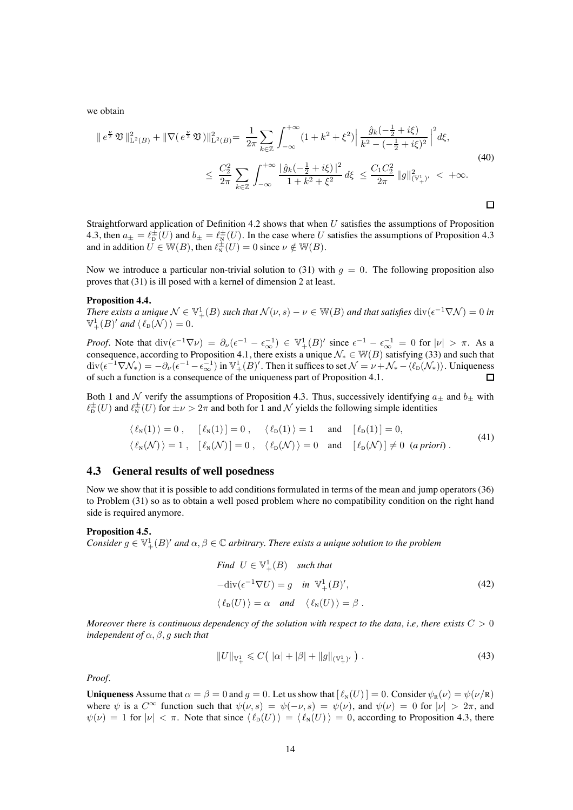we obtain

<span id="page-13-4"></span>
$$
\|e^{\frac{\nu}{2}}\mathfrak{V}\|_{\mathcal{L}^{2}(B)}^{2} + \|\nabla(e^{\frac{\nu}{2}}\mathfrak{V})\|_{\mathcal{L}^{2}(B)}^{2} = \frac{1}{2\pi} \sum_{k \in \mathbb{Z}} \int_{-\infty}^{+\infty} (1 + k^{2} + \xi^{2}) \left|\frac{\hat{g}_{k}(-\frac{1}{2} + i\xi)}{k^{2} - (-\frac{1}{2} + i\xi)^{2}}\right|^{2} d\xi
$$
\n
$$
\leq \frac{C_{2}^{2}}{2\pi} \sum_{k \in \mathbb{Z}} \int_{-\infty}^{+\infty} \frac{|\hat{g}_{k}(-\frac{1}{2} + i\xi)|^{2}}{1 + k^{2} + \xi^{2}} d\xi \leq \frac{C_{1}C_{2}^{2}}{2\pi} \|g\|_{(\mathbb{V}_{+}^{1})'}^{2} < +\infty.
$$
\n(40)

Straightforward application of Definition [4.2](#page-11-1) shows that when U satisfies the assumptions of Proposition [4.3,](#page-11-2) then  $a_{\pm} = \ell_{\rm D}^{\pm}(U)$  and  $b_{\pm} = \ell_{\rm N}^{\pm}(U)$ . In the case where U satisfies the assumptions of Proposition [4.3](#page-11-2) and in addition  $U \in W(B)$ , then  $\ell_{\text{N}}^{\pm}(U)=0$  since  $\nu \notin W(B)$ .

Now we introduce a particular non-trivial solution to [\(31\)](#page-10-1) with  $q = 0$ . The following proposition also proves that [\(31\)](#page-10-1) is ill posed with a kernel of dimension 2 at least.

#### **Proposition 4.4.**

*There exists a unique*  $\mathcal{N} \in \mathbb{V}_+^1(B)$  *such that*  $\mathcal{N}(\nu, s) - \nu \in \mathbb{W}(B)$  *and that satisfies*  $\text{div}(\epsilon^{-1} \nabla \mathcal{N}) = 0$  *in*  $\mathbb{V}_+^1(B)'$  and  $\langle \ell_{\text{D}}(\mathcal{N}) \rangle = 0$ .

*Proof.* Note that  $\text{div}(\epsilon^{-1}\nabla \nu) = \partial_{\nu}(\epsilon^{-1} - \epsilon_{\infty}^{-1}) \in \mathbb{V}^1_+(B)'$  since  $\epsilon^{-1} - \epsilon_{\infty}^{-1} = 0$  for  $|\nu| > \pi$ . As a consequence, according to Proposition [4.1,](#page-11-0) there exists a unique  $\mathcal{N}_* \in \mathbb{W}(B)$  satisfying [\(33\)](#page-11-3) and such that  $\text{div}(\epsilon^{-1}\nabla \mathcal{N}_*) = -\partial_\nu(\epsilon^{-1}-\epsilon_\infty^{-1})$  in  $\mathbb{V}^1_+(B)'$ . Then it suffices to set  $\mathcal{N}=\nu+\mathcal{N}_*-\langle\ell_\text{D}(\mathcal{N}_*)\rangle$ . Uniqueness of such a function is a consequence of the uniqueness part of Proposition [4.1.](#page-11-0)

Both 1 and N verify the assumptions of Proposition [4.3.](#page-11-2) Thus, successively identifying  $a_{\pm}$  and  $b_{\pm}$  with  $\ell_{\rm D}^{\pm}(U)$  and  $\ell_{\rm N}^{\pm}(U)$  for  $\pm \nu > 2\pi$  and both for 1 and  $\mathcal N$  yields the following simple identities

$$
\langle \ell_{\mathcal{N}}(1) \rangle = 0, \quad [\ell_{\mathcal{N}}(1)] = 0, \quad \langle \ell_{\mathcal{D}}(1) \rangle = 1 \quad \text{and} \quad [\ell_{\mathcal{D}}(1)] = 0,
$$
  

$$
\langle \ell_{\mathcal{N}}(\mathcal{N}) \rangle = 1, \quad [\ell_{\mathcal{N}}(\mathcal{N})] = 0, \quad \langle \ell_{\mathcal{D}}(\mathcal{N}) \rangle = 0 \quad \text{and} \quad [\ell_{\mathcal{D}}(\mathcal{N})] \neq 0 \quad (a \text{ priori}). \tag{41}
$$

#### **4.3 General results of well posedness**

Now we show that it is possible to add conditions formulated in terms of the mean and jump operators [\(36\)](#page-11-4) to Problem [\(31\)](#page-10-1) so as to obtain a well posed problem where no compatibility condition on the right hand side is required anymore.

#### <span id="page-13-0"></span>**Proposition 4.5.**

*Consider*  $g \in \mathbb{V}_+^1(B)'$  *and*  $\alpha, \beta \in \mathbb{C}$  *arbitrary. There exists a unique solution to the problem* 

<span id="page-13-2"></span><span id="page-13-1"></span>Find 
$$
U \in \mathbb{V}_{+}^{1}(B)
$$
 such that  
\n
$$
-\text{div}(\epsilon^{-1}\nabla U) = g \quad \text{in} \ \mathbb{V}_{+}^{1}(B)',
$$
\n
$$
\langle \ell_{D}(U) \rangle = \alpha \quad \text{and} \quad \langle \ell_{N}(U) \rangle = \beta.
$$
\n(42)

*Moreover there is continuous dependency of the solution with respect to the data, i.e, there exists*  $C > 0$ *independent of*  $\alpha$ ,  $\beta$ ,  $g$  *such that* 

<span id="page-13-3"></span>
$$
||U||_{\mathbb{V}_{+}^{1}} \leqslant C\big(|\alpha| + |\beta| + ||g||_{(\mathbb{V}_{+}^{1})'}\big) . \tag{43}
$$

*Proof.*

**Uniqueness** Assume that  $\alpha = \beta = 0$  and  $g = 0$ . Let us show that  $\lbrack \ell_N(U) \rbrack = 0$ . Consider  $\psi_R(\nu) = \psi(\nu/R)$ where  $\psi$  is a  $C^{\infty}$  function such that  $\psi(\nu, s) = \psi(-\nu, s) = \psi(\nu)$ , and  $\psi(\nu) = 0$  for  $|\nu| > 2\pi$ , and  $\psi(\nu)=1$  for  $|\nu| < \pi$ . Note that since  $\langle \ell_{\text{D}}(U)\rangle = \langle \ell_{\text{N}}(U)\rangle = 0$ , according to Proposition [4.3,](#page-11-2) there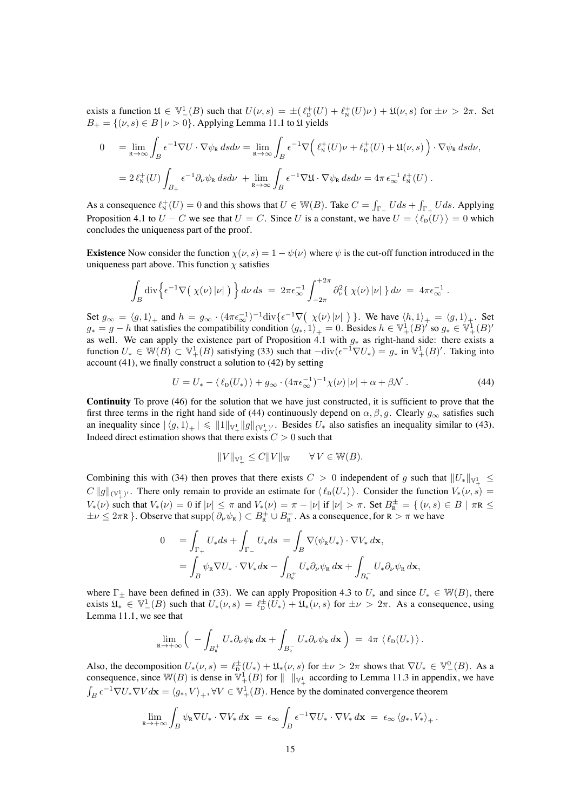exists a function  $\mathfrak{U} \in \mathbb{V}_-^1(B)$  such that  $U(\nu, s) = \pm(\ell_{\mathcal{D}}^+(U) + \ell_{\mathcal{N}}^+(U)\nu) + \mathfrak{U}(\nu, s)$  for  $\pm \nu > 2\pi$ . Set  $B_+ = \{ (\nu, s) \in B \mid \nu > 0 \}.$  Applying Lemma [11.1](#page-34-0) to  $\mathfrak U$  yields

$$
0 = \lim_{R \to \infty} \int_{B} \epsilon^{-1} \nabla U \cdot \nabla \psi_{R} ds d\nu = \lim_{R \to \infty} \int_{B} \epsilon^{-1} \nabla \Big( \ell_{N}^{+}(U) \nu + \ell_{D}^{+}(U) + \mathfrak{U}(\nu, s) \Big) \cdot \nabla \psi_{R} ds d\nu,
$$
  
=  $2 \ell_{N}^{+}(U) \int_{B_{+}} \epsilon^{-1} \partial_{\nu} \psi_{R} ds d\nu + \lim_{R \to \infty} \int_{B} \epsilon^{-1} \nabla \mathfrak{U} \cdot \nabla \psi_{R} ds d\nu = 4\pi \epsilon_{\infty}^{-1} \ell_{N}^{+}(U) .$ 

As a consequence  $\ell^+_N(U) = 0$  and this shows that  $U \in W(B)$ . Take  $C = \int_{\Gamma} U ds + \int_{\Gamma} U ds$ . Applying Proposition [4.1](#page-11-0) to  $U - C$  we see that  $U = C$ . Since U is a constant, we have  $U = \langle \ell_{\text{D}}(U) \rangle = 0$  which concludes the uniqueness part of the proof.

**Existence** Now consider the function  $\chi(\nu, s) = 1 - \psi(\nu)$  where  $\psi$  is the cut-off function introduced in the uniqueness part above. This function  $\chi$  satisfies

$$
\int_B \mathrm{div}\Big\{ \epsilon^{-1} \nabla \big( \chi(\nu) \, |\nu| \big) \Big\} \, d\nu \, ds \ = \ 2\pi \epsilon_{\infty}^{-1} \int_{-2\pi}^{+2\pi} \partial_{\nu}^2 \{ \, \chi(\nu) \, |\nu| \ \} \, d\nu \ = \ 4\pi \epsilon_{\infty}^{-1} \ .
$$

Set  $g_{\infty} = \langle g, 1 \rangle_+$  and  $h = g_{\infty} \cdot (4\pi \epsilon_{\infty}^{-1})^{-1} \text{div} \{ \epsilon^{-1} \nabla \big( \chi(\nu) |\nu| \big) \}$ . We have  $\langle h, 1 \rangle_+ = \langle g, 1 \rangle_+$ . Set  $g_*=g-h$  that satisfies the compatibility condition  $\langle g_*, 1 \rangle_+=0$ . Besides  $h \in \mathbb{V}_+^1(B)'$  so  $g_* \in \mathbb{V}_+^1(B)'$ as well. We can apply the existence part of Proposition [4.1](#page-11-0) with  $g_*$  as right-hand side: there exists a function  $U_* \in \mathbb{W}(B) \subset \mathbb{V}_+^1(B)$  satisfying [\(33\)](#page-11-3) such that  $-\text{div}(\epsilon^{-1} \nabla U_*) = g_*$  in  $\mathbb{V}_+^1(B)'$ . Taking into account [\(41\)](#page-13-1), we finally construct a solution to [\(42\)](#page-13-2) by setting

$$
U = U_* - \langle \ell_{\rm D}(U_*) \rangle + g_\infty \cdot (4\pi \epsilon_\infty^{-1})^{-1} \chi(\nu) |\nu| + \alpha + \beta \mathcal{N} \ . \tag{44}
$$

**Continuity** To prove [\(46\)](#page-15-2) for the solution that we have just constructed, it is sufficient to prove that the first three terms in the right hand side of [\(44\)](#page-14-0) continuously depend on  $\alpha, \beta, g$ . Clearly  $g_{\infty}$  satisfies such an inequality since  $|\langle g, 1\rangle_+| \leq \|1\|_{\mathbb{V}_+^1} \|g\|_{(\mathbb{V}_+^1)'}$ . Besides  $U_*$  also satisfies an inequality similar to [\(43\)](#page-13-3). Indeed direct estimation shows that there exists  $C > 0$  such that

<span id="page-14-0"></span>
$$
||V||_{\mathbb{V}^1_+} \leq C||V||_{\mathbb{W}} \qquad \forall V \in \mathbb{W}(B).
$$

Combining this with [\(34\)](#page-11-5) then proves that there exists  $C > 0$  independent of g such that  $||U_*||_{\mathbb{V}_+^1} \leq$  $C \|g\|_{(\mathbb{V}_+^1)'}$ . There only remain to provide an estimate for  $\langle \ell_{\text{D}}(U_*)\rangle$ . Consider the function  $V_*(\nu, s) =$  $V_*(\nu)$  such that  $V_*(\nu) = 0$  if  $|\nu| \leq \pi$  and  $V_*(\nu) = \pi - |\nu|$  if  $|\nu| > \pi$ . Set  $B_{\mathbb{R}}^{\pm} = \{ (\nu, s) \in B \mid \pi R \leq \pi \}$  $\pm \nu \leq 2\pi R$  }. Observe that  $\text{supp}(\partial_{\nu}\psi_R) \subset B_R^+ \cup B_R^-$ . As a consequence, for  $R > \pi$  we have

$$
0 = \int_{\Gamma_+} U_* ds + \int_{\Gamma_-} U_* ds = \int_B \nabla(\psi_{\mathbf{R}} U_*) \cdot \nabla V_* d\mathbf{x},
$$
  
= 
$$
\int_B \psi_{\mathbf{R}} \nabla U_* \cdot \nabla V_* d\mathbf{x} - \int_{B_{\mathbf{R}}^+} U_* \partial_{\nu} \psi_{\mathbf{R}} d\mathbf{x} + \int_{B_{\mathbf{R}}^-} U_* \partial_{\nu} \psi_{\mathbf{R}} d\mathbf{x},
$$

where  $\Gamma_{\pm}$  have been defined in [\(33\)](#page-11-3). We can apply Proposition [4.3](#page-11-2) to  $U_*$  and since  $U_* \in W(B)$ , there exists  $\mathfrak{U}_* \in \mathbb{V}_-^1(B)$  such that  $U_*(\nu, s) = \ell_{\mathcal{D}}^{\pm}(U_*) + \mathfrak{U}_*(\nu, s)$  for  $\pm \nu > 2\pi$ . As a consequence, using Lemma [11.1,](#page-34-0) we see that

$$
\lim_{R\to+\infty}\Big(-\int_{B_R^+}U_*\partial_\nu\psi_R\,d\mathbf{x}+\int_{B_R^-}U_*\partial_\nu\psi_R\,d\mathbf{x}\,\Big)\;=\;4\pi\,\left\langle\,\ell_D(U_*)\,\right\rangle.
$$

Also, the decomposition  $U_*(\nu, s) = \ell_{\mathcal{D}}^{\pm}(U_*) + \mathfrak{U}_*(\nu, s)$  for  $\pm \nu > 2\pi$  shows that  $\nabla U_* \in \mathbb{V}^0_-(B)$ . As a consequence, since  $W(B)$  is dense in  $\Psi^1_+(B)$  for  $||\Psi^1_+$  according to Lemma [11.3](#page-35-1) in appendix, we have  $\int_B \epsilon^{-1} \nabla U_* \nabla V d\mathbf{x} = \langle g_*, V \rangle_+, \forall V \in \mathbb{V}_+^1(B)$ . Hence by the dominated convergence theorem

$$
\lim_{R\to+\infty}\int_B\psi_R\nabla U_*\cdot\nabla V_*\,d\mathbf{x} \;=\; \epsilon_\infty\int_B\epsilon^{-1}\nabla U_*\cdot\nabla V_*\,d\mathbf{x} \;=\; \epsilon_\infty\,\langle g_*, V_*\rangle_+\,.
$$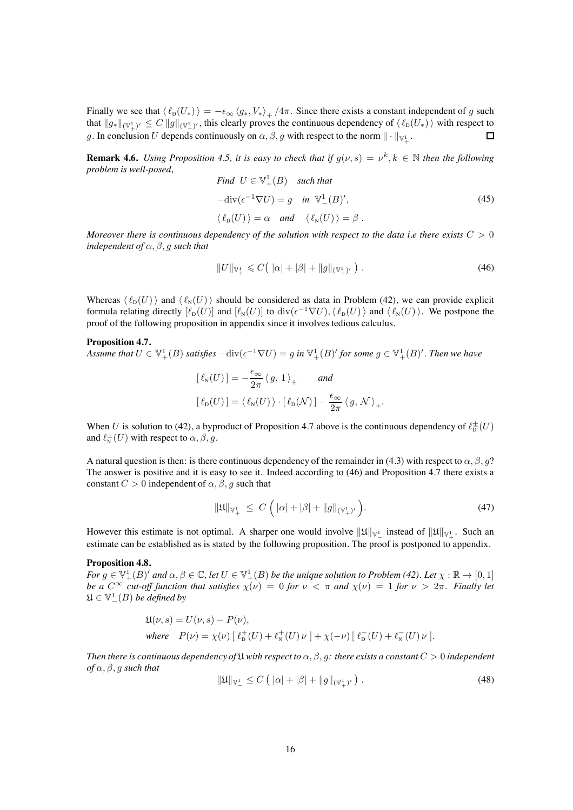Finally we see that  $\langle \ell_{D}(U_{*}) \rangle = -\epsilon_{\infty} \langle g_{*}, V_{*} \rangle_{+}/4\pi$ . Since there exists a constant independent of g such that  $\|g_*\|_{(\mathbb{V}_+^1)'}\leq C\, \|g\|_{(\mathbb{V}_+^1)'}$ , this clearly proves the continuous dependency of  $\langle\,\ell_{\rm D}(U_*)\,\rangle$  with respect to  $\Box$ g. In conclusion U depends continuously on  $\alpha, \beta, g$  with respect to the norm  $\|\cdot\|_{\mathbb{V}_+^1}$ .

<span id="page-15-4"></span>**Remark 4.6.** *Using Proposition [4.5,](#page-13-0) it is easy to check that if*  $g(\nu, s) = \nu^k$ ,  $k \in \mathbb{N}$  *then the following problem is well-posed,*  $F: U = \mathbb{F}$   $\left( \frac{1}{D} \right)$ 

Find 
$$
U \in \mathbb{V}_{+}^{1}(B)
$$
 such that  
\n
$$
-\text{div}(\epsilon^{-1}\nabla U) = g \text{ in } \mathbb{V}_{-}^{1}(B)',
$$
\n
$$
\langle \ell_{D}(U) \rangle = \alpha \text{ and } \langle \ell_{N}(U) \rangle = \beta.
$$
\n(45)

*Moreover there is continuous dependency of the solution with respect to the data i.e there exists*  $C > 0$ *independent of*  $\alpha$ ,  $\beta$ , g *such that* 

<span id="page-15-2"></span>
$$
||U||_{\mathbb{V}_{+}^{1}} \leqslant C\big(|\alpha| + |\beta| + ||g||_{(\mathbb{V}_{+}^{1})'}\big) . \tag{46}
$$

Whereas  $\langle \ell_{D}(U)\rangle$  and  $\langle \ell_{N}(U)\rangle$  should be considered as data in Problem [\(42\)](#page-13-2), we can provide explicit formula relating directly  $[\ell_{\text{D}}(U)]$  and  $[\ell_{\text{N}}(U)]$  to div $(\epsilon^{-1} \nabla U), \ell_{\text{D}}(U)$  and  $\langle \ell_{\text{N}}(U) \rangle$ . We postpone the proof of the following proposition in appendix since it involves tedious calculus.

#### <span id="page-15-0"></span>**Proposition 4.7.**

*Assume that*  $U \in \mathbb{V}_+^1(B)$  *satisfies*  $-\text{div}(\epsilon^{-1}\nabla U) = g$  *in*  $\mathbb{V}_+^1(B)'$  *for some*  $g \in \mathbb{V}_+^1(B)'$ *. Then we have* 

$$
\begin{aligned} [\ell_{\mathrm{N}}(U)] &= -\frac{\epsilon_{\infty}}{2\pi} \langle g, 1 \rangle_{+} \qquad and \\ [\ell_{\mathrm{D}}(U)] &= \langle \ell_{\mathrm{N}}(U) \rangle \cdot [\ell_{\mathrm{D}}(\mathcal{N})] - \frac{\epsilon_{\infty}}{2\pi} \langle g, \mathcal{N} \rangle_{+}. \end{aligned}
$$

When U is solution to [\(42\)](#page-13-2), a byproduct of Proposition [4.7](#page-15-0) above is the continuous dependency of  $\ell_{\rm D}^{\pm}(U)$ and  $\ell_{\text{\tiny N}}^{\pm}(U)$  with respect to  $\alpha,\beta,g.$ 

A natural question is then: is there continuous dependency of the remainder in [\(4.3\)](#page-11-2) with respect to  $\alpha$ ,  $\beta$ ,  $q$ ? The answer is positive and it is easy to see it. Indeed according to [\(46\)](#page-15-2) and Proposition [4.7](#page-15-0) there exists a constant  $C > 0$  independent of  $\alpha, \beta, g$  such that

<span id="page-15-5"></span>
$$
\|\mathfrak{U}\|_{\mathbb{V}_{+}^{1}} \leq C \left( |\alpha| + |\beta| + \|g\|_{(\mathbb{V}_{+}^{1})'} \right). \tag{47}
$$

<span id="page-15-1"></span>However this estimate is not optimal. A sharper one would involve  $\|\mathfrak{U}\|_{\mathbb{V}_-^1}$  instead of  $\|\mathfrak{U}\|_{\mathbb{V}_+^1}$ . Such an estimate can be established as is stated by the following proposition. The proof is postponed to appendix.

#### **Proposition 4.8.**

*For*  $g \in \mathbb{V}_+^1(B)'$  *and*  $\alpha, \beta \in \mathbb{C}$ , let  $U \in \mathbb{V}_+^1(B)$  *be the unique solution to Problem [\(42\)](#page-13-2). Let*  $\chi : \mathbb{R} \to [0,1]$ *be a*  $C^{\infty}$  *cut-off function that satisfies*  $\chi(\nu)=0$  *for*  $\nu < \pi$  *and*  $\chi(\nu)=1$  *for*  $\nu > 2\pi$ *. Finally let*  $\mathfrak{U}\in\mathbb{V}^1_-(B)$  *be defined by* 

<span id="page-15-3"></span>
$$
\begin{aligned} &\mathfrak{U}(\nu,s)=U(\nu,s)-P(\nu),\\ &\text{where}\quad P(\nu)=\chi(\nu)\left[\ \ell_{\mathrm{D}}^{+}(U)+\ell_{\mathrm{N}}^{+}(U)\,\nu\ \right]+\chi(-\nu)\left[\ \ell_{\mathrm{D}}^{-}(U)+\ell_{\mathrm{N}}^{-}(U)\,\nu\ \right]. \end{aligned}
$$

*Then there is continuous dependency of*  $\mathfrak U$  *with respect to*  $\alpha, \beta, q$ *: there exists a constant*  $C > 0$  *independent of* α, β, g *such that*

$$
\|\mathfrak{U}\|_{\mathbb{V}_{-}^{1}} \leq C \left( |\alpha| + |\beta| + \|g\|_{(\mathbb{V}_{+}^{1})'} \right). \tag{48}
$$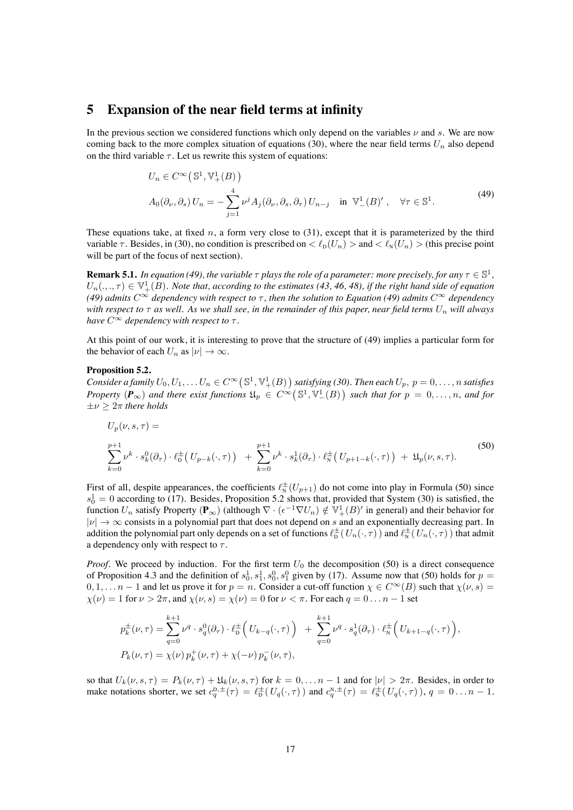### **5 Expansion of the near field terms at infinity**

In the previous section we considered functions which only depend on the variables  $\nu$  and s. We are now coming back to the more complex situation of equations [\(30\)](#page-10-0), where the near field terms  $U_n$  also depend on the third variable  $\tau$ . Let us rewrite this system of equations:

<span id="page-16-0"></span>
$$
U_n \in C^{\infty}(\mathbb{S}^1, \mathbb{V}_+^1(B))
$$
  
\n
$$
A_0(\partial_{\nu}, \partial_s) U_n = -\sum_{j=1}^4 \nu^j A_j(\partial_{\nu}, \partial_s, \partial_{\tau}) U_{n-j} \text{ in } \mathbb{V}_-^1(B)', \forall \tau \in \mathbb{S}^1.
$$
\n(49)

These equations take, at fixed n, a form very close to  $(31)$ , except that it is parameterized by the third variable  $\tau$ . Besides, in [\(30\)](#page-10-0), no condition is prescribed on  $\lt \ell_{\text{D}}(U_n) >$  and  $\lt \ell_{\text{N}}(U_n) >$  (this precise point will be part of the focus of next section).

**Remark 5.1.** *In equation [\(49\)](#page-16-0), the variable*  $\tau$  *plays the role of a parameter: more precisely, for any*  $\tau \in \mathbb{S}^1$ *,*  $U_n(.,.,\tau) \in \mathbb{V}_+^1(B)$ . Note that, according to the estimates [\(43,](#page-13-3) [46,](#page-15-2) [48\)](#page-15-3), if the right hand side of equation *[\(49\)](#page-16-0)* admits  $C^{\infty}$  dependency with respect to  $\tau$ , then the solution to Equation (49) admits  $C^{\infty}$  dependency *with respect to*  $\tau$  *as well. As we shall see, in the remainder of this paper, near field terms*  $U_n$  *will always have*  $C^{\infty}$  *dependency with respect to*  $\tau$ *.* 

<span id="page-16-2"></span>At this point of our work, it is interesting to prove that the structure of [\(49\)](#page-16-0) implies a particular form for the behavior of each  $U_n$  as  $|\nu| \to \infty$ .

#### **Proposition 5.2.**

 $Consider a family  $U_0, U_1, \ldots U_n \in C^\infty(\mathbb{S}^1, \mathbb{V}^1_+(B))$  satisfying (30). Then each  $U_p, p = 0, \ldots, n$  satisfies$  $Consider a family  $U_0, U_1, \ldots U_n \in C^\infty(\mathbb{S}^1, \mathbb{V}^1_+(B))$  satisfying (30). Then each  $U_p, p = 0, \ldots, n$  satisfies$  $Consider a family  $U_0, U_1, \ldots U_n \in C^\infty(\mathbb{S}^1, \mathbb{V}^1_+(B))$  satisfying (30). Then each  $U_p, p = 0, \ldots, n$  satisfies$ *Property*  $(P_\infty)$  and there exist functions  $\mathfrak{U}_p \in C^\infty(\mathbb{S}^1, \mathbb{V}_-^1(B))$  such that for  $p = 0, \ldots, n$ , and for  $\pm \nu > 2\pi$  *there holds* 

<span id="page-16-1"></span>
$$
U_p(\nu, s, \tau) =
$$
  
\n
$$
\sum_{k=0}^{p+1} \nu^k \cdot s_k^0(\partial_\tau) \cdot \ell_{\mathcal{D}}^{\pm} (U_{p-k}(\cdot, \tau)) + \sum_{k=0}^{p+1} \nu^k \cdot s_k^1(\partial_\tau) \cdot \ell_{\mathcal{N}}^{\pm} (U_{p+1-k}(\cdot, \tau)) + \mathfrak{U}_p(\nu, s, \tau).
$$
\n(50)

First of all, despite appearances, the coefficients  $\ell_{N}^{\pm}(U_{p+1})$  do not come into play in Formula [\(50\)](#page-16-1) since  $s_0^1 = 0$  according to [\(17\)](#page-6-3). Besides, Proposition [5.2](#page-16-2) shows that, provided that System [\(30\)](#page-10-0) is satisfied, the function  $U_n$  satisfy Property ( $\mathbf{P}_{\infty}$ ) (although  $\nabla \cdot (\epsilon^{-1} \nabla U_n) \notin \mathbb{V}_+^1(B)'$  in general) and their behavior for  $|\nu| \to \infty$  consists in a polynomial part that does not depend on s and an exponentially decreasing part. In addition the polynomial part only depends on a set of functions  $\ell_{\rm D}^{\pm}(U_n(\cdot,\tau))$  and  $\ell_{\rm N}^{\pm}(U_n(\cdot,\tau))$  that admit a dependency only with respect to  $\tau$ .

*Proof.* We proceed by induction. For the first term  $U_0$  the decomposition [\(50\)](#page-16-1) is a direct consequence of Proposition [4.3](#page-11-2) and the definition of  $s_0^1, s_1^1, s_0^0, s_1^0$  given by [\(17\)](#page-6-3). Assume now that [\(50\)](#page-16-1) holds for  $p =$  $0, 1, \ldots n-1$  and let us prove it for  $p = n$ . Consider a cut-off function  $\chi \in C^{\infty}(B)$  such that  $\chi(\nu, s)$  $\chi(\nu)=1$  for  $\nu > 2\pi$ , and  $\chi(\nu, s) = \chi(\nu) = 0$  for  $\nu < \pi$ . For each  $q = 0 \ldots n - 1$  set

$$
p_k^{\pm}(\nu,\tau) = \sum_{q=0}^{k+1} \nu^q \cdot s_q^0(\partial_\tau) \cdot \ell_{\mathbf{D}}^{\pm} \Big( U_{k-q}(\cdot,\tau) \Big) + \sum_{q=0}^{k+1} \nu^q \cdot s_q^1(\partial_\tau) \cdot \ell_{\mathbf{N}}^{\pm} \Big( U_{k+1-q}(\cdot,\tau) \Big),
$$
  
\n
$$
P_k(\nu,\tau) = \chi(\nu) \, p_k^+(\nu,\tau) + \chi(-\nu) \, p_k^-(\nu,\tau),
$$

so that  $U_k(\nu, s, \tau) = P_k(\nu, \tau) + \mathfrak{U}_k(\nu, s, \tau)$  for  $k = 0, \ldots n - 1$  and for  $|\nu| > 2\pi$ . Besides, in order to make notations shorter, we set  $c_q^{D, \pm}(\tau) = \ell_{D}^{\pm}(U_q(\cdot, \tau))$  and  $c_q^{N, \pm}(\tau) = \ell_{N}^{\pm}(U_q(\cdot, \tau))$ ,  $q = 0...n - 1$ .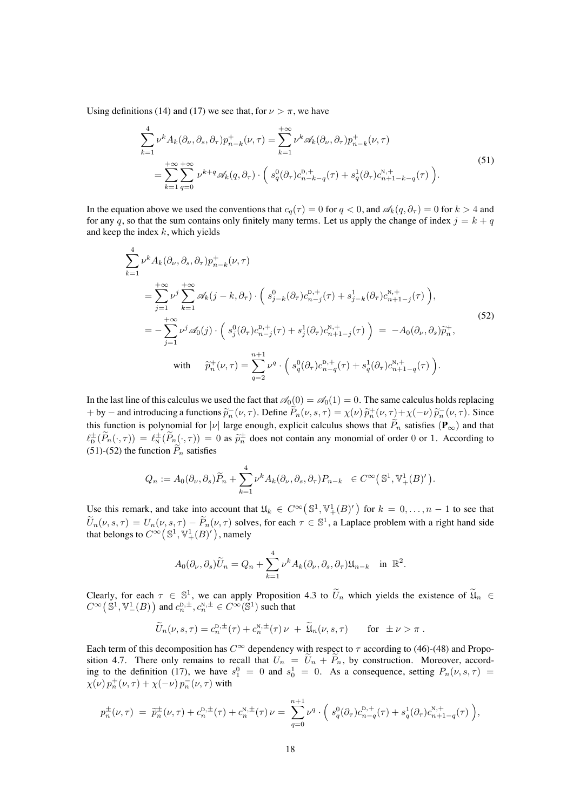Using definitions [\(14\)](#page-5-4) and [\(17\)](#page-6-3) we see that, for  $\nu > \pi$ , we have

<span id="page-17-0"></span>
$$
\sum_{k=1}^{4} \nu^k A_k(\partial_\nu, \partial_s, \partial_\tau) p_{n-k}^+(\nu, \tau) = \sum_{k=1}^{+\infty} \nu^k \mathscr{A}_k(\partial_\nu, \partial_\tau) p_{n-k}^+(\nu, \tau)
$$
\n
$$
= \sum_{k=1}^{+\infty} \sum_{q=0}^{+\infty} \nu^{k+q} \mathscr{A}_k(q, \partial_\tau) \cdot \left( s_q^0(\partial_\tau) c_{n-k-q}^{0,+}(\tau) + s_q^1(\partial_\tau) c_{n+1-k-q}^{N,+}(\tau) \right). \tag{51}
$$

In the equation above we used the conventions that  $c_q(\tau)=0$  for  $q < 0$ , and  $\mathscr{A}_k(q, \partial_\tau) = 0$  for  $k > 4$  and for any q, so that the sum contains only finitely many terms. Let us apply the change of index  $j = k + q$ and keep the index  $k$ , which yields

<span id="page-17-1"></span>
$$
\sum_{k=1}^{4} \nu^{k} A_{k}(\partial_{\nu}, \partial_{s}, \partial_{\tau}) p_{n-k}^{+}(\nu, \tau)
$$
\n
$$
= \sum_{j=1}^{+\infty} \nu^{j} \sum_{k=1}^{+\infty} \mathscr{A}_{k}(j-k, \partial_{\tau}) \cdot \left(s_{j-k}^{0}(\partial_{\tau}) c_{n-j}^{0,+}(\tau) + s_{j-k}^{1}(\partial_{\tau}) c_{n+1-j}^{N,+}(\tau)\right),
$$
\n
$$
= -\sum_{j=1}^{+\infty} \nu^{j} \mathscr{A}_{0}(j) \cdot \left(s_{j}^{0}(\partial_{\tau}) c_{n-j}^{0,+}(\tau) + s_{j}^{1}(\partial_{\tau}) c_{n+1-j}^{N,+}(\tau)\right) = -A_{0}(\partial_{\nu}, \partial_{s}) \tilde{p}_{n}^{+},
$$
\nwith\n
$$
\tilde{p}_{n}^{+}(\nu, \tau) = \sum_{q=2}^{n+1} \nu^{q} \cdot \left(s_{q}^{0}(\partial_{\tau}) c_{n-q}^{0,+}(\tau) + s_{q}^{1}(\partial_{\tau}) c_{n+1-q}^{N,+}(\tau)\right).
$$
\n(52)

In the last line of this calculus we used the fact that  $\mathcal{A}_0(0) = \mathcal{A}_0(1) = 0$ . The same calculus holds replacing + by – and introducing a functions  $\tilde{p}_n^-(\nu, \tau)$ . Define  $P_n(\nu, s, \tau) = \chi(\nu) \tilde{p}_n^+(\nu, \tau) + \chi(-\nu) \tilde{p}_n^-(\nu, \tau)$ . Since this function is polynomial for |v| large enough, explicit calculus shows that  $\tilde{P}_n$  satisfies ( $\mathbf{P}_{\infty}$ ) and that  $\ell_{\mathcal{D}}^{\pm}(\tilde{P}_n(\cdot,\tau)) = \ell_{\mathcal{N}}^{\pm}(\tilde{P}_n(\cdot,\tau)) = 0$  as  $\tilde{p}_n^{\pm}$  does not contain any monomial of order 0 or 1. According to [\(51\)](#page-17-0)-[\(52\)](#page-17-1) the function  $P_n$  satisfies

$$
Q_n := A_0(\partial_{\nu}, \partial_s) \widetilde{P}_n + \sum_{k=1}^4 \nu^k A_k(\partial_{\nu}, \partial_s, \partial_{\tau}) P_{n-k} \in C^{\infty}(\mathbb{S}^1, \mathbb{V}^1_+(B)^{\prime}).
$$

Use this remark, and take into account that  $\mathfrak{U}_k \in C^\infty(\mathbb{S}^1, \mathbb{V}^1_+(B)')$  for  $k = 0, \ldots, n-1$  to see that  $\widetilde{U}_n(\nu, s, \tau) = U_n(\nu, s, \tau) - \widetilde{P}_n(\nu, \tau)$  solves, for each  $\tau \in \mathbb{S}^1$ , a Laplace problem with a right hand side that belongs to  $C^{\infty}(\mathbb{S}^1,\mathbb{V}^1_+(B)^{\prime})$  , namely

$$
A_0(\partial_\nu,\partial_s)\widetilde{U}_n = Q_n + \sum_{k=1}^4 \nu^k A_k(\partial_\nu,\partial_s,\partial_\tau) \mathfrak{U}_{n-k} \text{ in } \mathbb{R}^2.
$$

Clearly, for each  $\tau \in \mathbb{S}^1$ , we can apply Proposition [4.3](#page-11-2) to  $\widetilde{U}_n$  which yields the existence of  $\widetilde{\mathfrak{U}}_n \in \mathbb{S}^1$  $C^{\infty}(\mathbb{S}^1, \mathbb{V}^1_-(B))$  and  $c_n^{D, \pm}, c_n^{N, \pm} \in C^{\infty}(\mathbb{S}^1)$  such that

$$
\widetilde{U}_n(\nu, s, \tau) = c_n^{\mathrm{D}, \pm}(\tau) + c_n^{\mathrm{N}, \pm}(\tau) \nu + \widetilde{\mathfrak{U}}_n(\nu, s, \tau) \quad \text{for } \pm \nu > \pi.
$$

Each term of this decomposition has  $C^{\infty}$  dependency with respect to  $\tau$  according to [\(46\)](#page-15-2)-[\(48\)](#page-15-3) and Propo-sition [4.7.](#page-15-0) There only remains to recall that  $U_n = U_n + P_n$ , by construction. Moreover, accord-ing to the definition [\(17\)](#page-6-3), we have  $s_1^0 = 0$  and  $s_0^1 = 0$ . As a consequence, setting  $P_n(\nu, s, \tau) =$  $\chi(\nu) p_n^+(\nu, \tau) + \chi(-\nu) p_n^-(\nu, \tau)$  with

$$
p_n^{\pm}(\nu,\tau) = \tilde{p}_n^{\pm}(\nu,\tau) + c_n^{p,\pm}(\tau) + c_n^{N,\pm}(\tau)\nu = \sum_{q=0}^{n+1} \nu^q \cdot \left(s_q^0(\partial_\tau)c_{n-q}^{p,+}(\tau) + s_q^1(\partial_\tau)c_{n+1-q}^{N,+}(\tau)\right),
$$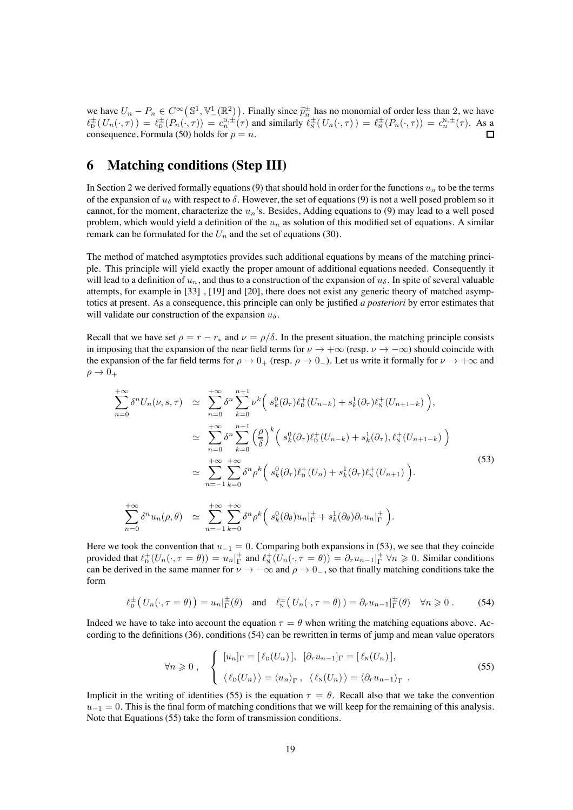we have  $U_n - P_n \in C^\infty(\mathbb{S}^1, \mathbb{V}^1_-(\mathbb{R}^2))$ . Finally since  $\widetilde{p}_n^{\pm}$  has no monomial of order less than 2, we have  $\ell_{\rm D}^{\pm}(U_n(\cdot,\tau)) = \ell_{\rm D}^{\pm}(P_n(\cdot,\tau)) = c_n^{D,\pm}(\tau)$  and similarly  $\ell_{\rm N}^{\pm}(U_n(\cdot,\tau)) = \ell_{\rm N}^{\pm}(P_n(\cdot,\tau)) = c_n^{N,\pm}(\tau)$ . As a consequence, Formula [\(50\)](#page-16-1) holds for  $p = n$ .

# **6 Matching conditions (Step III)**

 $n=0$ 

In Section [2](#page-4-1) we derived formally equations [\(9\)](#page-4-0) that should hold in order for the functions  $u_n$  to be the terms of the expansion of  $u_{\delta}$  with respect to  $\delta$ . However, the set of equations [\(9\)](#page-4-0) is not a well posed problem so it cannot, for the moment, characterize the  $u_n$ 's. Besides, Adding equations to [\(9\)](#page-4-0) may lead to a well posed problem, which would yield a definition of the  $u_n$  as solution of this modified set of equations. A similar remark can be formulated for the  $U_n$  and the set of equations [\(30\)](#page-10-0).

The method of matched asymptotics provides such additional equations by means of the matching principle. This principle will yield exactly the proper amount of additional equations needed. Consequently it will lead to a definition of  $u_n$ , and thus to a construction of the expansion of  $u_\delta$ . In spite of several valuable attempts, for example in [\[33\]](#page-38-8) , [\[19\]](#page-38-12) and [\[20\]](#page-38-13), there does not exist any generic theory of matched asymptotics at present. As a consequence, this principle can only be justified *a posteriori* by error estimates that will validate our construction of the expansion  $u_{\delta}$ .

Recall that we have set  $\rho = r - r_*$  and  $\nu = \rho/\delta$ . In the present situation, the matching principle consists in imposing that the expansion of the near field terms for  $\nu \to +\infty$  (resp.  $\nu \to -\infty$ ) should coincide with the expansion of the far field terms for  $\rho \to 0_+$  (resp.  $\rho \to 0_-$ ). Let us write it formally for  $\nu \to +\infty$  and  $\rho \rightarrow 0_+$ 

<span id="page-18-0"></span>
$$
\sum_{n=0}^{+\infty} \delta^n U_n(\nu, s, \tau) \simeq \sum_{n=0}^{+\infty} \delta^n \sum_{k=0}^{n+1} \nu^k \Big( s_k^0(\partial_\tau) \ell_{\mathrm{D}}^+(U_{n-k}) + s_k^1(\partial_\tau) \ell_{\mathrm{N}}^+(U_{n+1-k}) \Big),
$$
  

$$
\simeq \sum_{n=0}^{+\infty} \delta^n \sum_{k=0}^{n+1} \Big( \frac{\rho}{\delta} \Big)^k \Big( s_k^0(\partial_\tau) \ell_{\mathrm{D}}^+(U_{n-k}) + s_k^1(\partial_\tau), \ell_{\mathrm{N}}^+(U_{n+1-k}) \Big)
$$
  

$$
\simeq \sum_{n=-1}^{+\infty} \sum_{k=0}^{+\infty} \delta^n \rho^k \Big( s_k^0(\partial_\tau) \ell_{\mathrm{D}}^+(U_n) + s_k^1(\partial_\tau) \ell_{\mathrm{N}}^+(U_{n+1}) \Big).
$$
  

$$
\sum_{n=0}^{+\infty} \delta^n u_n(\rho, \theta) \simeq \sum_{n=-1}^{+\infty} \sum_{k=0}^{+\infty} \delta^n \rho^k \Big( s_k^0(\partial_\theta) u_n \big|_{\Gamma}^+ + s_k^1(\partial_\theta) \partial_\tau u_n \big|_{\Gamma}^+ \Big).
$$
  
(53)

Here we took the convention that  $u_{-1} = 0$ . Comparing both expansions in [\(53\)](#page-18-0), we see that they coincide provided that  $\ell_{\mathcal{D}}^+(U_n(\cdot, \tau = \theta)) = u_n|_{\Gamma}^+$  and  $\ell_{\mathcal{N}}^+(U_n(\cdot, \tau = \theta)) = \partial_r u_{n-1}|_{\Gamma}^+ \forall n \geq 0$ . Similar conditions can be derived in the same manner for  $\nu \to -\infty$  and  $\rho \to 0^-$ , so that finally matching conditions take the form

 $_{k=0}$ 

<span id="page-18-1"></span>
$$
\ell_{\mathcal{D}}^{\pm}\big(U_{n}(\cdot,\tau=\theta)\big)=u_{n}|_{\Gamma}^{\pm}(\theta) \quad \text{and} \quad \ell_{\mathcal{N}}^{\pm}\big(U_{n}(\cdot,\tau=\theta)\big)=\partial_{r}u_{n-1}|_{\Gamma}^{\pm}(\theta) \quad \forall n \geqslant 0. \tag{54}
$$

<span id="page-18-2"></span>Indeed we have to take into account the equation  $\tau = \theta$  when writing the matching equations above. According to the definitions [\(36\)](#page-11-4), conditions [\(54\)](#page-18-1) can be rewritten in terms of jump and mean value operators

$$
\forall n \geqslant 0 \;, \quad \left\{ \begin{array}{l} [u_n]_{\Gamma} = [\ell_{\mathcal{D}}(U_n)], \quad [\partial_r u_{n-1}]_{\Gamma} = [\ell_{\mathcal{N}}(U_n)], \\ \langle \ell_{\mathcal{D}}(U_n) \rangle = \langle u_n \rangle_{\Gamma}, \quad \langle \ell_{\mathcal{N}}(U_n) \rangle = \langle \partial_r u_{n-1} \rangle_{\Gamma} \end{array} \right. \tag{55}
$$

Implicit in the writing of identities [\(55\)](#page-18-2) is the equation  $\tau = \theta$ . Recall also that we take the convention  $u_{-1} = 0$ . This is the final form of matching conditions that we will keep for the remaining of this analysis. Note that Equations [\(55\)](#page-18-2) take the form of transmission conditions.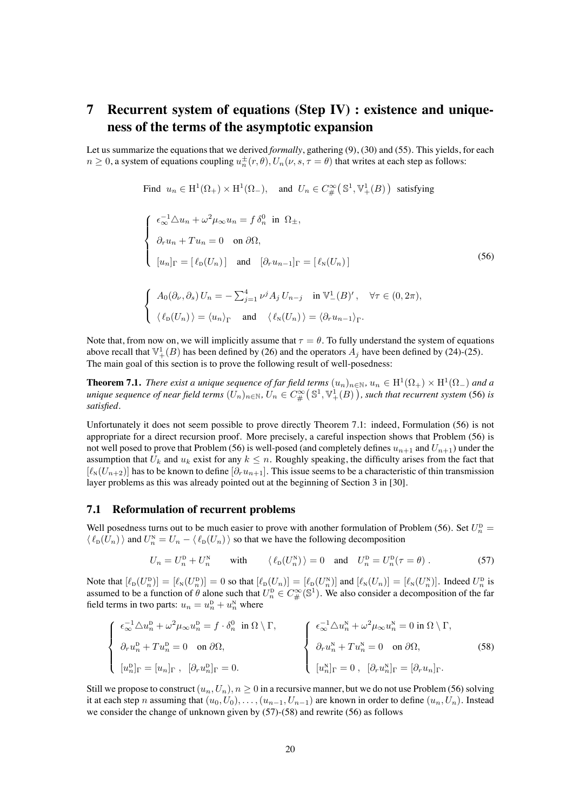# **7 Recurrent system of equations (Step IV) : existence and uniqueness of the terms of the asymptotic expansion**

<span id="page-19-1"></span>Let us summarize the equations that we derived *formally*, gathering [\(9\)](#page-4-0), [\(30\)](#page-10-0) and [\(55\)](#page-18-2). This yields, for each  $n \geq 0$ , a system of equations coupling  $u_n^{\pm}(r, \theta), U_n(\nu, s, \tau = \theta)$  that writes at each step as follows:

Find  $u_n \in H^1(\Omega_+) \times H^1(\Omega_-)$ , and  $U_n \in C^{\infty}_{\#}(\mathbb{S}^1, \mathbb{V}^1_+(B))$  satisfying

$$
\begin{cases}\n\epsilon_{\infty}^{-1} \Delta u_n + \omega^2 \mu_{\infty} u_n = f \,\delta_n^0 \text{ in } \Omega_{\pm}, \\
\partial_r u_n + T u_n = 0 \text{ on } \partial \Omega, \\
[u_n]_{\Gamma} = [\ell_{\mathcal{D}}(U_n)] \text{ and } [\partial_r u_{n-1}]_{\Gamma} = [\ell_{\mathcal{N}}(U_n)]\n\end{cases}
$$
\n
$$
\begin{cases}\nA_0(\partial_\nu, \partial_s) U_n = -\sum_{j=1}^4 \nu^j A_j U_{n-j} \text{ in } \mathbb{V}^1_{-}(B)', \quad \forall \tau \in (0, 2\pi), \\
\langle \ell_{\mathcal{D}}(U_n) \rangle = \langle u_n \rangle_{\Gamma} \text{ and } \langle \ell_{\mathcal{N}}(U_n) \rangle = \langle \partial_r u_{n-1} \rangle_{\Gamma}.\n\end{cases}
$$
\n(56)

Note that, from now on, we will implicitly assume that  $\tau = \theta$ . To fully understand the system of equations above recall that  $\mathbb{V}_+^1(B)$  has been defined by [\(26\)](#page-8-1) and the operators  $A_j$  have been defined by [\(24\)](#page-8-2)-[\(25\)](#page-8-0). The main goal of this section is to prove the following result of well-posedness:

<span id="page-19-0"></span>**Theorem 7.1.** *There exist a unique sequence of far field terms*  $(u_n)_{n\in\mathbb{N}}$ ,  $u_n \in H^1(\Omega_+) \times H^1(\Omega_-)$  *and a*  $u$ nique sequence of near field terms  $(U_n)_{n\in\mathbb N},$   $U_n\in C^\infty_\#\big(\mathbb S^1,\mathbb V^1_+(B)\big)$ , such that recurrent system [\(56\)](#page-19-1) is *satisfied.*

Unfortunately it does not seem possible to prove directly Theorem [7.1:](#page-19-0) indeed, Formulation [\(56\)](#page-19-1) is not appropriate for a direct recursion proof. More precisely, a careful inspection shows that Problem (56) is not well posed to prove that Problem [\(56\)](#page-19-1) is well-posed (and completely defines  $u_{n+1}$  and  $U_{n+1}$ ) under the assumption that  $U_k$  and  $u_k$  exist for any  $k \leq n$ . Roughly speaking, the difficulty arises from the fact that  $[\ell_N(U_{n+2})]$  has to be known to define  $[\partial_r u_{n+1}]$ . This issue seems to be a characteristic of thin transmission layer problems as this was already pointed out at the beginning of Section 3 in [\[30\]](#page-38-5).

#### **7.1 Reformulation of recurrent problems**

Well posedness turns out to be much easier to prove with another formulation of Problem [\(56\)](#page-19-1). Set  $U_n^{\text{D}} =$  $\langle \ell_{\text{D}}(U_n) \rangle$  and  $U_n^{\text{N}} = U_n - \langle \ell_{\text{D}}(U_n) \rangle$  so that we have the following decomposition

<span id="page-19-3"></span><span id="page-19-2"></span>
$$
U_n = U_n^{\mathsf{D}} + U_n^{\mathsf{N}} \qquad \text{with} \qquad \langle \ell_{\mathsf{D}}(U_n^{\mathsf{N}}) \rangle = 0 \quad \text{and} \quad U_n^{\mathsf{D}} = U_n^{\mathsf{D}}(\tau = \theta) \; . \tag{57}
$$

Note that  $[\ell_{D}(U_n^D)] = [\ell_{N}(U_n^D)] = 0$  so that  $[\ell_{D}(U_n)] = [\ell_{D}(U_n^N)]$  and  $[\ell_{N}(U_n)] = [\ell_{N}(U_n^N)]$ . Indeed  $U_n^D$  is assumed to be a function of  $\theta$  alone such that  $U_n^{\text{D}} \in C^{\infty}_{\#}(\mathbb{S}^1)$ . We also consider a decomposition of the far field terms in two parts:  $u_n = u_n^D + u_n^N$  where

$$
\begin{cases}\n\epsilon_{\infty}^{-1} \Delta u_n^{\mathrm{D}} + \omega^2 \mu_{\infty} u_n^{\mathrm{D}} = f \cdot \delta_n^0 \text{ in } \Omega \setminus \Gamma, \\
\partial_r u_n^{\mathrm{D}} + T u_n^{\mathrm{D}} = 0 \text{ on } \partial \Omega, \\
[u_n^{\mathrm{D}}]_{\Gamma} = [u_n]_{\Gamma}, \quad [\partial_r u_n^{\mathrm{D}}]_{\Gamma} = 0.\n\end{cases}\n\qquad\n\begin{cases}\n\epsilon_{\infty}^{-1} \Delta u_n^{\mathrm{N}} + \omega^2 \mu_{\infty} u_n^{\mathrm{N}} = 0 \text{ in } \Omega \setminus \Gamma, \\
\delta_r u_n^{\mathrm{N}} + T u_n^{\mathrm{N}} = 0 \text{ on } \partial \Omega, \\
[u_n^{\mathrm{N}}]_{\Gamma} = 0, \quad [\partial_r u_n^{\mathrm{N}}]_{\Gamma} = [\partial_r u_n]_{\Gamma}.\n\end{cases}\n\tag{58}
$$

Still we propose to construct  $(u_n, U_n)$ ,  $n \geq 0$  in a recursive manner, but we do not use Problem [\(56\)](#page-19-1) solving it at each step n assuming that  $(u_0, U_0), \ldots, (u_{n-1}, U_{n-1})$  are known in order to define  $(u_n, U_n)$ . Instead we consider the change of unknown given by [\(57\)](#page-19-2)-[\(58\)](#page-19-3) and rewrite [\(56\)](#page-19-1) as follows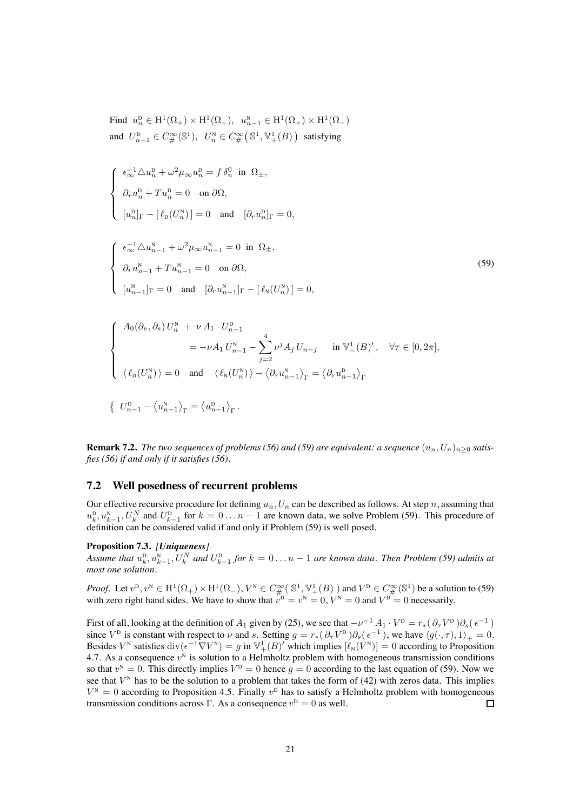<span id="page-20-0"></span>Find  $u_n^D \in H^1(\Omega_+) \times H^1(\Omega_-)$ ,  $u_{n-1}^N \in H^1(\Omega_+) \times H^1(\Omega_-)$ and  $U_{n-1}^{\mathbf{D}} \in C_{\#}^{\infty}(\mathbb{S}^{1}), U_{n}^{\mathbf{N}} \in C_{\#}^{\infty}(\mathbb{S}^{1}, \mathbb{V}_{+}^{1}(B))$  satisfying

$$
\label{eq:2.1} \left\{ \begin{array}{l} \epsilon_\infty^{-1}\triangle u_n^{\mathrm{D}}+\omega^2\mu_\infty u_n^{\mathrm{D}}=f\,\delta_n^0\ \, \mbox{in}\ \, \Omega_\pm,\\ \\ \partial_r u_n^{\mathrm{D}}+Tu_n^{\mathrm{D}}=0\quad \, \mbox{on}\,\, \partial\Omega,\\ \\ [u_n^{\mathrm{D}}]_\Gamma\,-\, [\,\ell_{\mathrm{D}}(U_n^{\mathrm{N}})\,]=0\quad \, \mbox{and}\quad [\partial_r u_n^{\mathrm{D}}]_\Gamma=0, \end{array} \right.
$$

$$
\begin{cases}\n\epsilon_{\infty}^{-1} \Delta u_{n-1}^{N} + \omega^{2} \mu_{\infty} u_{n-1}^{N} = 0 \text{ in } \Omega_{\pm}, \\
\partial_{r} u_{n-1}^{N} + T u_{n-1}^{N} = 0 \text{ on } \partial \Omega, \\
[u_{n-1}^{N}]_{\Gamma} = 0 \text{ and } [\partial_{r} u_{n-1}^{N}]_{\Gamma} - [\ell_{N}(U_{n}^{N})] = 0,\n\end{cases}
$$
\n(59)

$$
\begin{cases}\nA_0(\partial_{\nu}, \partial_s) U_n^N + \nu A_1 \cdot U_{n-1}^D \\
= -\nu A_1 U_{n-1}^N - \sum_{j=2}^4 \nu^j A_j U_{n-j} \quad \text{in } \mathbb{V}_-^1(B)', \quad \forall \tau \in [0, 2\pi], \\
\langle \ell_{\mathcal{D}}(U_n^N) \rangle = 0 \quad \text{and} \quad \langle \ell_{\mathcal{N}}(U_n^N) \rangle - \langle \partial_r u_{n-1}^N \rangle_{\Gamma} = \langle \partial_r u_{n-1}^D \rangle_{\Gamma}\n\end{cases}
$$

$$
\left\{ \begin{array}{c} U_{n-1}^{\mathrm{D}} - \left\langle u_{n-1}^{\mathrm{N}} \right\rangle_{\Gamma} = \left\langle u_{n-1}^{\mathrm{D}} \right\rangle_{\Gamma}. \end{array} \right.
$$

**Remark 7.2.** *The two sequences of problems [\(56\)](#page-19-1) and [\(59\)](#page-20-0) are equivalent: a sequence*  $(u_n, U_n)_{n>0}$  *satisfies [\(56\)](#page-19-1) if and only if it satisfies [\(56\)](#page-19-1).*

#### **7.2 Well posedness of recurrent problems**

Our effective recursive procedure for defining  $u_n, U_n$  can be described as follows. At step n, assuming that  $u_k^D, u_{k-1}^N, U_k^N$  and  $U_{k-1}^D$  for  $k = 0...n-1$  are known data, we solve Problem [\(59\)](#page-20-0). This procedure of definition can be considered valid if and only if Problem [\(59\)](#page-20-0) is well posed.

#### <span id="page-20-1"></span>**Proposition 7.3.** *[Uniqueness]*

Assume that  $u_k^{\text{D}}, u_{k-1}^{\text{N}}, U_k^N$  and  $U_{k-1}^{\text{D}}$  for  $k = 0...n-1$  are known data. Then Problem [\(59\)](#page-20-0) admits at *most one solution.*

*Proof.* Let  $v^{\mathrm{D}}, v^{\mathrm{N}} \in \mathrm{H}^1(\Omega_+) \times \mathrm{H}^1(\Omega_-), V^{\mathrm{N}} \in C^{\infty}_{\#}(\mathbb{S}^1, \mathbb{V}^1_+(B))$  and  $V^{\mathrm{D}} \in C^{\infty}_{\#}(\mathbb{S}^1)$  be a solution to [\(59\)](#page-20-0) with zero right hand sides. We have to show that  $v^D = v^N = 0$ ,  $V^N = 0$  and  $V^D = 0$  necessarily.

First of all, looking at the definition of  $A_1$  given by [\(25\)](#page-8-0), we see that  $-\nu^{-1} A_1 \cdot V^{\text{D}} = r_*(\partial_\tau V^{\text{D}}) \partial_s(\epsilon^{-1})$ since  $V^{\text{D}}$  is constant with respect to  $\nu$  and s. Setting  $g = r_*(\partial_\tau V^{\text{D}})\partial_s(\epsilon^{-1})$ , we have  $\langle g(\cdot, \tau), 1 \rangle_+ = 0$ . Besides  $V^N$  satisfies  $\text{div}(\epsilon^{-1}\nabla V^N) = g$  in  $\mathbb{V}^1_+(B)'$  which implies  $[\ell_N(V^N)] = 0$  according to Proposition [4.7.](#page-15-0) As a consequence  $v<sup>N</sup>$  is solution to a Helmholtz problem with homogeneous transmission conditions so that  $v^N = 0$ . This directly implies  $V^D = 0$  hence  $g = 0$  according to the last equation of [\(59\)](#page-20-0). Now we see that  $V<sup>N</sup>$  has to be the solution to a problem that takes the form of [\(42\)](#page-13-2) with zeros data. This implies  $V^N = 0$  according to Proposition [4.5.](#page-13-0) Finally  $v^D$  has to satisfy a Helmholtz problem with homogeneous transmission conditions across Γ. As a consequence  $v^D = 0$  as well.  $\Box$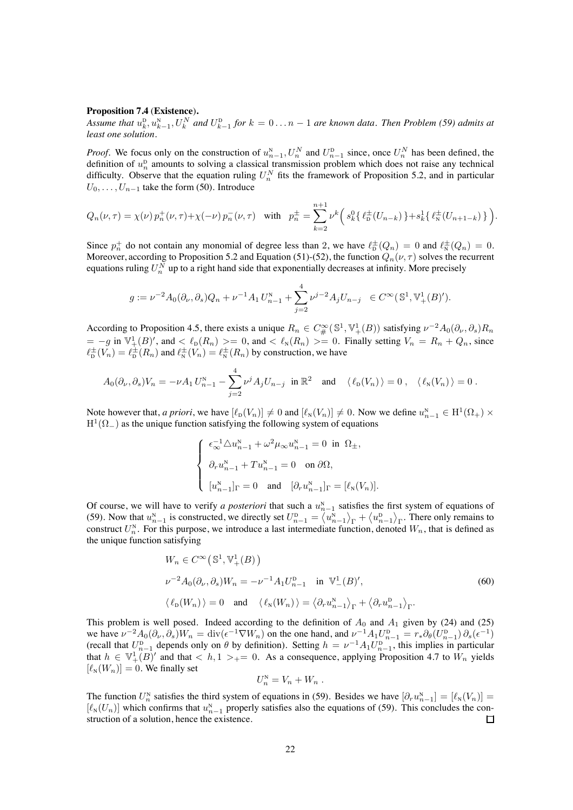#### **Proposition 7.4** (**Existence**)**.**

Assume that  $u_k^{\text{D}}, u_{k-1}^{\text{N}}, U_k^N$  and  $U_{k-1}^{\text{D}}$  for  $k = 0...n-1$  are known data. Then Problem [\(59\)](#page-20-0) admits at *least one solution.*

*Proof.* We focus only on the construction of  $u_{n-1}^N$ ,  $U_n^N$  and  $U_{n-1}^D$  since, once  $U_n^N$  has been defined, the definition of  $u_n^D$  amounts to solving a classical transmission problem which does not raise any technical difficulty. Observe that the equation ruling  $U_n^N$  fits the framework of Proposition [5.2,](#page-16-2) and in particular  $U_0, \ldots, U_{n-1}$  take the form [\(50\)](#page-16-1). Introduce

$$
Q_n(\nu,\tau) = \chi(\nu) p_n^+(\nu,\tau) + \chi(-\nu) p_n^-(\nu,\tau) \quad \text{with} \quad p_n^{\pm} = \sum_{k=2}^{n+1} \nu^k \left( s_k^0 \{ \ell_{\mathcal{D}}^{\pm}(U_{n-k}) \} + s_k^1 \{ \ell_{\mathcal{N}}^{\pm}(U_{n+1-k}) \} \right).
$$

Since  $p_n^+$  do not contain any monomial of degree less than 2, we have  $\ell_{\rm D}^{\pm}(Q_n)=0$  and  $\ell_{\rm N}^{\pm}(Q_n)=0$ . Moreover, according to Proposition [5.2](#page-16-2) and Equation [\(51\)](#page-17-0)-[\(52\)](#page-17-1), the function  $Q_n(\nu, \tau)$  solves the recurrent equations ruling  $U^N_n$  up to a right hand side that exponentially decreases at infinity. More precisely

$$
g := \nu^{-2} A_0(\partial_\nu, \partial_s) Q_n + \nu^{-1} A_1 U_{n-1}^N + \sum_{j=2}^4 \nu^{j-2} A_j U_{n-j} \in C^\infty(\mathbb{S}^1, \mathbb{V}_+^1(B)').
$$

According to Proposition [4.5,](#page-13-0) there exists a unique  $R_n \in C^{\infty}_{\#}(\mathbb{S}^1, \mathbb{V}^1_+(B))$  satisfying  $\nu^{-2}A_0(\partial_\nu, \partial_s)R_n$  $= -g$  in  $\mathbb{V}_+^1(B)'$ , and  $\lt \ell_{\mathcal{D}}(R_n) \gt = 0$ , and  $\lt \ell_{\mathcal{N}}(R_n) \gt = 0$ . Finally setting  $V_n = R_n + Q_n$ , since  $\ell_{\rm D}^{\pm}(V_n) = \ell_{\rm D}^{\pm}(R_n)$  and  $\ell_{\rm N}^{\pm}(V_n) = \ell_{\rm N}^{\pm}(R_n)$  by construction, we have

$$
A_0(\partial_\nu,\partial_s)V_n=-\nu A_1 U_{n-1}^N-\sum_{j=2}^4\nu^j A_jU_{n-j}\text{ in }\mathbb{R}^2\text{ and }\langle\ell_D(V_n)\rangle=0\ ,\ \langle\ell_N(V_n)\rangle=0\ .
$$

Note however that, *a priori*, we have  $[\ell_{\text{D}}(V_n)] \neq 0$  and  $[\ell_{\text{N}}(V_n)] \neq 0$ . Now we define  $u_{n-1}^{\text{N}} \in \mathrm{H}^1(\Omega_+) \times$  $H^1(\Omega_{-})$  as the unique function satisfying the following system of equations

$$
\label{eq:2.1} \left\{ \begin{array}{l} \epsilon_\infty^{-1}\triangle u_{n-1}^\mathrm{N}+\omega^2\mu_\infty u_{n-1}^\mathrm{N}=0\ \ \mbox{in}\ \ \Omega_\pm,\\ \\ \partial_r u_{n-1}^\mathrm{N}+Tu_{n-1}^\mathrm{N}=0\quad\mbox{on}\ \partial\Omega,\\ \\ [u_{n-1}^\mathrm{N}]_\Gamma=0\quad\mbox{and}\quad [\partial_r u_{n-1}^\mathrm{N}]_\Gamma=[\ell_\mathrm{N}(V_n)]. \end{array} \right.
$$

Of course, we will have to verify *a posteriori* that such a  $u_{n-1}^N$  satisfies the first system of equations of [\(59\)](#page-20-0). Now that  $u_{n-1}^N$  is constructed, we directly set  $U_{n-1}^D = \langle u_{n-1}^N \rangle_{\Gamma} + \langle u_{n-1}^D \rangle_{\Gamma}$ . There only remains to construct  $U_n^N$ . For this purpose, we introduce a last intermediate function, denoted  $W_n$ , that is defined as the unique function satisfying

$$
W_n \in C^{\infty}(\mathbb{S}^1, \mathbb{V}^1_+(B))
$$
  

$$
\nu^{-2}A_0(\partial_\nu, \partial_s)W_n = -\nu^{-1}A_1U_{n-1}^{\mathbf{D}} \text{ in } \mathbb{V}^1_-(B)',
$$
  

$$
\langle \ell_{\mathbf{D}}(W_n) \rangle = 0 \text{ and } \langle \ell_{\mathbf{N}}(W_n) \rangle = \langle \partial_r u_{n-1}^{\mathbf{N}} \rangle_{\Gamma} + \langle \partial_r u_{n-1}^{\mathbf{D}} \rangle_{\Gamma}.
$$
 (60)

This problem is well posed. Indeed according to the definition of  $A_0$  and  $A_1$  given by [\(24\)](#page-8-2) and [\(25\)](#page-8-0) we have  $\nu^{-2}A_0(\partial_\nu,\partial_s)W_n = \text{div}(\epsilon^{-1}\nabla W_n)$  on the one hand, and  $\nu^{-1}A_1U_{n-1}^D = r_*\partial_\theta(U_{n-1}^D)\partial_s(\epsilon^{-1})$ (recall that  $U_{n-1}^{\text{D}}$  depends only on  $\theta$  by definition). Setting  $h = \nu^{-1} A_1 U_{n-1}^{\text{D}}$ , this implies in particular that  $h \in \mathbb{V}_+^1(B)'$  and that  $\langle h, 1 \rangle_+ = 0$ . As a consequence, applying Proposition [4.7](#page-15-0) to  $W_n$  yields  $[\ell_{N}(W_{n})] = 0$ . We finally set

$$
U_n^N=V_n+W_n .
$$

The function  $U_n^N$  satisfies the third system of equations in [\(59\)](#page-20-0). Besides we have  $[\partial_r u_{n-1}^N] = [\ell_N(V_n)] =$  $[\ell_N(U_n)]$  which confirms that  $u_{n-1}^N$  properly satisfies also the equations of [\(59\)](#page-20-0). This concludes the construction of a solution, hence the existence.  $\Box$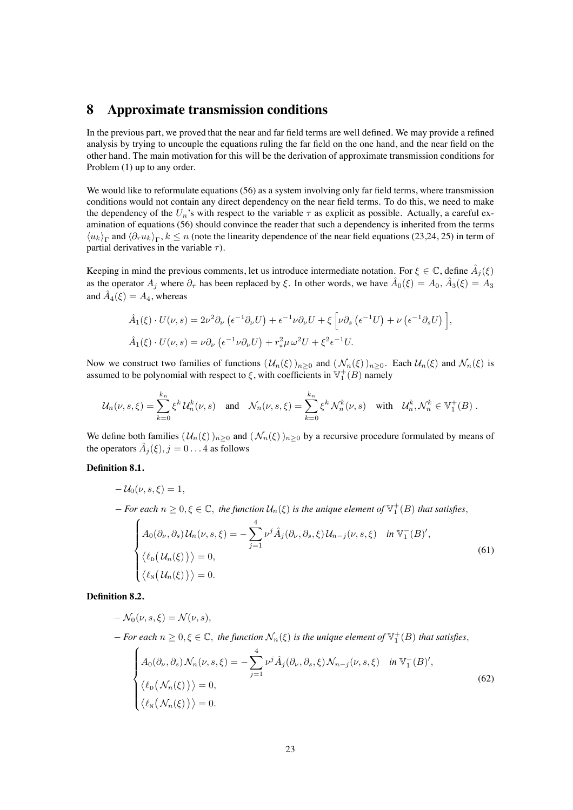# **8 Approximate transmission conditions**

In the previous part, we proved that the near and far field terms are well defined. We may provide a refined analysis by trying to uncouple the equations ruling the far field on the one hand, and the near field on the other hand. The main motivation for this will be the derivation of approximate transmission conditions for Problem [\(1\)](#page-1-0) up to any order.

We would like to reformulate equations [\(56\)](#page-19-1) as a system involving only far field terms, where transmission conditions would not contain any direct dependency on the near field terms. To do this, we need to make the dependency of the  $U_n$ 's with respect to the variable  $\tau$  as explicit as possible. Actually, a careful examination of equations [\(56\)](#page-19-1) should convince the reader that such a dependency is inherited from the terms  $\langle u_k \rangle_\Gamma$  and  $\langle \partial_r u_k \rangle_\Gamma$ ,  $k \leq n$  (note the linearity dependence of the near field equations [\(23,](#page-7-2)[24,](#page-8-2) [25\)](#page-8-0) in term of partial derivatives in the variable  $\tau$ ).

Keeping in mind the previous comments, let us introduce intermediate notation. For  $\xi \in \mathbb{C}$ , define  $\hat{A}_j(\xi)$ as the operator  $A_j$  where  $\partial_{\tau}$  has been replaced by  $\xi$ . In other words, we have  $\hat{A}_0(\xi) = A_0$ ,  $\hat{A}_3(\xi) = A_3$ and  $\hat{A}_4(\xi) = A_4$ , whereas

$$
\hat{A}_1(\xi) \cdot U(\nu, s) = 2\nu^2 \partial_\nu \left( \epsilon^{-1} \partial_\nu U \right) + \epsilon^{-1} \nu \partial_\nu U + \xi \left[ \nu \partial_s \left( \epsilon^{-1} U \right) + \nu \left( \epsilon^{-1} \partial_s U \right) \right],
$$
  

$$
\hat{A}_1(\xi) \cdot U(\nu, s) = \nu \partial_\nu \left( \epsilon^{-1} \nu \partial_\nu U \right) + r_*^2 \mu \omega^2 U + \xi^2 \epsilon^{-1} U.
$$

Now we construct two families of functions  $(U_n(\xi))_{n>0}$  and  $(\mathcal{N}_n(\xi))_{n>0}$ . Each  $\mathcal{U}_n(\xi)$  and  $\mathcal{N}_n(\xi)$  is assumed to be polynomial with respect to  $\xi$ , with coefficients in  $\mathbb{V}_1^+(B)$  namely

$$
\mathcal{U}_n(\nu, s, \xi) = \sum_{k=0}^{k_n} \xi^k \mathcal{U}_n^k(\nu, s) \quad \text{and} \quad \mathcal{N}_n(\nu, s, \xi) = \sum_{k=0}^{k_n} \xi^k \mathcal{N}_n^k(\nu, s) \quad \text{with} \quad \mathcal{U}_n^k, \mathcal{N}_n^k \in \mathbb{V}_1^+(B) \; .
$$

We define both families  $(U_n(\xi))_{n>0}$  and  $(\mathcal{N}_n(\xi))_{n>0}$  by a recursive procedure formulated by means of the operators  $\hat{A}_i(\xi)$ ,  $j = 0 \dots 4$  as follows

#### **Definition 8.1.**

<span id="page-22-0"></span>
$$
-U_0(\nu, s, \xi) = 1,
$$
  
\n
$$
- For each n \ge 0, \xi \in \mathbb{C}, the function U_n(\xi) is the unique element of \mathbb{V}_1^+(B) that satisfies,
$$
  
\n
$$
A_0(\partial_\nu, \partial_s) U_n(\nu, s, \xi) = -\sum_{j=1}^4 \nu^j \hat{A}_j(\partial_\nu, \partial_s, \xi) U_{n-j}(\nu, s, \xi) \quad in \mathbb{V}_1^-(B)',
$$
  
\n
$$
\langle \ell_{\text{D}}(U_n(\xi)) \rangle = 0,
$$
  
\n
$$
\langle \ell_{\text{N}}(U_n(\xi)) \rangle = 0.
$$
  
\n(61)

**Definition 8.2.**

<span id="page-22-1"></span>
$$
- \mathcal{N}_0(\nu, s, \xi) = \mathcal{N}(\nu, s),
$$
  
\n
$$
- \text{ For each } n \ge 0, \xi \in \mathbb{C}, \text{ the function } \mathcal{N}_n(\xi) \text{ is the unique element of } \mathbb{V}_1^+(B) \text{ that satisfies,}
$$
  
\n
$$
A_0(\partial_\nu, \partial_s) \mathcal{N}_n(\nu, s, \xi) = -\sum_{j=1}^4 \nu^j \hat{A}_j(\partial_\nu, \partial_s, \xi) \mathcal{N}_{n-j}(\nu, s, \xi) \quad \text{in } \mathbb{V}_1^-(B)',
$$
  
\n
$$
\langle \ell_0(\mathcal{N}_n(\xi)) \rangle = 0,
$$
  
\n
$$
\langle \ell_N(\mathcal{N}_n(\xi)) \rangle = 0.
$$
  
\n(62)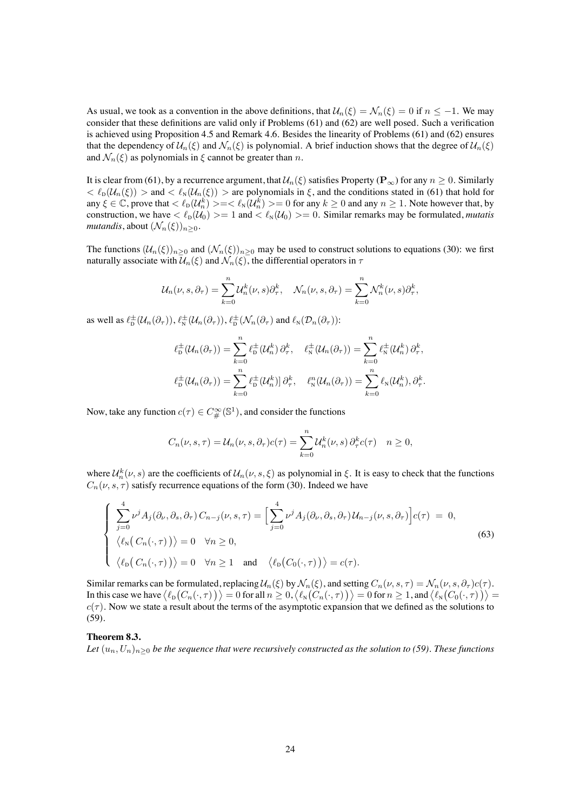As usual, we took as a convention in the above definitions, that  $U_n(\xi) = \mathcal{N}_n(\xi) = 0$  if  $n \le -1$ . We may consider that these definitions are valid only if Problems [\(61\)](#page-22-0) and [\(62\)](#page-22-1) are well posed. Such a verification is achieved using Proposition [4.5](#page-13-0) and Remark [4.6.](#page-15-4) Besides the linearity of Problems [\(61\)](#page-22-0) and [\(62\)](#page-22-1) ensures that the dependency of  $\mathcal{U}_n(\xi)$  and  $\mathcal{N}_n(\xi)$  is polynomial. A brief induction shows that the degree of  $\mathcal{U}_n(\xi)$ and  $\mathcal{N}_n(\xi)$  as polynomials in  $\xi$  cannot be greater than n.

It is clear from [\(61\)](#page-22-0), by a recurrence argument, that  $\mathcal{U}_n(\xi)$  satisfies Property ( $\mathbf{P}_{\infty}$ ) for any  $n \geq 0$ . Similarly  $<\ell_{\rm D}(U_n(\xi))$  > and  $<\ell_{\rm N}(U_n(\xi))$  > are polynomials in  $\xi$ , and the conditions stated in [\(61\)](#page-22-0) that hold for any  $\xi \in \mathbb{C}$ , prove that  $\langle \ell_{\rm D}(\mathcal{U}_n^k)\rangle = \langle \ell_{\rm N}(\mathcal{U}_n^k)\rangle = 0$  for any  $k \ge 0$  and any  $n \ge 1$ . Note however that, by construction, we have  $\langle \ell_{\rm D}(U_0) \rangle = 1$  and  $\langle \ell_{\rm N}(U_0) \rangle = 0$ . Similar remarks may be formulated, *mutatis mutandis*, about  $(\mathcal{N}_n(\xi))_{n>0}$ .

The functions  $(U_n(\xi))_{n\geq 0}$  and  $(\mathcal{N}_n(\xi))_{n\geq 0}$  may be used to construct solutions to equations [\(30\)](#page-10-0): we first naturally associate with  $\mathcal{U}_n(\xi)$  and  $\mathcal{N}_n(\xi)$ , the differential operators in  $\tau$ 

$$
\mathcal{U}_n(\nu, s, \partial_\tau) = \sum_{k=0}^n \mathcal{U}_n^k(\nu, s) \partial_\tau^k, \quad \mathcal{N}_n(\nu, s, \partial_\tau) = \sum_{k=0}^n \mathcal{N}_n^k(\nu, s) \partial_\tau^k,
$$

as well as  $\ell_{\rm D}^{\pm}(\mathcal{U}_n(\partial_{\tau})), \ell_{\rm N}^{\pm}(\mathcal{U}_n(\partial_{\tau})), \ell_{\rm D}^{\pm}(\mathcal{N}_n(\partial_{\tau}))$  and  $\ell_{\rm N}(\mathcal{D}_n(\partial_{\tau}))$ :

$$
\ell_{\mathcal{D}}^{\pm}(\mathcal{U}_n(\partial_{\tau})) = \sum_{k=0}^n \ell_{\mathcal{D}}^{\pm}(\mathcal{U}_n^k) \partial_{\tau}^k, \quad \ell_{\mathcal{N}}^{\pm}(\mathcal{U}_n(\partial_{\tau})) = \sum_{k=0}^n \ell_{\mathcal{N}}^{\pm}(\mathcal{U}_n^k) \partial_{\tau}^k,
$$
  

$$
\ell_{\mathcal{D}}^{\pm}(\mathcal{U}_n(\partial_{\tau})) = \sum_{k=0}^n \ell_{\mathcal{D}}^{\pm}(\mathcal{U}_n^k) \partial_{\tau}^k, \quad \ell_{\mathcal{N}}^n(\mathcal{U}_n(\partial_{\tau})) = \sum_{k=0}^n \ell_{\mathcal{N}}(\mathcal{U}_n^k), \partial_{\tau}^k.
$$

Now, take any function  $c(\tau) \in C^{\infty}_{\#}(\mathbb{S}^1)$ , and consider the functions

<span id="page-23-1"></span>
$$
C_n(\nu, s, \tau) = \mathcal{U}_n(\nu, s, \partial_\tau) c(\tau) = \sum_{k=0}^n \mathcal{U}_n^k(\nu, s) \partial_\tau^k c(\tau) \quad n \ge 0,
$$

where  $\mathcal{U}_n^k(\nu, s)$  are the coefficients of  $\mathcal{U}_n(\nu, s, \xi)$  as polynomial in  $\xi$ . It is easy to check that the functions  $C_n(\nu, s, \tau)$  satisfy recurrence equations of the form [\(30\)](#page-10-0). Indeed we have

$$
\begin{cases}\n\sum_{j=0}^{4} \nu^{j} A_{j}(\partial_{\nu}, \partial_{s}, \partial_{\tau}) C_{n-j}(\nu, s, \tau) = \left[ \sum_{j=0}^{4} \nu^{j} A_{j}(\partial_{\nu}, \partial_{s}, \partial_{\tau}) U_{n-j}(\nu, s, \partial_{\tau}) \right] c(\tau) = 0, \\
\langle \ell_{N}(C_{n}(\cdot, \tau)) \rangle = 0 \quad \forall n \ge 0, \\
\langle \ell_{D}(C_{n}(\cdot, \tau)) \rangle = 0 \quad \forall n \ge 1 \quad \text{and} \quad \langle \ell_{D}(C_{0}(\cdot, \tau)) \rangle = c(\tau).\n\end{cases}
$$
\n(63)

Similar remarks can be formulated, replacing  $\mathcal{U}_n(\xi)$  by  $\mathcal{N}_n(\xi)$ , and setting  $C_n(\nu, s, \tau) = \mathcal{N}_n(\nu, s, \partial_\tau)c(\tau)$ . In this case we have  $\langle \ell_{D}(C_{n}(\cdot,\tau)) \rangle = 0$  for all  $n \geq 0, \langle \ell_{N}(C_{n}(\cdot,\tau)) \rangle = 0$  for  $n \geq 1$ , and  $\langle \ell_{N}(C_{0}(\cdot,\tau)) \rangle = 0$  $c(\tau)$ . Now we state a result about the terms of the asymptotic expansion that we defined as the solutions to [\(59\)](#page-20-0).

#### <span id="page-23-0"></span>**Theorem 8.3.**

*Let*  $(u_n, U_n)_{n>0}$  *be the sequence that were recursively constructed as the solution to [\(59\)](#page-20-0). These functions*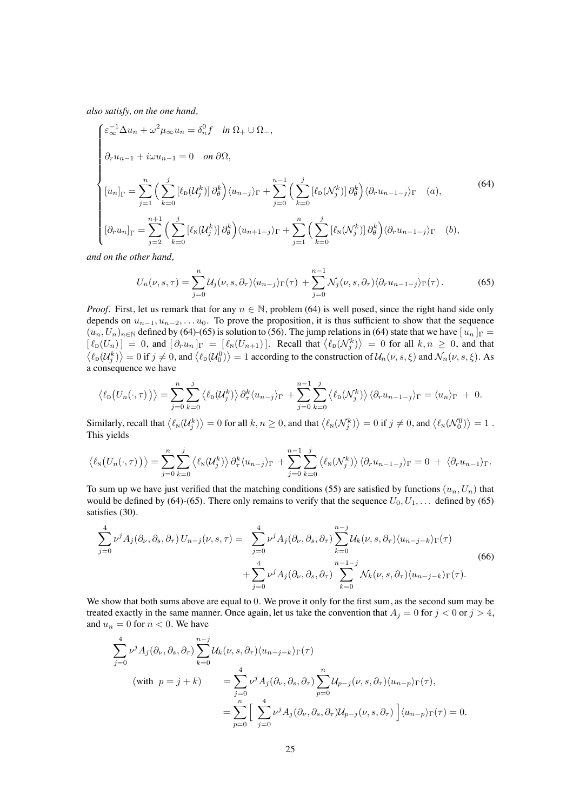*also satisfy, on the one hand,*

$$
\begin{cases}\n\varepsilon_{\infty}^{-1} \Delta u_n + \omega^2 \mu_{\infty} u_n = \delta_n^0 f & \text{in } \Omega_+ \cup \Omega_-, \\
\partial_r u_{n-1} + i \omega u_{n-1} = 0 & \text{on } \partial \Omega, \\
[u_n]_{\Gamma} = \sum_{j=1}^n \Big( \sum_{k=0}^j [\ell_{\mathcal{D}}(\mathcal{U}_j^k)] \partial_\theta^k \Big) \langle u_{n-j} \rangle_{\Gamma} + \sum_{j=0}^{n-1} \Big( \sum_{k=0}^j [\ell_{\mathcal{D}}(\mathcal{N}_j^k)] \partial_\theta^k \Big) \langle \partial_r u_{n-1-j} \rangle_{\Gamma} & (a), \\
[\partial_r u_n]_{\Gamma} = \sum_{j=2}^{n+1} \Big( \sum_{k=0}^j [\ell_{\mathcal{N}}(\mathcal{U}_j^k)] \partial_\theta^k \Big) \langle u_{n+1-j} \rangle_{\Gamma} + \sum_{j=1}^n \Big( \sum_{k=0}^j [\ell_{\mathcal{N}}(\mathcal{N}_j^k)] \partial_\theta^k \Big) \langle \partial_r u_{n-1-j} \rangle_{\Gamma} & (b),\n\end{cases}
$$
\n
$$
(64)
$$

*and on the other hand,*

<span id="page-24-1"></span><span id="page-24-0"></span>
$$
U_n(\nu, s, \tau) = \sum_{j=0}^n \mathcal{U}_j(\nu, s, \partial_\tau) \langle u_{n-j} \rangle_{\Gamma}(\tau) + \sum_{j=0}^{n-1} \mathcal{N}_j(\nu, s, \partial_\tau) \langle \partial_\tau u_{n-1-j} \rangle_{\Gamma}(\tau).
$$
 (65)

*Proof.* First, let us remark that for any  $n \in \mathbb{N}$ , problem [\(64\)](#page-24-0) is well posed, since the right hand side only depends on  $u_{n-1}, u_{n-2}, \ldots u_0$ . To prove the proposition, it is thus sufficient to show that the sequence  $(u_n, U_n)_{n\in\mathbb{N}}$  defined by [\(64\)](#page-24-0)-[\(65\)](#page-24-1) is solution to [\(56\)](#page-19-1). The jump relations in (64) state that we have  $[u_n]_{\Gamma}$  =  $\left[\ell_{\text{D}}(U_n)\right] = 0$ , and  $\left[\partial_r u_n\right]_{\Gamma} = \left[\ell_{\text{N}}(U_{n+1})\right]$ . Recall that  $\langle\ell_{\text{D}}(\mathcal{N}_j^k)\rangle = 0$  for all  $k, n \ge 0$ , and that  $\langle\ell_{\text{D}}(\mathcal{U}_j^k)\rangle = 0$  if  $j \ne 0$ , and  $\langle\ell_{\text{D}}(\mathcal{U}_0^0)\rangle = 1$  according to the c a consequence we have

$$
\langle \ell_{\mathcal{D}}(U_n(\cdot,\tau)) \rangle = \sum_{j=0}^n \sum_{k=0}^j \langle \ell_{\mathcal{D}}(\mathcal{U}_j^k) \rangle \partial_\tau^k \langle u_{n-j} \rangle_{\Gamma} + \sum_{j=0}^{n-1} \sum_{k=0}^j \langle \ell_{\mathcal{D}}(\mathcal{N}_j^k) \rangle \langle \partial_r u_{n-1-j} \rangle_{\Gamma} = \langle u_n \rangle_{\Gamma} + 0.
$$

Similarly, recall that  $\langle \ell_N(\mathcal{U}_j^k) \rangle = 0$  for all  $k, n \ge 0$ , and that  $\langle \ell_N(\mathcal{N}_j^k) \rangle = 0$  if  $j \ne 0$ , and  $\langle \ell_N(\mathcal{N}_0^0) \rangle = 1$ . This yields

$$
\langle \ell_N\big(U_n(\cdot,\tau)\big)\rangle = \sum_{j=0}^n \sum_{k=0}^j \langle \ell_N(\mathcal{U}_j^k)\rangle \partial_\tau^k \langle u_{n-j}\rangle_{\Gamma} + \sum_{j=0}^{n-1} \sum_{k=0}^j \langle \ell_N(\mathcal{N}_j^k)\rangle \langle \partial_\tau u_{n-1-j}\rangle_{\Gamma} = 0 + \langle \partial_\tau u_{n-1}\rangle_{\Gamma}.
$$

To sum up we have just verified that the matching conditions [\(55\)](#page-18-2) are satisfied by functions  $(u_n, U_n)$  that would be defined by [\(64\)](#page-24-0)-[\(65\)](#page-24-1). There only remains to verify that the sequence  $U_0, U_1, \ldots$  defined by (65) satisfies [\(30\)](#page-10-0).

<span id="page-24-2"></span>
$$
\sum_{j=0}^{4} \nu^{j} A_{j}(\partial_{\nu}, \partial_{s}, \partial_{\tau}) U_{n-j}(\nu, s, \tau) = \sum_{j=0}^{4} \nu^{j} A_{j}(\partial_{\nu}, \partial_{s}, \partial_{\tau}) \sum_{k=0}^{n-j} \mathcal{U}_{k}(\nu, s, \partial_{\tau}) \langle u_{n-j-k} \rangle_{\Gamma}(\tau)
$$
\n
$$
+ \sum_{j=0}^{4} \nu^{j} A_{j}(\partial_{\nu}, \partial_{s}, \partial_{\tau}) \sum_{k=0}^{n-1-j} \mathcal{N}_{k}(\nu, s, \partial_{\tau}) \langle u_{n-j-k} \rangle_{\Gamma}(\tau).
$$
\n(66)

We show that both sums above are equal to 0. We prove it only for the first sum, as the second sum may be treated exactly in the same manner. Once again, let us take the convention that  $A_j = 0$  for  $j < 0$  or  $j > 4$ , and  $u_n = 0$  for  $n < 0$ . We have

$$
\sum_{j=0}^{4} \nu^{j} A_{j}(\partial_{\nu}, \partial_{s}, \partial_{\tau}) \sum_{k=0}^{n-j} \mathcal{U}_{k}(\nu, s, \partial_{\tau}) \langle u_{n-j-k} \rangle_{\Gamma}(\tau)
$$
\n(with  $p = j + k$ )

\n
$$
= \sum_{j=0}^{4} \nu^{j} A_{j}(\partial_{\nu}, \partial_{s}, \partial_{\tau}) \sum_{p=0}^{n} \mathcal{U}_{p-j}(\nu, s, \partial_{\tau}) \langle u_{n-p} \rangle_{\Gamma}(\tau),
$$
\n
$$
= \sum_{p=0}^{n} \left[ \sum_{j=0}^{4} \nu^{j} A_{j}(\partial_{\nu}, \partial_{s}, \partial_{\tau}) \mathcal{U}_{p-j}(\nu, s, \partial_{\tau}) \right] \langle u_{n-p} \rangle_{\Gamma}(\tau) = 0.
$$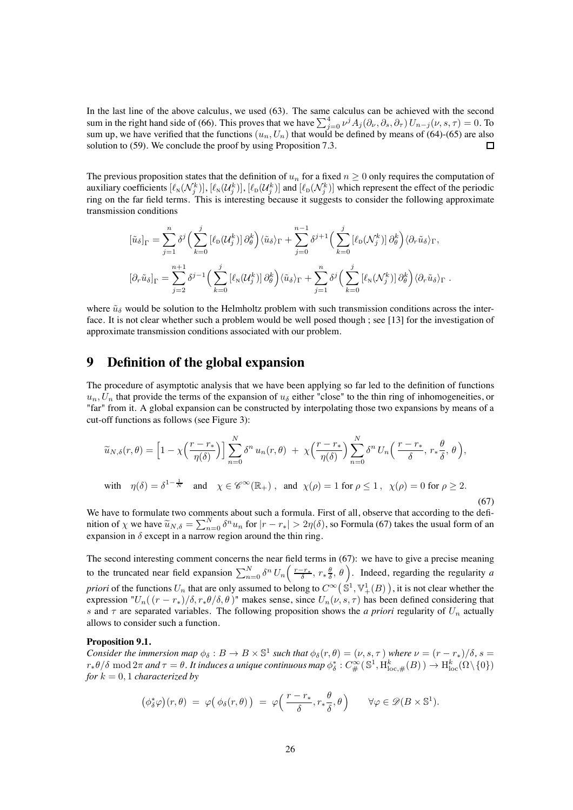In the last line of the above calculus, we used [\(63\)](#page-23-1). The same calculus can be achieved with the second sum in the right hand side of [\(66\)](#page-24-2). This proves that we have  $\sum_{j=0}^{4} \nu^{j} A_j(\partial_{\nu}, \partial_s, \partial_\tau) U_{n-j}(\nu, s, \tau) = 0$ . To sum up, we have verified that the functions  $(u_n, U_n)$  that would be defined by means of [\(64\)](#page-24-0)-[\(65\)](#page-24-1) are also solution to [\(59\)](#page-20-0). We conclude the proof by using Proposition [7.3.](#page-20-1) 口

The previous proposition states that the definition of  $u_n$  for a fixed  $n \geq 0$  only requires the computation of auxiliary coefficients  $[\ell_{\rm N}({\cal N}^k_j)], [\ell_{\rm N}({\cal U}^k_j)], [\ell_{\rm D}({\cal U}^k_j)]$  and  $[\ell_{\rm D}({\cal N}^k_j)]$  which represent the effect of the periodic ring on the far field terms. This is interesting because it suggests to consider the following approximate transmission conditions

$$
\left[\tilde{u}_{\delta}\right]_{\Gamma} = \sum_{j=1}^{n} \delta^{j} \left(\sum_{k=0}^{j} \left[\ell_{\mathrm{D}}(\mathcal{U}_{j}^{k})\right] \partial_{\theta}^{k}\right) \langle \tilde{u}_{\delta} \rangle_{\Gamma} + \sum_{j=0}^{n-1} \delta^{j+1} \left(\sum_{k=0}^{j} \left[\ell_{\mathrm{D}}(\mathcal{N}_{j}^{k})\right] \partial_{\theta}^{k}\right) \langle \partial_{r} \tilde{u}_{\delta} \rangle_{\Gamma},
$$

$$
\left[\partial_{r} \tilde{u}_{\delta}\right]_{\Gamma} = \sum_{j=2}^{n+1} \delta^{j-1} \left(\sum_{k=0}^{j} \left[\ell_{\mathrm{N}}(\mathcal{U}_{j}^{k})\right] \partial_{\theta}^{k}\right) \langle \tilde{u}_{\delta} \rangle_{\Gamma} + \sum_{j=1}^{n} \delta^{j} \left(\sum_{k=0}^{j} \left[\ell_{\mathrm{N}}(\mathcal{N}_{j}^{k})\right] \partial_{\theta}^{k}\right) \langle \partial_{r} \tilde{u}_{\delta} \rangle_{\Gamma}.
$$

where  $\tilde{u}_{\delta}$  would be solution to the Helmholtz problem with such transmission conditions across the interface. It is not clear whether such a problem would be well posed though ; see [\[13\]](#page-37-9) for the investigation of approximate transmission conditions associated with our problem.

# **9 Definition of the global expansion**

The procedure of asymptotic analysis that we have been applying so far led to the definition of functions  $u_n, U_n$  that provide the terms of the expansion of  $u_\delta$  either "close" to the thin ring of inhomogeneities, or "far" from it. A global expansion can be constructed by interpolating those two expansions by means of a cut-off functions as follows (see Figure [3\)](#page-42-0):

<span id="page-25-0"></span>
$$
\widetilde{u}_{N,\delta}(r,\theta) = \left[1 - \chi\left(\frac{r - r_*}{\eta(\delta)}\right)\right] \sum_{n=0}^{N} \delta^n u_n(r,\theta) + \chi\left(\frac{r - r_*}{\eta(\delta)}\right) \sum_{n=0}^{N} \delta^n U_n\left(\frac{r - r_*}{\delta}, r_* \frac{\theta}{\delta}, \theta\right),
$$
\nwith  $\eta(\delta) = \delta^{1-\frac{1}{N}}$  and  $\chi \in \mathscr{C}^{\infty}(\mathbb{R}_+)$ , and  $\chi(\rho) = 1$  for  $\rho \le 1$ ,  $\chi(\rho) = 0$  for  $\rho \ge 2$ . (67)

We have to formulate two comments about such a formula. First of all, observe that according to the definition of  $\chi$  we have  $\tilde{u}_{N,\delta} = \sum_{n=0}^{N} \delta^n u_n$  for  $|r - r_*| > 2\eta(\delta)$ , so Formula [\(67\)](#page-25-0) takes the usual form of an expansion in  $\delta$  except in a narrow region around the thin ring.

The second interesting comment concerns the near field terms in [\(67\)](#page-25-0): we have to give a precise meaning to the truncated near field expansion  $\sum_{n=0}^{N} \delta^n U_n\left(\frac{r-r_*}{\delta}, r_* \frac{\theta}{\delta}, \theta\right)$ . Indeed, regarding the regularity *a priori* of the functions  $U_n$  that are only assumed to belong to  $C^\infty\big(\mathbb{S}^1,\mathbb{V}^1_+(B)\big)$  , it is not clear whether the expression " $U_n((r - r_*)/\delta, r_*\theta/\delta, \theta)$ " makes sense, since  $U_n(\nu, s, \tau)$  has been defined considering that s and  $\tau$  are separated variables. The following proposition shows the *a priori* regularity of  $U_n$  actually allows to consider such a function.

#### <span id="page-25-1"></span>**Proposition 9.1.**

*Consider the immersion map*  $\phi_{\delta}: B \to B \times \mathbb{S}^1$  *such that*  $\phi_{\delta}(r,\theta)=(\nu, s, \tau)$  *where*  $\nu=(r-r_*)/\delta, s=$  $r_*\theta/\delta \bmod 2\pi$  and  $\tau = \theta$ . It induces a unique continuous map  $\phi_\delta^*: C^\infty_\#(\mathbb{S}^1,\mathrm{H}^k_{\mathrm{loc},\#}(B)) \to \mathrm{H}^k_{\mathrm{loc}}(\Omega\setminus\{0\})$ *for*  $k = 0, 1$  *characterized by* 

$$
(\phi_{\delta}^*\varphi)(r,\theta) = \varphi(\phi_{\delta}(r,\theta)) = \varphi\left(\frac{r-r_*}{\delta},r_*\frac{\theta}{\delta},\theta\right) \qquad \forall \varphi \in \mathscr{D}(B \times \mathbb{S}^1).
$$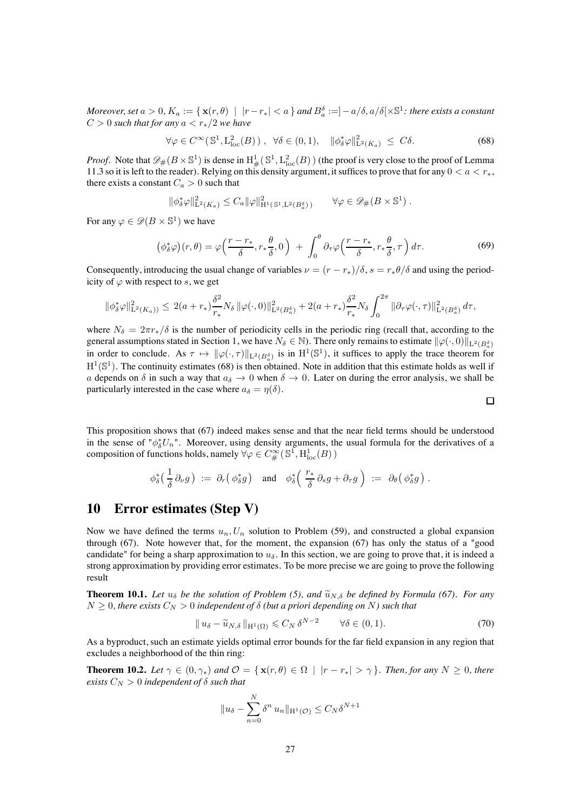*Moreover, set*  $a > 0$ ,  $K_a := \{ x(r, \theta) \mid |r-r_*| < a \}$  and  $B_a^{\delta} := ]-a/\delta, a/\delta[\times \mathbb{S}^1$ : there exists a constant  $C > 0$  *such that for any*  $a < r_*/2$  *we have* 

<span id="page-26-3"></span>
$$
\forall \varphi \in C^{\infty}(\mathbb{S}^1, L^2_{loc}(B)), \ \forall \delta \in (0, 1), \ \|\phi_{\delta}^*\varphi\|_{\mathcal{L}^2(K_a)}^2 \leq C\delta. \tag{68}
$$

*Proof.* Note that  $\mathscr{D}_{\#}(B \times \mathbb{S}^1)$  is dense in  $H^1_{\#}(\mathbb{S}^1, L^2_{loc}(B))$  (the proof is very close to the proof of Lemma [11.3](#page-35-1) so it is left to the reader). Relying on this density argument, it suffices to prove that for any  $0 < a < r_*$ , there exists a constant  $C_a > 0$  such that

$$
\|\phi_{\delta}^*\varphi\|_{\mathrm{L}^2(K_a)}^2 \leq C_a \|\varphi\|_{\mathrm{H}^1(\mathbb{S}^1, \mathrm{L}^2(B_a^{\delta}))}^2 \qquad \forall \varphi \in \mathscr{D}_\#(B \times \mathbb{S}^1) .
$$

For any  $\varphi \in \mathscr{D}(B \times \mathbb{S}^1)$  we have

$$
\left(\phi_{\delta}^*\varphi\right)(r,\theta) = \varphi\left(\frac{r-r_*}{\delta},r_*\frac{\theta}{\delta},0\right) + \int_0^{\theta} \partial_\tau \varphi\left(\frac{r-r_*}{\delta},r_*\frac{\theta}{\delta},\tau\right) d\tau. \tag{69}
$$

Consequently, introducing the usual change of variables  $\nu = (r - r_*)/\delta$ ,  $s = r_*\theta/\delta$  and using the periodicity of  $\varphi$  with respect to s, we get

$$
\|\phi_{\delta}^*\varphi\|_{\mathrm{L}^2(K_a))}^2 \leq 2(a+r_*)\frac{\delta^2}{r_*}N_{\delta}\|\varphi(\cdot,0)\|_{\mathrm{L}^2(B_a^{\delta})}^2 + 2(a+r_*)\frac{\delta^2}{r_*}N_{\delta}\int_0^{2\pi}\|\partial_{\tau}\varphi(\cdot,\tau)\|_{\mathrm{L}^2(B_a^{\delta})}^2 d\tau,
$$

where  $N_{\delta} = 2\pi r_{*}/\delta$  is the number of periodicity cells in the periodic ring (recall that, according to the general assumptions stated in Section [1,](#page-1-1) we have  $N_\delta \in \mathbb{N}$ . There only remains to estimate  $\|\varphi(\cdot,0)\|_{\mathrm{L}^2(B^{\delta}_a)}$ in order to conclude. As  $\tau \mapsto ||\varphi(\cdot, \tau)||_{L^2(B_a^{\delta})}$  is in  $H^1(\mathbb{S}^1)$ , it suffices to apply the trace theorem for  $H^1(\mathbb{S}^1)$ . The continuity estimates [\(68\)](#page-26-3) is then obtained. Note in addition that this estimate holds as well if a depends on  $\delta$  in such a way that  $a_{\delta} \to 0$  when  $\delta \to 0$ . Later on during the error analysis, we shall be particularly interested in the case where  $a_{\delta} = \eta(\delta)$ .

This proposition shows that [\(67\)](#page-25-0) indeed makes sense and that the near field terms should be understood in the sense of " $\phi_{\delta}^{*}U_{n}$ ". Moreover, using density arguments, the usual formula for the derivatives of a composition of functions holds, namely  $\forall \varphi \in C^\infty_{\#}(\mathbb{S}^1,\mathrm{H}^1_{\mathrm{loc}}(B))$ 

$$
\phi_{\delta}^*\left(\frac{1}{\delta}\partial_{\nu} g\right) \;:=\; \partial_r \big(\,\phi_{\delta}^* g\,\big) \quad \text{and} \quad \phi_{\delta}^*\bigg(\,\frac{r_*}{\delta}\partial_s g + \partial_\tau g\,\bigg) \;:=\; \partial_\theta \big(\,\phi_{\delta}^* g\,\big) \;.
$$

### <span id="page-26-2"></span>**10 Error estimates (Step V)**

Now we have defined the terms  $u_n, U_n$  solution to Problem [\(59\)](#page-20-0), and constructed a global expansion through [\(67\)](#page-25-0). Note however that, for the moment, the expansion [\(67\)](#page-25-0) has only the status of a "good candidate" for being a sharp approximation to  $u_{\delta}$ . In this section, we are going to prove that, it is indeed a strong approximation by providing error estimates. To be more precise we are going to prove the following result

<span id="page-26-0"></span>**Theorem 10.1.** *Let*  $u_{\delta}$  *be the solution of Problem [\(5\)](#page-3-2), and*  $\tilde{u}_{N,\delta}$  *be defined by Formula [\(67\)](#page-25-0). For any*  $N \geq 0$ , there exists  $C_N > 0$  independent of  $\delta$  (but a priori depending on N) such that

$$
\|u_{\delta} - \widetilde{u}_{N,\delta}\|_{\mathcal{H}^1(\Omega)} \leqslant C_N \,\delta^{N-2} \qquad \forall \delta \in (0,1). \tag{70}
$$

 $\Box$ 

<span id="page-26-1"></span>As a byproduct, such an estimate yields optimal error bounds for the far field expansion in any region that excludes a neighborhood of the thin ring:

**Theorem 10.2.** Let  $\gamma \in (0, \gamma_*)$  and  $\mathcal{O} = {\mathbf{x}(r, \theta) \in \Omega \mid |r - r_*| > \gamma}$ *. Then, for any*  $N \geq 0$ *, there exists*  $C_N > 0$  *independent of*  $\delta$  *such that* 

$$
||u_{\delta} - \sum_{n=0}^{N} \delta^{n} u_{n}||_{\mathcal{H}^{1}(\mathcal{O})} \leq C_{N} \delta^{N+1}
$$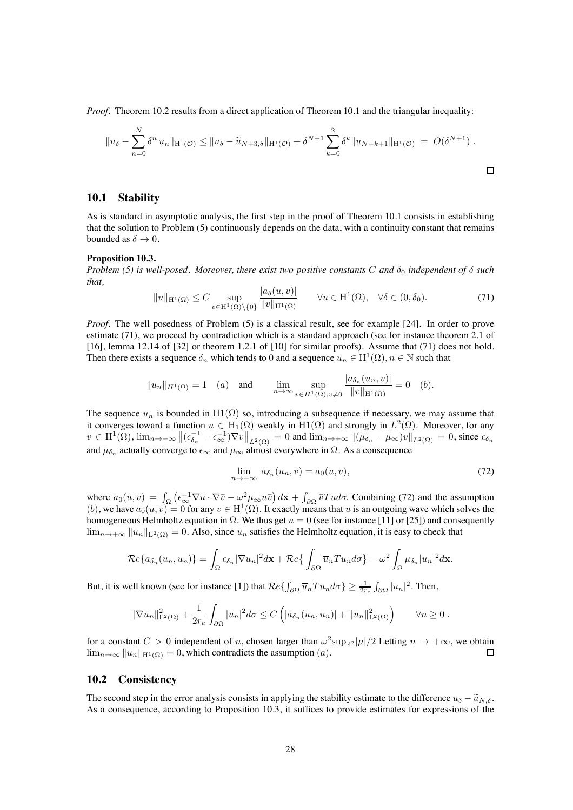*Proof.* Theorem [10.2](#page-26-1) results from a direct application of Theorem [10.1](#page-26-0) and the triangular inequality:

$$
||u_{\delta} - \sum_{n=0}^{N} \delta^{n} u_{n}||_{\mathcal{H}^{1}(\mathcal{O})} \leq ||u_{\delta} - \widetilde{u}_{N+3,\delta}||_{\mathcal{H}^{1}(\mathcal{O})} + \delta^{N+1} \sum_{k=0}^{2} \delta^{k} ||u_{N+k+1}||_{\mathcal{H}^{1}(\mathcal{O})} = O(\delta^{N+1}).
$$

#### **10.1 Stability**

As is standard in asymptotic analysis, the first step in the proof of Theorem [10.1](#page-26-0) consists in establishing that the solution to Problem [\(5\)](#page-3-2) continuously depends on the data, with a continuity constant that remains bounded as  $\delta \to 0$ .

#### <span id="page-27-0"></span>**Proposition 10.3.**

<span id="page-27-1"></span>*Problem [\(5\)](#page-3-2) is well-posed. Moreover, there exist two positive constants* C *and*  $\delta_0$  *independent of*  $\delta$  *such that,*

$$
||u||_{\mathcal{H}^1(\Omega)} \le C \sup_{v \in \mathcal{H}^1(\Omega) \setminus \{0\}} \frac{|a_\delta(u, v)|}{||v||_{\mathcal{H}^1(\Omega)}} \qquad \forall u \in \mathcal{H}^1(\Omega), \quad \forall \delta \in (0, \delta_0). \tag{71}
$$

*Proof.* The well posedness of Problem [\(5\)](#page-3-2) is a classical result, see for example [\[24\]](#page-38-14). In order to prove estimate [\(71\)](#page-27-1), we proceed by contradiction which is a standard approach (see for instance theorem 2.1 of [\[16\]](#page-38-3), lemma 12.14 of [\[32\]](#page-38-18) or theorem 1.2.1 of [\[10\]](#page-37-14) for similar proofs). Assume that [\(71\)](#page-27-1) does not hold. Then there exists a sequence  $\delta_n$  which tends to 0 and a sequence  $u_n \in H^1(\Omega)$ ,  $n \in \mathbb{N}$  such that

$$
||u_n||_{H^1(\Omega)} = 1
$$
 (a) and  $\lim_{n \to \infty} \sup_{v \in H^1(\Omega), v \neq 0} \frac{|a_{\delta_n}(u_n, v)|}{||v||_{H^1(\Omega)}} = 0$  (b).

The sequence  $u_n$  is bounded in  $H_1(\Omega)$  so, introducing a subsequence if necessary, we may assume that it converges toward a function  $u \in H_1(\Omega)$  weakly in  $H_1(\Omega)$  and strongly in  $L^2(\Omega)$ . Moreover, for any  $v \in H^1(\Omega)$ ,  $\lim_{n \to +\infty} \left\| \left( \epsilon_{\delta_n}^{-1} - \epsilon_{\infty}^{-1} \right) \nabla v \right\|_{L^2(\Omega)} = 0$  and  $\lim_{n \to +\infty} \left\| \left( \mu_{\delta_n} - \mu_{\infty} \right) v \right\|_{L^2(\Omega)} = 0$ , since  $\epsilon_{\delta_n}$ and  $\mu_{\delta_n}$  actually converge to  $\epsilon_{\infty}$  and  $\mu_{\infty}$  almost everywhere in  $\Omega.$  As a consequence

<span id="page-27-2"></span>
$$
\lim_{n \to +\infty} a_{\delta_n}(u_n, v) = a_0(u, v), \tag{72}
$$

where  $a_0(u, v) = \int_{\Omega} \left( \epsilon_{\infty}^{-1} \nabla u \cdot \nabla \bar{v} - \omega^2 \mu_{\infty} u \bar{v} \right) d\mathbf{x} + \int_{\partial \Omega} \bar{v} \bar{T} u d\sigma$ . Combining [\(72\)](#page-27-2) and the assumption (b), we have  $a_0(u, v)=0$  for any  $v \in H^1(\Omega)$ . It exactly means that u is an outgoing wave which solves the homogeneous Helmholtz equation in  $\Omega$ . We thus get  $u = 0$  (see for instance [\[11\]](#page-37-12) or [\[25\]](#page-38-15)) and consequently  $\lim_{n\to+\infty} \|u_n\|_{L^2(\Omega)} = 0$ . Also, since  $u_n$  satisfies the Helmholtz equation, it is easy to check that

$$
\mathcal{R}e\{a_{\delta_n}(u_n, u_n)\} = \int_{\Omega} \epsilon_{\delta_n} |\nabla u_n|^2 d\mathbf{x} + \mathcal{R}e\{\int_{\partial\Omega} \overline{u}_n T u_n d\sigma\} - \omega^2 \int_{\Omega} \mu_{\delta_n} |u_n|^2 d\mathbf{x}.
$$

But, it is well known (see for instance [\[1\]](#page-37-2)) that  $Re\{\int_{\partial\Omega} \overline{u}_n T u_n d\sigma\} \ge \frac{1}{2r_e} \int_{\partial\Omega} |u_n|^2$ . Then,

$$
\|\nabla u_n\|_{\mathcal{L}^2(\Omega)}^2 + \frac{1}{2r_e} \int_{\partial\Omega} |u_n|^2 d\sigma \leq C \left( |a_{\delta_n}(u_n, u_n)| + \|u_n\|_{\mathcal{L}^2(\Omega)}^2 \right) \qquad \forall n \geq 0.
$$

for a constant  $C > 0$  independent of n, chosen larger than  $\omega^2 \sup_{\mathbb{R}^2} |\mu|/2$  Letting  $n \to +\infty$ , we obtain  $\lim_{n \to \infty} ||u_n||_{H^1(\Omega)} = 0$ , which contradicts the assumption  $(a)$ .  $\lim_{n\to\infty} ||u_n||_{\mathrm{H}^1(\Omega)} = 0$ , which contradicts the assumption  $(a)$ .

#### **10.2 Consistency**

The second step in the error analysis consists in applying the stability estimate to the difference  $u_{\delta} - \tilde{u}_{N,\delta}$ . As a consequence, according to Proposition [10.3,](#page-27-0) it suffices to provide estimates for expressions of the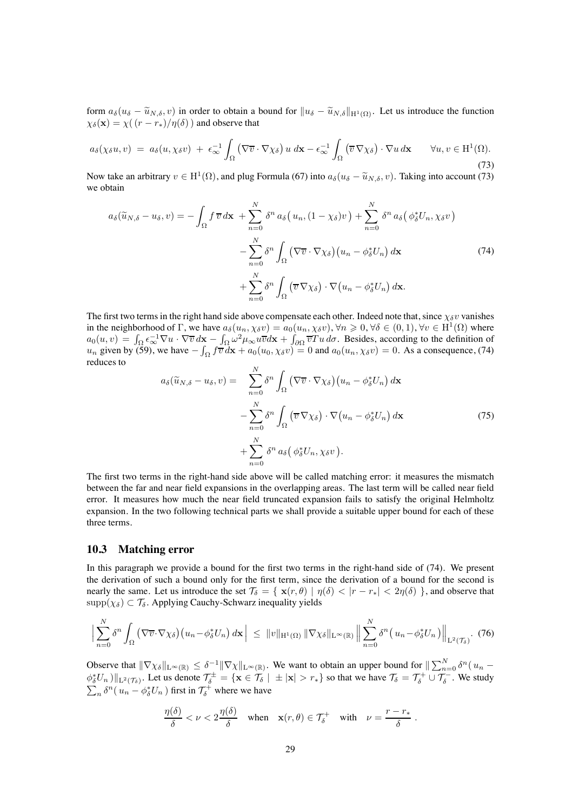form  $a_{\delta}(u_{\delta} - \tilde{u}_{N,\delta}, v)$  in order to obtain a bound for  $||u_{\delta} - \tilde{u}_{N,\delta}||_{H^1(\Omega)}$ . Let us introduce the function  $\chi_{\delta}(\mathbf{x}) = \chi((r - r_*)/\eta(\delta))$  and observe that

<span id="page-28-0"></span>
$$
a_{\delta}(\chi_{\delta} u, v) = a_{\delta}(u, \chi_{\delta} v) + \epsilon_{\infty}^{-1} \int_{\Omega} (\nabla \overline{v} \cdot \nabla \chi_{\delta}) u \, d\mathbf{x} - \epsilon_{\infty}^{-1} \int_{\Omega} (\overline{v} \nabla \chi_{\delta}) \cdot \nabla u \, d\mathbf{x} \qquad \forall u, v \in \mathrm{H}^{1}(\Omega).
$$
\n(73)

Now take an arbitrary  $v \in H^1(\Omega)$ , and plug Formula [\(67\)](#page-25-0) into  $a_\delta(u_\delta - \tilde{u}_{N,\delta}, v)$ . Taking into account [\(73\)](#page-28-0) we obtain

<span id="page-28-1"></span>
$$
a_{\delta}(\widetilde{u}_{N,\delta} - u_{\delta}, v) = -\int_{\Omega} f \, \overline{v} \, d\mathbf{x} + \sum_{n=0}^{N} \delta^{n} \, a_{\delta} \big( u_{n}, (1 - \chi_{\delta})v \big) + \sum_{n=0}^{N} \delta^{n} \, a_{\delta} \big( \phi_{\delta}^{*} U_{n}, \chi_{\delta} v \big) - \sum_{n=0}^{N} \delta^{n} \int_{\Omega} \big( \nabla \overline{v} \cdot \nabla \chi_{\delta} \big) \big( u_{n} - \phi_{\delta}^{*} U_{n} \big) \, d\mathbf{x} + \sum_{n=0}^{N} \delta^{n} \int_{\Omega} \big( \overline{v} \, \nabla \chi_{\delta} \big) \cdot \nabla \big( u_{n} - \phi_{\delta}^{*} U_{n} \big) \, d\mathbf{x}.
$$
 (74)

The first two terms in the right hand side above compensate each other. Indeed note that, since  $\chi_{\delta}v$  vanishes in the neighborhood of  $\Gamma$ , we have  $a_{\delta}(u_n, \chi_{\delta}v) = a_0(u_n, \chi_{\delta}v)$ ,  $\forall n \geq 0$ ,  $\forall \delta \in (0, 1)$ ,  $\forall v \in H^1(\Omega)$  where  $a_0(u, v) = \int_{\Omega} \epsilon_{\infty}^{-1} \nabla u \cdot \nabla \overline{v} d\mathbf{x} - \int_{\Omega} \omega^2 \mu_{\infty} u \overline{v} d\mathbf{x} + \int_{\partial \Omega} \overline{v} u \, d\sigma$ . Besides, according to the definition of  $u_n$  given by [\(59\)](#page-20-0), we have  $-\int_{\Omega} f \overline{v} d\mathbf{x} + a_0(u_0, \chi_{\delta} v) = 0$  and  $a_0(u_n, \chi_{\delta} v) = 0$ . As a consequence, [\(74\)](#page-28-1) reduces to

$$
a_{\delta}(\widetilde{u}_{N,\delta} - u_{\delta}, v) = \sum_{n=0}^{N} \delta^{n} \int_{\Omega} (\nabla \overline{v} \cdot \nabla \chi_{\delta}) (u_{n} - \phi_{\delta}^{*} U_{n}) d\mathbf{x} - \sum_{n=0}^{N} \delta^{n} \int_{\Omega} (\overline{v} \nabla \chi_{\delta}) \cdot \nabla (u_{n} - \phi_{\delta}^{*} U_{n}) d\mathbf{x} + \sum_{n=0}^{N} \delta^{n} a_{\delta} (\phi_{\delta}^{*} U_{n}, \chi_{\delta} v).
$$
\n(75)

The first two terms in the right-hand side above will be called matching error: it measures the mismatch between the far and near field expansions in the overlapping areas. The last term will be called near field error. It measures how much the near field truncated expansion fails to satisfy the original Helmholtz expansion. In the two following technical parts we shall provide a suitable upper bound for each of these three terms.

#### **10.3 Matching error**

In this paragraph we provide a bound for the first two terms in the right-hand side of [\(74\)](#page-28-1). We present the derivation of such a bound only for the first term, since the derivation of a bound for the second is nearly the same. Let us introduce the set  $\mathcal{T}_{\delta} = \{ \mathbf{x}(r, \theta) \mid \eta(\delta) < |r - r_*| < 2\eta(\delta) \}$ , and observe that  $\text{supp}(\chi_{\delta}) \subset \mathcal{T}_{\delta}$ . Applying Cauchy-Schwarz inequality yields

$$
\Big|\sum_{n=0}^N \delta^n \int_{\Omega} \left(\nabla \overline{v} \cdot \nabla \chi_\delta\right) \left(u_n - \phi_\delta^* U_n\right) d\mathbf{x}\Big| \ \leq \ \|v\|_{\mathcal{H}^1(\Omega)} \|\nabla \chi_\delta\|_{\mathcal{L}^\infty(\mathbb{R})} \left\|\sum_{n=0}^N \delta^n \left(u_n - \phi_\delta^* U_n\right)\right\|_{\mathcal{L}^2(\mathcal{T}_\delta)}. \tag{76}
$$

Observe that  $\|\nabla \chi_{\delta}\|_{\mathcal{L}^{\infty}(\mathbb{R})} \leq \delta^{-1} \|\nabla \chi\|_{\mathcal{L}^{\infty}(\mathbb{R})}$ . We want to obtain an upper bound for  $\|\sum_{n=0}^{N} \delta^{n} (u_{n}-\delta)$  $\phi_{\delta}^* U_n$  ) $\|_{\mathrm{L}^2(\mathcal{T}_{\delta})}$ . Let us denote  $\mathcal{T}_{\delta}^{\pm} = \{ \mathbf{x} \in \mathcal{T}_{\delta} \mid \pm |\mathbf{x}| > r_* \}$  so that we have  $\mathcal{T}_{\delta} = \mathcal{T}_{\delta}^+ \cup \mathcal{T}_{\delta}^-$ . We study  $\sum_{n} \delta^{n} (u_{n} - \phi_{\delta}^{*} U_{n})$  first in  $\mathcal{T}_{\delta}^{+}$  where we have

<span id="page-28-2"></span>
$$
\frac{\eta(\delta)}{\delta} < \nu < 2\frac{\eta(\delta)}{\delta} \quad \text{when} \quad \mathbf{x}(r,\theta) \in \mathcal{T}_{\delta}^+ \quad \text{with} \quad \nu = \frac{r - r_*}{\delta} \; .
$$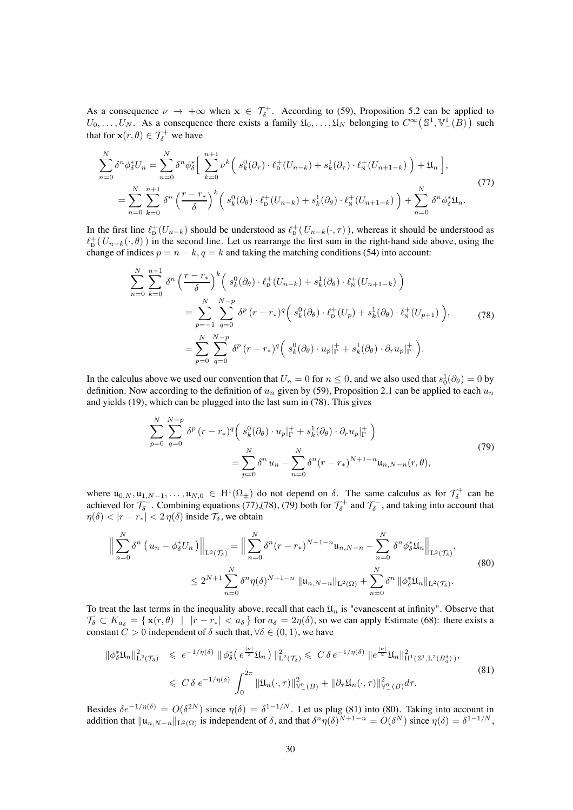As a consequence  $\nu \to +\infty$  when  $\mathbf{x} \in \mathcal{T}_{\delta}^+$ . According to [\(59\)](#page-20-0), Proposition [5.2](#page-16-2) can be applied to  $U_0, \ldots, U_N$ . As a consequence there exists a family  $\mathfrak{U}_0, \ldots, \mathfrak{U}_N$  belonging to  $C^{\infty}(\mathbb{S}^1, \mathbb{V}_-^1(B))$  such that for  $\mathbf{x}(r, \theta) \in \mathcal{T}_{\delta}^+$  we have

<span id="page-29-1"></span>
$$
\sum_{n=0}^{N} \delta^{n} \phi_{\delta}^{*} U_{n} = \sum_{n=0}^{N} \delta^{n} \phi_{\delta}^{*} \Big[ \sum_{k=0}^{n+1} \nu^{k} \Big( s_{k}^{0} (\partial_{\tau}) \cdot \ell_{\mathbf{D}}^{+} (U_{n-k}) + s_{k}^{1} (\partial_{\tau}) \cdot \ell_{\mathbf{N}}^{+} (U_{n+1-k}) \Big) + \mathfrak{U}_{n} \Big],
$$
\n
$$
= \sum_{n=0}^{N} \sum_{k=0}^{n+1} \delta^{n} \Big( \frac{r - r_{*}}{\delta} \Big)^{k} \Big( s_{k}^{0} (\partial_{\theta}) \cdot \ell_{\mathbf{D}}^{+} (U_{n-k}) + s_{k}^{1} (\partial_{\theta}) \cdot \ell_{\mathbf{N}}^{+} (U_{n+1-k}) \Big) + \sum_{n=0}^{N} \delta^{n} \phi_{\delta}^{*} \mathfrak{U}_{n}.
$$
\n
$$
(77)
$$

In the first line  $\ell_{\rm D}^+(U_{n-k})$  should be understood as  $\ell_{\rm D}^+(U_{n-k}(\cdot,\tau))$ , whereas it should be understood as  $\ell_{\rm D}^+(U_{n-k}(\cdot,\theta))$  in the second line. Let us rearrange the first sum in the right-hand side above, using the change of indices  $p = n - k$ ,  $q = k$  and taking the matching conditions [\(54\)](#page-18-1) into account:

<span id="page-29-0"></span>
$$
\sum_{n=0}^{N} \sum_{k=0}^{n+1} \delta^{n} \left( \frac{r - r_{*}}{\delta} \right)^{k} \left( s_{k}^{0}(\partial \theta) \cdot \ell_{\mathcal{D}}^{+}(U_{n-k}) + s_{k}^{1}(\partial \theta) \cdot \ell_{\mathcal{N}}^{+}(U_{n+1-k}) \right)
$$
\n
$$
= \sum_{p=-1}^{N} \sum_{q=0}^{N-p} \delta^{p} (r - r_{*})^{q} \left( s_{k}^{0}(\partial \theta) \cdot \ell_{\mathcal{D}}^{+}(U_{p}) + s_{k}^{1}(\partial \theta) \cdot \ell_{\mathcal{N}}^{+}(U_{p+1}) \right), \tag{78}
$$
\n
$$
= \sum_{p=0}^{N} \sum_{q=0}^{N-p} \delta^{p} (r - r_{*})^{q} \left( s_{k}^{0}(\partial \theta) \cdot u_{p}|_{\Gamma}^{+} + s_{k}^{1}(\partial \theta) \cdot \partial_{r} u_{p}|_{\Gamma}^{+} \right).
$$

In the calculus above we used our convention that  $U_n = 0$  for  $n \le 0$ , and we also used that  $s_0^1(\partial_\theta) = 0$  by definition. Now according to the definition of  $u_n$  given by [\(59\)](#page-20-0), Proposition [2.1](#page-6-4) can be applied to each  $u_n$ and yields [\(19\)](#page-6-5), which can be plugged into the last sum in [\(78\)](#page-29-0). This gives

<span id="page-29-4"></span><span id="page-29-2"></span>
$$
\sum_{p=0}^{N} \sum_{q=0}^{N-p} \delta^{p} (r - r_{*})^{q} \left( s_{k}^{0} (\partial_{\theta}) \cdot u_{p} |_{\Gamma}^{+} + s_{k}^{1} (\partial_{\theta}) \cdot \partial_{r} u_{p} |_{\Gamma}^{+} \right) \n= \sum_{p=0}^{N} \delta^{n} u_{n} - \sum_{n=0}^{N} \delta^{n} (r - r_{*})^{N+1-n} u_{n,N-n}(r, \theta),
$$
\n(79)

where  $\mathfrak{u}_{0,N}, \mathfrak{u}_{1,N-1}, \ldots, \mathfrak{u}_{N,0} \in \mathrm{H}^1(\Omega_\pm)$  do not depend on  $\delta$ . The same calculus as for  $\mathcal{T}_{\delta}^+$  can be achieved for  $\mathcal{T}_{\delta}^-$ . Combining equations [\(77\)](#page-29-1),[\(78\)](#page-29-0), [\(79\)](#page-29-2) both for  $\mathcal{T}_{\delta}^+$  and  $\mathcal{T}_{\delta}^-$ , and taking into account that  $\eta(\delta) < |r - r_*| < 2 \eta(\delta)$  inside  $\mathcal{T}_{\delta}$ , we obtain

$$
\left\| \sum_{n=0}^{N} \delta^{n} \left( u_{n} - \phi_{\delta}^{*} U_{n} \right) \right\|_{\mathcal{L}^{2}(\mathcal{T}_{\delta})} = \left\| \sum_{n=0}^{N} \delta^{n} (r - r_{*})^{N+1-n} u_{n,N-n} - \sum_{n=0}^{N} \delta^{n} \phi_{\delta}^{*} \mathfrak{U}_{n} \right\|_{\mathcal{L}^{2}(\mathcal{T}_{\delta})},
$$
\n
$$
\leq 2^{N+1} \sum_{n=0}^{N} \delta^{n} \eta(\delta)^{N+1-n} \| u_{n,N-n} \|_{\mathcal{L}^{2}(\Omega)} + \sum_{n=0}^{N} \delta^{n} \| \phi_{\delta}^{*} \mathfrak{U}_{n} \|_{\mathcal{L}^{2}(\mathcal{T}_{\delta})}.
$$
\n(80)

To treat the last terms in the inequality above, recall that each  $\mathfrak{U}_n$  is "evanescent at infinity". Observe that  $\mathcal{T}_{\delta} \subset K_{a_{\delta}} = \{ \mathbf{x}(r,\theta) \mid |r - r_*| < a_{\delta} \}$  for  $a_{\delta} = 2\eta(\delta)$ , so we can apply Estimate [\(68\)](#page-26-3): there exists a constant  $C > 0$  independent of  $\delta$  such that,  $\forall \delta \in (0, 1)$ , we have

<span id="page-29-3"></span>
$$
\|\phi_{\delta}^*\mathfrak{U}_n\|_{\mathbf{L}^2(\mathcal{T}_{\delta})}^2 \leqslant e^{-1/\eta(\delta)} \|\phi_{\delta}^*\big(e^{\frac{|\nu|}{2}}\mathfrak{U}_n\big)\|_{\mathbf{L}^2(\mathcal{T}_{\delta})}^2 \leqslant C\delta e^{-1/\eta(\delta)} \|e^{\frac{|\nu|}{2}}\mathfrak{U}_n\|_{\mathbf{H}^1(\mathbb{S}^1,\mathbf{L}^2(B_a^{\delta}))}^2,
$$
\n
$$
\leqslant C\delta e^{-1/\eta(\delta)} \int_0^{2\pi} \|\mathfrak{U}_n(\cdot,\tau)\|_{\mathbb{V}^0_-(B)}^2 + \|\partial_\tau\mathfrak{U}_n(\cdot,\tau)\|_{\mathbb{V}^0_-(B)}^2 d\tau.
$$
\n
$$
(81)
$$

Besides  $\delta e^{-1/\eta(\delta)} = O(\delta^{2N})$  since  $\eta(\delta) = \delta^{1-1/N}$ . Let us plug [\(81\)](#page-29-3) into [\(80\)](#page-29-4). Taking into account in addition that  $\|u_{n,N-n}\|_{L^2(\Omega)}$  is independent of  $\delta$ , and that  $\delta^n \eta(\delta)^{N+1-n} = O(\delta^N)$  since  $\eta(\delta) = \delta^{1-1/N}$ ,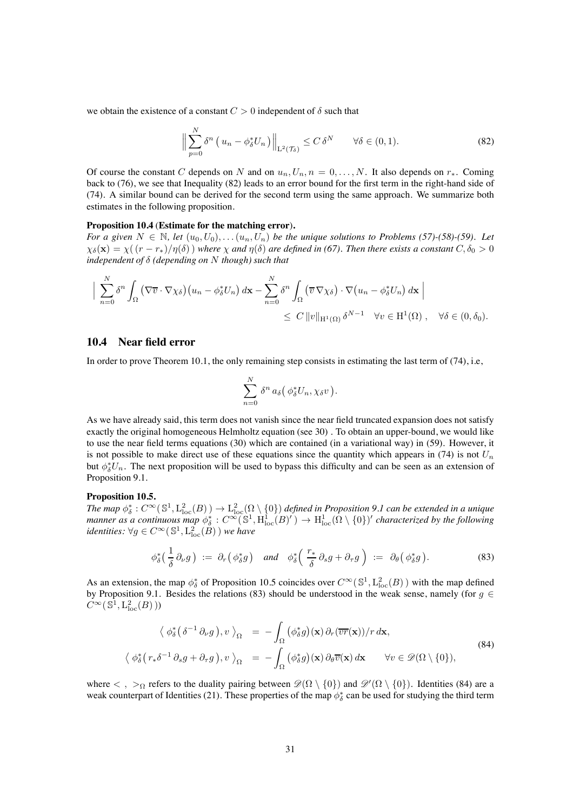we obtain the existence of a constant  $C > 0$  independent of  $\delta$  such that

<span id="page-30-0"></span>
$$
\left\| \sum_{p=0}^{N} \delta^{n} \left( u_{n} - \phi_{\delta}^{*} U_{n} \right) \right\|_{\mathcal{L}^{2}(\mathcal{T}_{\delta})} \leq C \, \delta^{N} \qquad \forall \delta \in (0, 1). \tag{82}
$$

Of course the constant C depends on N and on  $u_n, U_n, n = 0, \ldots, N$ . It also depends on  $r_*$ . Coming back to [\(76\)](#page-28-2), we see that Inequality [\(82\)](#page-30-0) leads to an error bound for the first term in the right-hand side of [\(74\)](#page-28-1). A similar bound can be derived for the second term using the same approach. We summarize both estimates in the following proposition.

#### <span id="page-30-4"></span>**Proposition 10.4** (**Estimate for the matching error**)**.**

*For a given*  $N \in \mathbb{N}$ , let  $(u_0, U_0), \ldots, (u_n, U_n)$  *be the unique solutions to Problems [\(57\)](#page-19-2)-*[\(58\)](#page-19-3)*-*[\(59\)](#page-20-0)*.* Let  $\chi_{\delta}(\mathbf{x}) = \chi((r - r_*)/\eta(\delta))$  where  $\chi$  and  $\eta(\delta)$  are defined in [\(67\)](#page-25-0). Then there exists a constant  $C, \delta_0 > 0$ *independent of* δ *(depending on* N *though) such that*

$$
\Big| \sum_{n=0}^{N} \delta^{n} \int_{\Omega} (\nabla \overline{v} \cdot \nabla \chi_{\delta})(u_{n} - \phi_{\delta}^{*} U_{n}) d\mathbf{x} - \sum_{n=0}^{N} \delta^{n} \int_{\Omega} (\overline{v} \nabla \chi_{\delta}) \cdot \nabla (u_{n} - \phi_{\delta}^{*} U_{n}) d\mathbf{x} \Big|
$$
  
\$\leq C \Vert v \Vert\_{H^{1}(\Omega)} \delta^{N-1} \quad \forall v \in H^{1}(\Omega), \quad \forall \delta \in (0, \delta\_{0}).

#### **10.4 Near field error**

In order to prove Theorem [10.1,](#page-26-0) the only remaining step consists in estimating the last term of [\(74\)](#page-28-1), i.e,

$$
\sum_{n=0}^N \delta^n a_\delta(\phi_\delta^* U_n, \chi_{\delta} v).
$$

As we have already said, this term does not vanish since the near field truncated expansion does not satisfy exactly the original homogeneous Helmholtz equation (see [30\)](#page-10-0) . To obtain an upper-bound, we would like to use the near field terms equations [\(30\)](#page-10-0) which are contained (in a variational way) in [\(59\)](#page-20-0). However, it is not possible to make direct use of these equations since the quantity which appears in [\(74\)](#page-28-1) is not  $U_n$ but  $\phi_{\delta}^{*}U_{n}$ . The next proposition will be used to bypass this difficulty and can be seen as an extension of Proposition [9.1.](#page-25-1)

#### <span id="page-30-1"></span>**Proposition 10.5.**

 $The\ map\ \phi^*_\delta:C^\infty(\mathbb{S}^1,\mathrm{L}^2_{\mathrm{loc}}(B))\to\mathrm{L}^2_{\mathrm{loc}}(\Omega\setminus\{0\})$  defined in Proposition [9.1](#page-25-1) can be extended in a unique *manner as a continuous map*  $\phi_{\delta}^*$ :  $C^{\infty}(\mathbb{S}^1, \text{H}^1_{\text{loc}}(B)^{\prime}) \to \text{H}^1_{\text{loc}}(\Omega \setminus \{0\})^{\prime}$  *characterized by the following identities:*  $\forall g \in C^{\infty}(\mathbb{S}^1, L^2_{loc}(\check{B}))$  *we have* 

<span id="page-30-2"></span>
$$
\phi_{\delta}^{*}\left(\frac{1}{\delta}\partial_{\nu}g\right) := \partial_{r}\left(\phi_{\delta}^{*}g\right) \quad \text{and} \quad \phi_{\delta}^{*}\left(\frac{r_{*}}{\delta}\partial_{s}g + \partial_{\tau}g\right) := \partial_{\theta}\left(\phi_{\delta}^{*}g\right). \tag{83}
$$

As an extension, the map  $\phi^*_{\delta}$  of Proposition [10.5](#page-30-1) coincides over  $C^{\infty}(\mathbb{S}^1, L^2_{loc}(B))$  with the map defined by Proposition [9.1.](#page-25-1) Besides the relations [\(83\)](#page-30-2) should be understood in the weak sense, namely (for  $g \in$  $C^{\infty}(\mathbb{S}^1, L_{\mathrm{loc}}^2(B)))$ 

<span id="page-30-3"></span>
$$
\langle \phi_{\delta}^{*}(\delta^{-1}\partial_{\nu}g), v \rangle_{\Omega} = -\int_{\Omega} (\phi_{\delta}^{*}g)(\mathbf{x}) \partial_{r}(\overline{vr}(\mathbf{x}))/r \, d\mathbf{x},
$$
  

$$
\langle \phi_{\delta}^{*}(r_{*}\delta^{-1}\partial_{s}g + \partial_{\tau}g), v \rangle_{\Omega} = -\int_{\Omega} (\phi_{\delta}^{*}g)(\mathbf{x}) \partial_{\theta}\overline{v}(\mathbf{x}) \, d\mathbf{x} \qquad \forall v \in \mathscr{D}(\Omega \setminus \{0\}),
$$
\n(84)

where  $\langle , \rangle_{\Omega}$  refers to the duality pairing between  $\mathscr{D}(\Omega \setminus \{0\})$  and  $\mathscr{D}'(\Omega \setminus \{0\})$ . Identities [\(84\)](#page-30-3) are a weak counterpart of Identities [\(21\)](#page-7-4). These properties of the map  $\phi^*_{\delta}$  can be used for studying the third term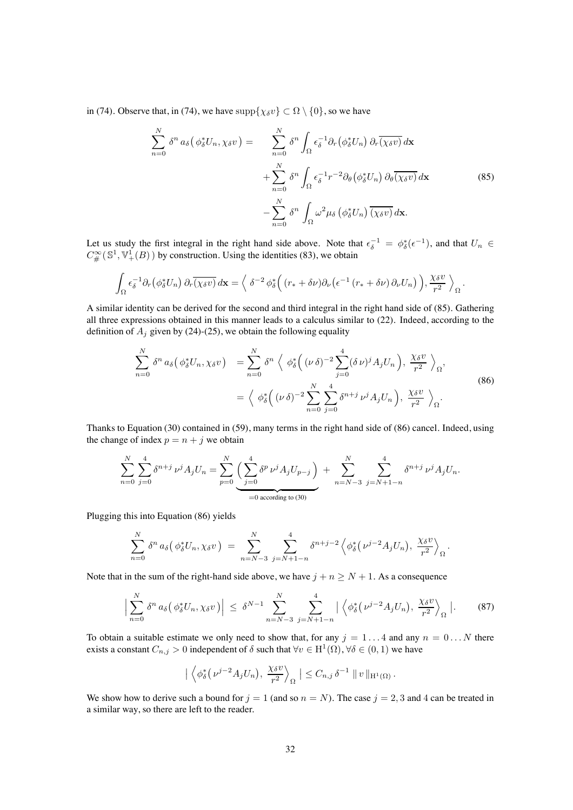in [\(74\)](#page-28-1). Observe that, in (74), we have  $\text{supp}\{\chi_{\delta} v\} \subset \Omega \setminus \{0\}$ , so we have

<span id="page-31-0"></span>
$$
\sum_{n=0}^{N} \delta^{n} a_{\delta} (\phi_{\delta}^{*} U_{n}, \chi_{\delta} v) = \sum_{n=0}^{N} \delta^{n} \int_{\Omega} \epsilon_{\delta}^{-1} \partial_{r} (\phi_{\delta}^{*} U_{n}) \partial_{r} \overline{(\chi_{\delta} v)} d\mathbf{x} \n+ \sum_{n=0}^{N} \delta^{n} \int_{\Omega} \epsilon_{\delta}^{-1} r^{-2} \partial_{\theta} (\phi_{\delta}^{*} U_{n}) \partial_{\theta} \overline{(\chi_{\delta} v)} d\mathbf{x} \n- \sum_{n=0}^{N} \delta^{n} \int_{\Omega} \omega^{2} \mu_{\delta} (\phi_{\delta}^{*} U_{n}) \overline{(\chi_{\delta} v)} d\mathbf{x}.
$$
\n(85)

Let us study the first integral in the right hand side above. Note that  $\epsilon_{\delta}^{-1} = \phi_{\delta}^*(\epsilon^{-1})$ , and that  $U_n \in \mathbb{R}^n$  $C^{\infty}_{\#}(\mathbb{S}^1,\mathbb{V}^1_+(B))$  by construction. Using the identities [\(83\)](#page-30-2), we obtain

$$
\int_{\Omega} \epsilon_{\delta}^{-1} \partial_r (\phi_{\delta}^* U_n) \, \partial_r \overline{(\chi_{\delta} v)} \, d\mathbf{x} = \Big\langle \delta^{-2} \phi_{\delta}^* \Big( (r_* + \delta \nu) \partial_\nu (\epsilon^{-1} (r_* + \delta \nu) \partial_\nu U_n) \Big), \frac{\chi_{\delta} v}{r^2} \Big\rangle_{\Omega}.
$$

A similar identity can be derived for the second and third integral in the right hand side of [\(85\)](#page-31-0). Gathering all three expressions obtained in this manner leads to a calculus similar to [\(22\)](#page-7-1). Indeed, according to the definition of  $A_j$  given by [\(24\)](#page-8-2)-[\(25\)](#page-8-0), we obtain the following equality

<span id="page-31-1"></span>
$$
\sum_{n=0}^{N} \delta^{n} a_{\delta} \left( \phi_{\delta}^{*} U_{n}, \chi_{\delta} v \right) = \sum_{n=0}^{N} \delta^{n} \left\langle \phi_{\delta}^{*} \left( (\nu \delta)^{-2} \sum_{j=0}^{4} (\delta \nu)^{j} A_{j} U_{n} \right), \frac{\chi_{\delta} v}{r^{2}} \right\rangle_{\Omega},
$$
\n
$$
= \left\langle \phi_{\delta}^{*} \left( (\nu \delta)^{-2} \sum_{n=0}^{N} \sum_{j=0}^{4} \delta^{n+j} \nu^{j} A_{j} U_{n} \right), \frac{\chi_{\delta} v}{r^{2}} \right\rangle_{\Omega}.
$$
\n(86)

Thanks to Equation [\(30\)](#page-10-0) contained in [\(59\)](#page-20-0), many terms in the right hand side of [\(86\)](#page-31-1) cancel. Indeed, using the change of index  $p = n + j$  we obtain

$$
\sum_{n=0}^N \sum_{j=0}^4 \delta^{n+j} \, \nu^j A_j U_n = \sum_{p=0}^N \underbrace{\Big( \sum_{j=0}^4 \delta^p \, \nu^j A_j U_{p-j} \Big)}_{=0 \text{ according to (30)}} + \sum_{n=N-3}^N \sum_{j=N+1-n}^4 \delta^{n+j} \, \nu^j A_j U_n.
$$

Plugging this into Equation [\(86\)](#page-31-1) yields

$$
\sum_{n=0}^N \delta^n a_\delta(\phi_\delta^* U_n, \chi_\delta v) = \sum_{n=N-3}^N \sum_{j=N+1-n}^4 \delta^{n+j-2} \left\langle \phi_\delta^*(\nu^{j-2} A_j U_n), \frac{\chi_\delta v}{r^2} \right\rangle_{\Omega}.
$$

Note that in the sum of the right-hand side above, we have  $j + n \ge N + 1$ . As a consequence

$$
\Big|\sum_{n=0}^N \delta^n a_\delta\big(\phi_\delta^* U_n, \chi_\delta v\big)\Big| \leq \delta^{N-1} \sum_{n=N-3}^N \sum_{j=N+1-n}^4 \Big|\Big\langle \phi_\delta^*\big(\nu^{j-2} A_j U_n\big), \frac{\chi_\delta v}{r^2} \Big\rangle_{\Omega}\Big|. \tag{87}
$$

To obtain a suitable estimate we only need to show that, for any  $j = 1...4$  and any  $n = 0...N$  there exists a constant  $C_{n,j} > 0$  independent of  $\delta$  such that  $\forall v \in H^1(\Omega)$ ,  $\forall \delta \in (0,1)$  we have

<span id="page-31-2"></span>
$$
\left| \left\langle \phi_{\delta}^{*}(\nu^{j-2}A_{j}U_{n}), \frac{\chi_{\delta} v}{r^{2}} \right\rangle_{\Omega} \right| \leq C_{n,j} \, \delta^{-1} \, \|\, v\,\|_{\mathcal{H}^{1}(\Omega)}.
$$

We show how to derive such a bound for  $j = 1$  (and so  $n = N$ ). The case  $j = 2, 3$  and 4 can be treated in a similar way, so there are left to the reader.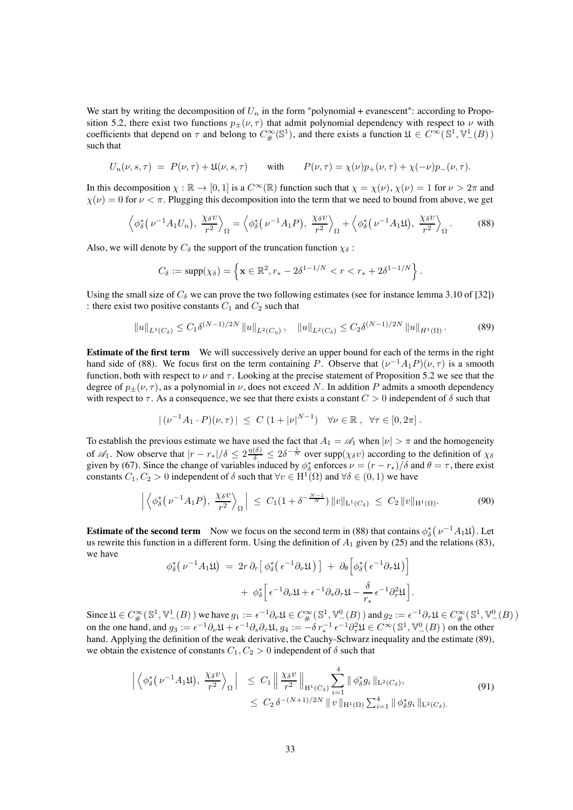We start by writing the decomposition of  $U_n$  in the form "polynomial + evanescent": according to Propo-sition [5.2,](#page-16-2) there exist two functions  $p_{\pm}(\nu, \tau)$  that admit polynomial dependency with respect to  $\nu$  with coefficients that depend on  $\tau$  and belong to  $C^{\infty}_{\#}(\mathbb{S}^1)$ , and there exists a function  $\mathfrak{U} \in C^{\infty}(\mathbb{S}^1, \mathbb{V}^1_-(B))$ such that

$$
U_n(\nu, s, \tau) = P(\nu, \tau) + \mathfrak{U}(\nu, s, \tau) \quad \text{with} \quad P(\nu, \tau) = \chi(\nu)p_+(\nu, \tau) + \chi(-\nu)p_-(\nu, \tau).
$$

In this decomposition  $\chi : \mathbb{R} \to [0, 1]$  is a  $C^{\infty}(\mathbb{R})$  function such that  $\chi = \chi(\nu)$ ,  $\chi(\nu) = 1$  for  $\nu > 2\pi$  and  $\chi(\nu)=0$  for  $\nu < \pi$ . Plugging this decomposition into the term that we need to bound from above, we get

$$
\left\langle \phi_{\delta}^{*}(\nu^{-1}A_{1}U_{n}), \frac{\chi_{\delta}v}{r^{2}} \right\rangle_{\Omega} = \left\langle \phi_{\delta}^{*}(\nu^{-1}A_{1}P), \frac{\chi_{\delta}v}{r^{2}} \right\rangle_{\Omega} + \left\langle \phi_{\delta}^{*}(\nu^{-1}A_{1}\mathfrak{U}), \frac{\chi_{\delta}v}{r^{2}} \right\rangle_{\Omega}.
$$
 (88)

Also, we will denote by  $C_{\delta}$  the support of the truncation function  $\chi_{\delta}$ :

<span id="page-32-1"></span><span id="page-32-0"></span>
$$
C_{\delta} := \text{supp}(\chi_{\delta}) = \left\{ \mathbf{x} \in \mathbb{R}^2, r_{*} - 2\delta^{1-1/N} < r < r_{*} + 2\delta^{1-1/N} \right\}.
$$

Using the small size of  $C_\delta$  we can prove the two following estimates (see for instance lemma 3.10 of [\[32\]](#page-38-18)) : there exist two positive constants  $C_1$  and  $C_2$  such that

$$
||u||_{L^{1}(C_{\delta})} \leq C_{1}\delta^{(N-1)/2N} ||u||_{L^{2}(C_{\eta})}, \quad ||u||_{L^{2}(C_{\delta})} \leq C_{2}\delta^{(N-1)/2N} ||u||_{H^{1}(\Omega)}.
$$
 (89)

**Estimate of the first term** We will successively derive an upper bound for each of the terms in the right hand side of [\(88\)](#page-32-0). We focus first on the term containing P. Observe that  $(\nu^{-1}A_1P)(\nu,\tau)$  is a smooth function, both with respect to  $\nu$  and  $\tau$ . Looking at the precise statement of Proposition [5.2](#page-16-2) we see that the degree of  $p_{\pm}(\nu, \tau)$ , as a polynomial in  $\nu$ , does not exceed N. In addition P admits a smooth dependency with respect to  $\tau$ . As a consequence, we see that there exists a constant  $C > 0$  independent of  $\delta$  such that

$$
|(\nu^{-1}A_1 \cdot P)(\nu, \tau)| \leq C (1+|\nu|^{N-1}) \quad \forall \nu \in \mathbb{R}, \ \forall \tau \in [0, 2\pi].
$$

To establish the previous estimate we have used the fact that  $A_1 = \mathscr{A}_1$  when  $|\nu| > \pi$  and the homogeneity of  $\mathscr{A}_1$ . Now observe that  $|r - r_*|/\delta \leq 2 \frac{\eta(\delta)}{\delta} \leq 2 \delta^{-\frac{1}{N}}$  over supp $(\chi_{\delta} v)$  according to the definition of  $\chi_{\delta}$ given by [\(67\)](#page-25-0). Since the change of variables induced by  $\phi^*_{\delta}$  enforces  $\nu = (r - r_*)/\delta$  and  $\theta = \tau$ , there exist constants  $C_1, C_2 > 0$  independent of  $\delta$  such that  $\forall v \in H^1(\Omega)$  and  $\forall \delta \in (0,1)$  we have

$$
\left| \left\langle \phi_{\delta}^{*}(\nu^{-1}A_{1}P), \frac{\chi_{\delta} v}{r^{2}} \right\rangle_{\Omega} \right| \leq C_{1}(1+\delta^{-\frac{N-1}{N}}) \|v\|_{\mathcal{L}^{1}(C_{\delta})} \leq C_{2} \|v\|_{\mathcal{H}^{1}(\Omega)}.
$$
 (90)

**Estimate of the second term** Now we focus on the second term in [\(88\)](#page-32-0) that contains  $\phi_{\delta}^* (\nu^{-1} A_1 \mathfrak{U})$ . Let us rewrite this function in a different form. Using the definition of  $A_1$  given by [\(25\)](#page-8-0) and the relations [\(83\)](#page-30-2), we have

<span id="page-32-2"></span>
$$
\phi_{\delta}^{*}(\nu^{-1}A_{1}\mathfrak{U}) = 2r \partial_{r} [\phi_{\delta}^{*}(\epsilon^{-1}\partial_{\nu}\mathfrak{U})] + \partial_{\theta} [\phi_{\delta}^{*}(\epsilon^{-1}\partial_{\tau}\mathfrak{U})] + \phi_{\delta}^{*} [\epsilon^{-1}\partial_{\nu}\mathfrak{U} + \epsilon^{-1}\partial_{s}\partial_{\tau}\mathfrak{U} - \frac{\delta}{r_{*}}\epsilon^{-1}\partial_{\tau}^{2}\mathfrak{U}].
$$

Since  $\mathfrak{U} \in C^{\infty}_{\#}(\mathbb{S}^1,\mathbb{V}^1_-(B))$  we have  $g_1 := \epsilon^{-1}\partial_{\nu}\mathfrak{U} \in C^{\infty}_{\#}(\mathbb{S}^1,\mathbb{V}^0_-(B))$  and  $g_2 := \epsilon^{-1}\partial_{\tau}\mathfrak{U} \in C^{\infty}_{\#}(\mathbb{S}^1,\mathbb{V}^0_-(B))$ on the one hand, and  $g_3 := \epsilon^{-1} \partial_{\nu} \mathfrak{U} + \epsilon^{-1} \partial_s \partial_{\tau} \mathfrak{U}$ ,  $g_4 := -\delta r_*^{-1} \epsilon^{-1} \partial_{\tau}^2 \mathfrak{U} \in C^{\infty}(\mathbb{S}^1, \mathbb{V}^0_-(B))$  on the other hand. Applying the definition of the weak derivative, the Cauchy-Schwarz inequality and the estimate [\(89\)](#page-32-1), we obtain the existence of constants  $C_1, C_2 > 0$  independent of  $\delta$  such that

$$
\left| \left\langle \phi_{\delta}^{*}(\nu^{-1}A_{1}\mathfrak{U}), \frac{\chi_{\delta} v}{r^{2}} \right\rangle_{\Omega} \right| \leq C_{1} \left\| \frac{\chi_{\delta} v}{r^{2}} \right\|_{\mathcal{H}^{1}(C_{\delta})} \sum_{i=1}^{4} \|\phi_{\delta}^{*}g_{i}\|_{\mathcal{L}^{2}(C_{\delta})},
$$
\n
$$
\leq C_{2} \delta^{-(N+1)/2N} \|v\|_{\mathcal{H}^{1}(\Omega)} \sum_{i=1}^{4} \|\phi_{\delta}^{*}g_{i}\|_{\mathcal{L}^{2}(C_{\delta})}.
$$
\n(91)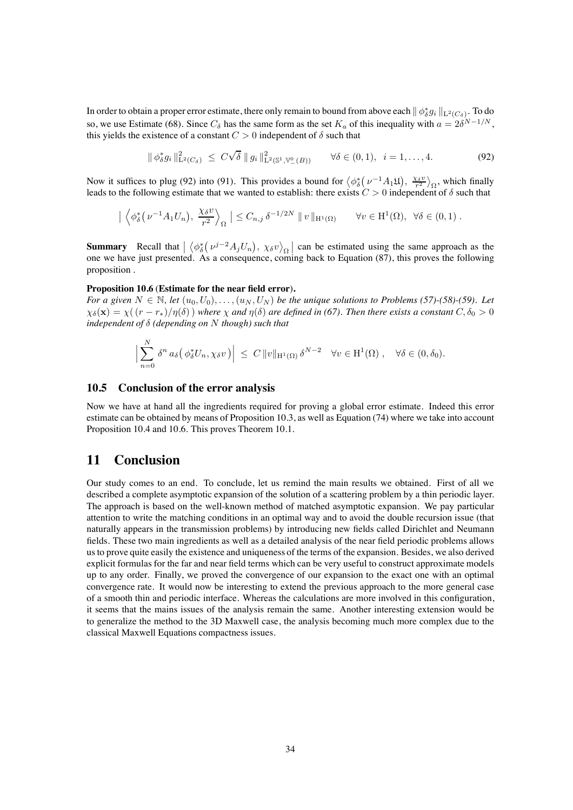In order to obtain a proper error estimate, there only remain to bound from above each  $\| \phi^*_\delta g_i \|_{\mathrm{L}^2(C_\delta)}$ . To do so, we use Estimate [\(68\)](#page-26-3). Since  $C_\delta$  has the same form as the set  $K_a$  of this inequality with  $a = 2\delta^{N-1/N}$ , this yields the existence of a constant  $C > 0$  independent of  $\delta$  such that

<span id="page-33-0"></span>
$$
\|\phi_{\delta}^* g_i\|_{\mathcal{L}^2(C_{\delta})}^2 \le C\sqrt{\delta} \|g_i\|_{\mathcal{L}^2(\mathbb{S}^1, \mathbb{V}^0_-(B))}^2 \qquad \forall \delta \in (0, 1), \ \ i = 1, ..., 4. \tag{92}
$$

Now it suffices to plug [\(92\)](#page-33-0) into [\(91\)](#page-32-2). This provides a bound for  $\langle \phi_{\delta}^* (\nu^{-1} A_1 \mathfrak{U}), \frac{\chi_{\delta} v}{r^2} \rangle_{\Omega}$ , which finally leads to the following estimate that we wanted to establish: there exists  $C > 0$  independent of  $\delta$  such that

$$
\left| \left\langle \phi_{\delta}^{*}(\nu^{-1}A_{1}U_{n}), \frac{\chi_{\delta} v}{r^{2}} \right\rangle_{\Omega} \right| \leq C_{n,j} \, \delta^{-1/2N} \, \|\, v\,\|_{\mathcal{H}^{1}(\Omega)} \qquad \forall v \in \mathcal{H}^{1}(\Omega), \ \forall \delta \in (0,1) .
$$

**Summary** Recall that  $\left| \left\langle \phi_{\delta}^{*}(\nu^{j-2}A_jU_n), \chi_{\delta} v \right\rangle_{\Omega} \right|$  can be estimated using the same approach as the one we have just presented. As a consequence, coming back to Equation [\(87\)](#page-31-2), this proves the following proposition .

#### <span id="page-33-1"></span>**Proposition 10.6** (**Estimate for the near field error**)**.**

*For a given*  $N \in \mathbb{N}$ , let  $(u_0, U_0), \ldots, (u_N, U_N)$  be the unique solutions to Problems [\(57\)](#page-19-2)<sup>-</sup>[\(58\)](#page-19-3)<sup>-</sup>[\(59\)](#page-20-0)*.* Let  $\chi_{\delta}(\mathbf{x}) = \chi((r - r_*)/\eta(\delta))$  where  $\chi$  and  $\eta(\delta)$  are defined in [\(67\)](#page-25-0). Then there exists a constant  $C, \delta_0 > 0$ *independent of* δ *(depending on* N *though) such that*

$$
\Big|\sum_{n=0}^N \delta^n a_\delta\big(\phi_\delta^* U_n, \chi_\delta v\big)\Big| \leq C \|v\|_{\mathcal{H}^1(\Omega)} \delta^{N-2} \quad \forall v \in \mathcal{H}^1(\Omega) , \quad \forall \delta \in (0, \delta_0).
$$

#### **10.5 Conclusion of the error analysis**

Now we have at hand all the ingredients required for proving a global error estimate. Indeed this error estimate can be obtained by means of Proposition [10.3,](#page-27-0) as well as Equation [\(74\)](#page-28-1) where we take into account Proposition [10.4](#page-30-4) and [10.6.](#page-33-1) This proves Theorem [10.1.](#page-26-0)

# **11 Conclusion**

Our study comes to an end. To conclude, let us remind the main results we obtained. First of all we described a complete asymptotic expansion of the solution of a scattering problem by a thin periodic layer. The approach is based on the well-known method of matched asymptotic expansion. We pay particular attention to write the matching conditions in an optimal way and to avoid the double recursion issue (that naturally appears in the transmission problems) by introducing new fields called Dirichlet and Neumann fields. These two main ingredients as well as a detailed analysis of the near field periodic problems allows us to prove quite easily the existence and uniqueness of the terms of the expansion. Besides, we also derived explicit formulas for the far and near field terms which can be very useful to construct approximate models up to any order. Finally, we proved the convergence of our expansion to the exact one with an optimal convergence rate. It would now be interesting to extend the previous approach to the more general case of a smooth thin and periodic interface. Whereas the calculations are more involved in this configuration, it seems that the mains issues of the analysis remain the same. Another interesting extension would be to generalize the method to the 3D Maxwell case, the analysis becoming much more complex due to the classical Maxwell Equations compactness issues.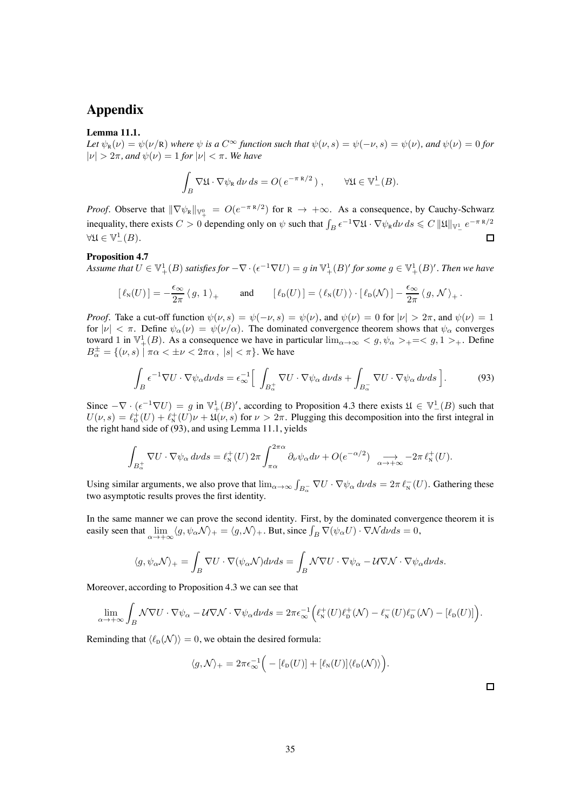# **Appendix**

#### <span id="page-34-0"></span>**Lemma 11.1.**

*Let*  $\psi_R(\nu) = \psi(\nu/R)$  *where*  $\psi$  *is a*  $C^{\infty}$  *function such that*  $\psi(\nu, s) = \psi(-\nu, s) = \psi(\nu)$ *, and*  $\psi(\nu) = 0$  *for*  $|\nu| > 2\pi$ , and  $\psi(\nu) = 1$  *for*  $|\nu| < \pi$ . We have

$$
\int_B \nabla \mathfrak{U} \cdot \nabla \psi_{\mathbf{R}} d\nu ds = O(e^{-\pi \mathbf{R}/2}), \qquad \forall \mathfrak{U} \in \mathbb{V}^1_-(B).
$$

*Proof.* Observe that  $\|\nabla \psi_{R}\|_{\mathbb{V}_{+}^{0}} = O(e^{-\pi R/2})$  for  $R \to +\infty$ . As a consequence, by Cauchy-Schwarz inequality, there exists  $C > 0$  depending only on  $\psi$  such that  $\int_B e^{-1} \nabla \mathfrak{U} \cdot \nabla \psi_R d\nu ds \leq C ||\mathfrak{U}||_{\mathbb{V}_-^1} e^{-\pi R/2}$  $\forall \mathfrak{U} \in \mathbb{V}^1_-(B).$  $\Box$ 

#### **Proposition [4.7](#page-15-0)**

Assume that  $U \in \mathbb{V}_+^1(B)$  satisfies for  $-\nabla \cdot (\epsilon^{-1} \nabla U) = g$  in  $\mathbb{V}_+^1(B)'$  for some  $g \in \mathbb{V}_+^1(B)'$ . Then we have

$$
[\ell_{\mathsf{N}}(U)]=-\frac{\epsilon_{\infty}}{2\pi}\langle g,\,1\,\rangle_{+}\qquad\text{and}\qquad [\ell_{\mathsf{D}}(U)]=\langle\,\ell_{\mathsf{N}}(U)\,\rangle\cdot[\,\ell_{\mathsf{D}}(\mathcal{N})\,]-\frac{\epsilon_{\infty}}{2\pi}\,\langle\,g,\,\mathcal{N}\,\rangle_{+}\,.
$$

*Proof.* Take a cut-off function  $\psi(\nu, s) = \psi(-\nu, s) = \psi(\nu)$ , and  $\psi(\nu) = 0$  for  $|\nu| > 2\pi$ , and  $\psi(\nu) = 1$ for  $|\nu| < \pi$ . Define  $\psi_{\alpha}(\nu) = \psi(\nu/\alpha)$ . The dominated convergence theorem shows that  $\psi_{\alpha}$  converges toward 1 in  $\mathbb{V}_+^1(B)$ . As a consequence we have in particular  $\lim_{\alpha\to\infty} g$ ,  $\psi_\alpha$  > + = < g, 1 > +. Define  $B_{\alpha}^{\pm} = \{(\nu, s) \mid \pi\alpha < \pm \nu < 2\pi\alpha, \ |s| < \pi\}.$  We have

<span id="page-34-1"></span>
$$
\int_{B} \epsilon^{-1} \nabla U \cdot \nabla \psi_{\alpha} d\nu ds = \epsilon_{\infty}^{-1} \left[ \int_{B_{\alpha}^{+}} \nabla U \cdot \nabla \psi_{\alpha} d\nu ds + \int_{B_{\alpha}^{-}} \nabla U \cdot \nabla \psi_{\alpha} d\nu ds \right].
$$
\n(93)

Since  $-\nabla \cdot (\epsilon^{-1} \nabla U) = g$  in  $\mathbb{V}^1_+(B)'$ , according to Proposition [4.3](#page-11-2) there exists  $\mathfrak{U} \in \mathbb{V}^1_-(B)$  such that  $U(\nu, s) = \ell_{\rm D}^+(U) + \ell_{\rm N}^+(U)\nu + \mathfrak{U}(\nu, s)$  for  $\nu > 2\pi$ . Plugging this decomposition into the first integral in the right hand side of [\(93\)](#page-34-1), and using Lemma [11.1,](#page-34-0) yields

$$
\int_{B_{\alpha}^+} \nabla U \cdot \nabla \psi_{\alpha} d\nu ds = \ell_N^+(U) 2\pi \int_{\pi\alpha}^{2\pi\alpha} \partial_{\nu} \psi_{\alpha} d\nu + O(e^{-\alpha/2}) \quad \longrightarrow_{\alpha \to +\infty} -2\pi \ell_N^+(U).
$$

Using similar arguments, we also prove that  $\lim_{\alpha\to\infty} \int_{B_\alpha^-} \nabla U \cdot \nabla \psi_\alpha d\nu ds = 2\pi \ell_N^-(U)$ . Gathering these two asymptotic results proves the first identity.

In the same manner we can prove the second identity. First, by the dominated convergence theorem it is easily seen that  $\lim_{\alpha \to +\infty} \langle g, \psi_{\alpha} \mathcal{N} \rangle_{+} = \langle g, \mathcal{N} \rangle_{+}$ . But, since  $\int_{B} \nabla(\psi_{\alpha} U) \cdot \nabla \mathcal{N} d\nu ds = 0$ ,

$$
\langle g, \psi_{\alpha} \mathcal{N} \rangle_{+} = \int_{B} \nabla U \cdot \nabla (\psi_{\alpha} \mathcal{N}) d\nu ds = \int_{B} \mathcal{N} \nabla U \cdot \nabla \psi_{\alpha} - \mathcal{U} \nabla \mathcal{N} \cdot \nabla \psi_{\alpha} d\nu ds.
$$

Moreover, according to Proposition [4.3](#page-11-2) we can see that

$$
\lim_{\alpha \to +\infty}\int_{B}\mathcal{N} \nabla U \cdot \nabla \psi_{\alpha}-\mathcal{U} \nabla \mathcal{N} \cdot \nabla \psi_{\alpha} d\nu ds=2\pi \epsilon_{\infty}^{-1}\Big(\ell_{\mathrm{N}}^{+}(U)\ell_{\mathrm{D}}^{+}(\mathcal{N})-\ell_{\mathrm{N}}^{-}(U)\ell_{\mathrm{D}}^{-}(\mathcal{N})-\left[\ell_{\mathrm{D}}(U)\right]\Big).
$$

Reminding that  $\langle \ell_{\rm D}(\mathcal{N}) \rangle = 0$ , we obtain the desired formula:

$$
\langle g, \mathcal{N} \rangle_+ = 2\pi \epsilon_{\infty}^{-1} \Big( - [\ell_{\mathcal{D}}(U)] + [\ell_{\mathcal{N}}(U)] \langle \ell_{\mathcal{D}}(\mathcal{N}) \rangle \Big).
$$

 $\Box$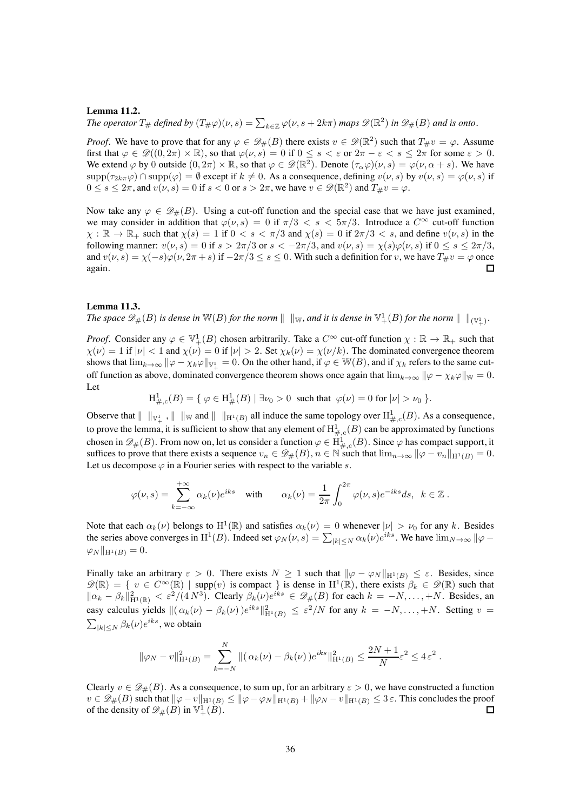#### <span id="page-35-0"></span>**Lemma 11.2.**

The operator  $T_\#$  defined by  $(T_\# \varphi)(\nu, s) = \sum_{k \in \mathbb{Z}} \varphi(\nu, s + 2k\pi)$  maps  $\mathscr{D}(\mathbb{R}^2)$  in  $\mathscr{D}_\#(B)$  and is onto.

*Proof.* We have to prove that for any  $\varphi \in \mathscr{D}_{\#}(B)$  there exists  $v \in \mathscr{D}(\mathbb{R}^2)$  such that  $T_{\#}v = \varphi$ . Assume first that  $\varphi \in \mathscr{D}((0, 2\pi) \times \mathbb{R})$ , so that  $\varphi(\nu, s) = 0$  if  $0 \le s < \varepsilon$  or  $2\pi - \varepsilon < s \le 2\pi$  for some  $\varepsilon > 0$ . We extend  $\varphi$  by 0 outside  $(0, 2\pi) \times \mathbb{R}$ , so that  $\varphi \in \mathscr{D}(\mathbb{R}^2)$ . Denote  $(\tau_\alpha \varphi)(\nu, s) = \varphi(\nu, \alpha + s)$ . We have  $\text{supp}(\tau_{2k\pi}\varphi) \cap \text{supp}(\varphi) = \emptyset$  except if  $k \neq 0$ . As a consequence, defining  $v(\nu, s)$  by  $v(\nu, s) = \varphi(\nu, s)$  if  $0 \le s \le 2\pi$ , and  $v(\nu, s) = 0$  if  $s < 0$  or  $s > 2\pi$ , we have  $v \in \mathscr{D}(\mathbb{R}^2)$  and  $T_{\#}v = \varphi$ .

Now take any  $\varphi \in \mathcal{D}_{\#}(B)$ . Using a cut-off function and the special case that we have just examined, we may consider in addition that  $\varphi(\nu, s)=0$  if  $\pi/3 < s < 5\pi/3$ . Introduce a  $C^{\infty}$  cut-off function  $\chi : \mathbb{R} \to \mathbb{R}_+$  such that  $\chi(s)=1$  if  $0 < s < \pi/3$  and  $\chi(s)=0$  if  $2\pi/3 < s$ , and define  $v(\nu, s)$  in the following manner:  $v(\nu, s) = 0$  if  $s > 2\pi/3$  or  $s < -2\pi/3$ , and  $v(\nu, s) = \chi(s)\varphi(\nu, s)$  if  $0 \le s \le 2\pi/3$ , and  $v(\nu, s) = \chi(-s)\varphi(\nu, 2\pi + s)$  if  $-2\pi/3 \le s \le 0$ . With such a definition for  $v$ , we have  $T_{\#}v = \varphi$  once again. again.

#### <span id="page-35-1"></span>**Lemma 11.3.**

The space  $\mathscr{D}_\#(B)$  is dense in  $\mathbb{W}(B)$  for the norm  $\|\ \|_{\mathbb{W}}$ , and it is dense in  $\mathbb{V}^1_+(B)$  for the norm  $\|\ \|_{(\mathbb{V}^1_+)}$ .

*Proof.* Consider any  $\varphi \in \mathbb{V}^1_+(B)$  chosen arbitrarily. Take a  $C^{\infty}$  cut-off function  $\chi : \mathbb{R} \to \mathbb{R}_+$  such that  $\chi(\nu) = 1$  if  $|\nu| < 1$  and  $\chi(\nu) = 0$  if  $|\nu| > 2$ . Set  $\chi_k(\nu) = \chi(\nu/k)$ . The dominated convergence theorem shows that  $\lim_{k\to\infty} ||\varphi-\chi_k\varphi||_{\mathbb{V}_+^1}=0.$  On the other hand, if  $\varphi\in\mathbb{W}(B)$ , and if  $\chi_k$  refers to the same cutoff function as above, dominated convergence theorem shows once again that  $\lim_{k\to\infty} ||\varphi - \chi_k\varphi||_W = 0$ . Let

 $H^1_{\#,c}(B) = \{ \varphi \in H^1_{\#}(B) \mid \exists \nu_0 > 0 \text{ such that } \varphi(\nu) = 0 \text{ for } |\nu| > \nu_0 \}$ .

Observe that  $||\n||_{V^1_+}$ ,  $||\n||_{W}$  and  $||\n||_{H^1(B)}$  all induce the same topology over  $H^1_{\#,c}(B)$ . As a consequence, to prove the lemma, it is sufficient to show that any element of  $H^1_{\#,c}(B)$  can be approximated by functions chosen in  $\mathscr{D}_\#(B)$ . From now on, let us consider a function  $\varphi \in \mathrm{H}^1_{\#,c}(B)$ . Since  $\varphi$  has compact support, it suffices to prove that there exists a sequence  $v_n \in \mathscr{D}_\#(B)$ ,  $n \in \mathbb{N}$  such that  $\lim_{n\to\infty} ||\varphi - v_n||_{H^1(B)} = 0$ . Let us decompose  $\varphi$  in a Fourier series with respect to the variable s.

$$
\varphi(\nu,s)=\sum_{k=-\infty}^{+\infty}\alpha_k(\nu)e^{iks}\quad\text{with}\qquad\alpha_k(\nu)=\frac{1}{2\pi}\int_0^{2\pi}\varphi(\nu,s)e^{-iks}ds,\;\;k\in\mathbb{Z}\;.
$$

Note that each  $\alpha_k(\nu)$  belongs to  $H^1(\mathbb{R})$  and satisfies  $\alpha_k(\nu)=0$  whenever  $|\nu| > \nu_0$  for any k. Besides the series above converges in H<sup>1</sup>(B). Indeed set  $\varphi_N(\nu, s) = \sum_{|k| \le N} \alpha_k(\nu) e^{iks}$ . We have  $\lim_{N \to \infty} ||\varphi - \varphi||$  $\varphi_N \|_{\mathrm{H}^1(B)} = 0.$ 

Finally take an arbitrary  $\varepsilon > 0$ . There exists  $N \ge 1$  such that  $\|\varphi - \varphi_N\|_{H^1(B)} \le \varepsilon$ . Besides, since  $\mathscr{D}(\mathbb{R}) = \{ v \in C^{\infty}(\mathbb{R}) \mid \text{supp}(v) \text{ is compact } \}$  is dense in  $\mathrm{H}^1(\mathbb{R})$ , there exists  $\beta_k \in \mathscr{D}(\mathbb{R})$  such that  $\|\alpha_k - \beta_k\|_{H^1(\mathbb{R})}^2 < \varepsilon^2/(4N^3)$ . Clearly  $\beta_k(\nu)e^{iks} \in \mathscr{D}_\#(B)$  for each  $k = -N, \ldots, +N$ . Besides, an easy calculus yields  $\| (\alpha_k(\nu) - \beta_k(\nu))e^{iks} \|_{H^1(B)}^2 \leq \varepsilon^2/N$  for any  $k = -N, \ldots, +N$ . Setting  $\nu = \sum_{|\nu| \leq N} \beta_k(\nu)e^{iks}$ , we obtain  $\sum_{|k| \le N} \beta_k(\nu) e^{iks}$ , we obtain

$$
\|\varphi_N - v\|_{\mathrm{H}^1(B)}^2 = \sum_{k=-N}^N \| (\alpha_k(\nu) - \beta_k(\nu)) e^{iks} \|_{\mathrm{H}^1(B)}^2 \le \frac{2N+1}{N} \varepsilon^2 \le 4 \varepsilon^2.
$$

Clearly  $v \in \mathcal{D}_{\#}(B)$ . As a consequence, to sum up, for an arbitrary  $\varepsilon > 0$ , we have constructed a function  $v \in \mathcal{D}_{\#}(B)$  such that  $\|\varphi - v\|_{H^1(B)} \le \|\varphi - \varphi_N\|_{H^1(B)} + \|\varphi_N - v\|_{H^1(B)} \le 3 \varepsilon$ . This concludes the proof of the density of  $\mathcal{D}_{\#}(B)$  in  $\mathbb{V}_+^1(B)$ . of the density of  $\mathscr{D}_{\#}(B)$  in  $\mathbb{V}^1_+(B)$ .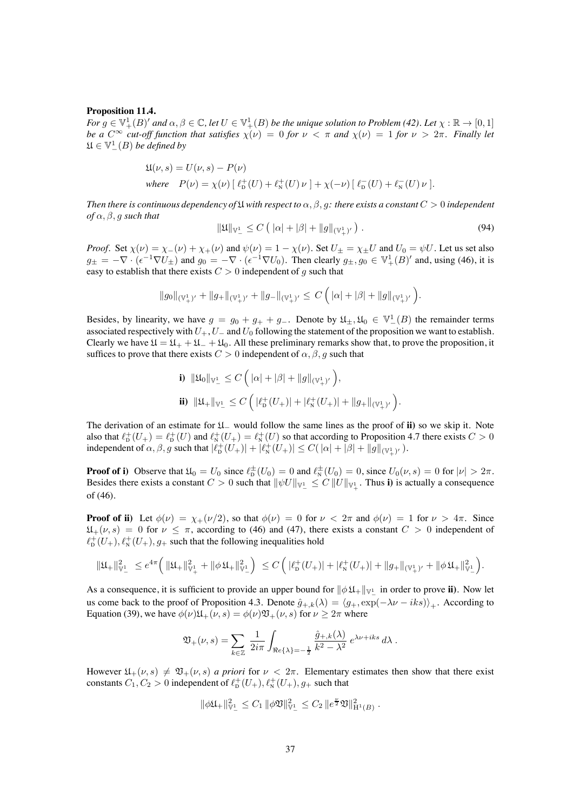#### **Proposition 11.4.**

 $For\ g\in \mathbb{V}^1_+(B)'$  and  $\alpha,\beta\in \mathbb{C}$ , let  $U\in \mathbb{V}^1_+(B)$  be the unique solution to Problem [\(42\)](#page-13-2). Let  $\chi:\mathbb{R}\to [0,1]$ *be a*  $C^{\infty}$  *cut-off function that satisfies*  $\chi(\nu)=0$  *for*  $\nu < \pi$  *and*  $\chi(\nu)=1$  *for*  $\nu > 2\pi$ *. Finally let*  $\mathfrak{U} \in \mathbb{V}^1_-(B)$  *be defined by* 

$$
\mathfrak{U}(\nu,s) = U(\nu,s) - P(\nu)
$$
  
where 
$$
P(\nu) = \chi(\nu) \left[ \ell_{\mathcal{D}}^+(U) + \ell_{\mathcal{N}}^+(U) \nu \right] + \chi(-\nu) \left[ \ell_{\mathcal{D}}^-(U) + \ell_{\mathcal{N}}^-(U) \nu \right].
$$

*Then there is continuous dependency of*  $\mathfrak U$  *with respect to*  $\alpha, \beta, q$ *: there exists a constant*  $C > 0$  *independent*  $of \alpha, \beta, q$  *such that* 

$$
\|\mathfrak{U}\|_{\mathbb{V}_{-}^{1}} \leq C \left( |\alpha| + |\beta| + \|g\|_{(\mathbb{V}_{+}^{1})'} \right). \tag{94}
$$

*Proof.* Set  $\chi(\nu) = \chi_-(\nu) + \chi_+(\nu)$  and  $\psi(\nu) = 1 - \chi(\nu)$ . Set  $U_{\pm} = \chi_{\pm}U$  and  $U_0 = \psi U$ . Let us set also  $g_{\pm} = -\nabla \cdot (\epsilon^{-1} \nabla U_{\pm})$  and  $g_0 = -\nabla \cdot (\epsilon^{-1} \nabla U_0)$ . Then clearly  $g_{\pm}, g_0 \in \mathbb{V}^1_+(B)'$  and, using [\(46\)](#page-15-2), it is easy to establish that there exists  $C > 0$  independent of g such that

$$
\|g_0\|_{(\mathbb{V}_+^1)'} + \|g_+\|_{(\mathbb{V}_+^1)'} + \|g_-\|_{(\mathbb{V}_+^1)'} \leq C\,\Big(\,|\alpha|+|\beta|+\|g\|_{(\mathbb{V}_+^1)'}\,\Big).
$$

Besides, by linearity, we have  $g = g_0 + g_+ + g_-$ . Denote by  $\mathfrak{U}_\pm, \mathfrak{U}_0 \in \mathbb{V}_-^1(B)$  the remainder terms associated respectively with  $U_+, U_-$  and  $U_0$  following the statement of the proposition we want to establish. Clearly we have  $\mathfrak{U} = \mathfrak{U}_+ + \mathfrak{U}_- + \mathfrak{U}_0$ . All these preliminary remarks show that, to prove the proposition, it suffices to prove that there exists  $C > 0$  independent of  $\alpha, \beta, q$  such that

i) 
$$
\|\mathfrak{U}_0\|_{\mathbb{V}_-^1} \leq C \left( |\alpha| + |\beta| + \|g\|_{(\mathbb{V}_+^1)'} \right),
$$
  
ii)  $\|\mathfrak{U}_+\|_{\mathbb{V}_-^1} \leq C \left( |\ell_{\mathbf{D}}^+(U_+) | + |\ell_{\mathbf{N}}^+(U_+) | + \|g_+\|_{(\mathbb{V}_+^1)'} \right).$ 

The derivation of an estimate for U<sup>−</sup> would follow the same lines as the proof of **ii)** so we skip it. Note also that  $\ell_p^+(U_+) = \ell_p^+(U)$  and  $\ell_N^+(U_+) = \ell_N^+(U)$  so that according to Proposition [4.7](#page-15-0) there exists  $C > 0$ independent of  $\alpha$ ,  $\beta$ , g such that  $|\ell_{\rm D}^+(U_+)| + |\ell_{\rm N}^+(U_+)| \leq C(|\alpha| + |\beta| + ||g||_{(\mathbb{V}_+^1)'}).$ 

**Proof of i)** Observe that  $\mathfrak{U}_0 = U_0$  since  $\ell_{\mathcal{D}}^{\pm}(U_0) = 0$  and  $\ell_{\mathcal{N}}^{\pm}(U_0) = 0$ , since  $U_0(\nu, s) = 0$  for  $|\nu| > 2\pi$ . Besides there exists a constant  $C > 0$  such that  $\|\psi U\|_{\mathbb{V}_-^1} \leq C \|U\|_{\mathbb{V}_+^1}$ . Thus i) is actually a consequence of [\(46\)](#page-15-2).

**Proof of ii)** Let  $\phi(\nu) = \chi_+(\nu/2)$ , so that  $\phi(\nu) = 0$  for  $\nu < 2\pi$  and  $\phi(\nu) = 1$  for  $\nu > 4\pi$ . Since  $\mathfrak{U}_{+}(\nu, s)=0$  for  $\nu \leq \pi$ , according to [\(46\)](#page-15-2) and [\(47\)](#page-15-5), there exists a constant  $C > 0$  independent of  $\ell_{\rm D}^+(U_+), \ell_{\rm N}^+(U_+), g_+$  such that the following inequalities hold

$$
\|\mathfrak{U}_+\|_{\mathbb{V}_-^1}^2 \ \leq e^{4\pi} \Big( \, \|\mathfrak{U}_+\|_{\mathbb{V}_+^1}^2 + \|\phi \, \mathfrak{U}_+\|_{\mathbb{V}_-^1}^2 \Big) \ \leq C \, \Big( \, |\ell_{\mathbf{D}}^+(U_+)| + |\ell_{\mathbf{N}}^+(U_+)| + \|g_+\|_{(\mathbb{V}_+^1)'} + \|\phi \, \mathfrak{U}_+\|_{\mathbb{V}_-^1}^2 \Big).
$$

As a consequence, it is sufficient to provide an upper bound for  $\|\phi\,\mathfrak{U}_+\|_{\mathbb{V}_-^1}$  in order to prove **ii**). Now let us come back to the proof of Proposition [4.3.](#page-11-2) Denote  $\hat{g}_{+,k}(\lambda) = \langle g_+, \exp(-\lambda \nu - iks) \rangle_+$ . According to Equation [\(39\)](#page-12-1), we have  $\phi(\nu)\mathfrak{U}_+(\nu, s) = \phi(\nu)\mathfrak{V}_+(\nu, s)$  for  $\nu \geq 2\pi$  where

$$
\mathfrak{V}_+(\nu,s) = \sum_{k\in\mathbb{Z}}\,\frac{1}{2i\pi}\int_{\Re e\{\lambda\}=-\frac{1}{2}}\frac{\widehat{g}_{+,k}(\lambda)}{k^2-\lambda^2}\;e^{\lambda\nu+iks}\,d\lambda\;.
$$

However  $\mathfrak{U}_+(\nu, s) \neq \mathfrak{V}_+(\nu, s)$  *a priori* for  $\nu < 2\pi$ . Elementary estimates then show that there exist constants  $C_1, C_2 > 0$  independent of  $\ell_{\rm D}^+(U_+), \ell_{\rm N}^+(U_+), g_+$  such that

$$
\|\phi\mathfrak{U}_+\|_{\mathbb{V}_-^1}^2 \leq C_1 \|\phi\mathfrak{V}\|_{\mathbb{V}_-^1}^2 \leq C_2 \, \|e^{\frac{\nu}{2}}\mathfrak{V}\|_{\mathcal{H}^1(B)}^2.
$$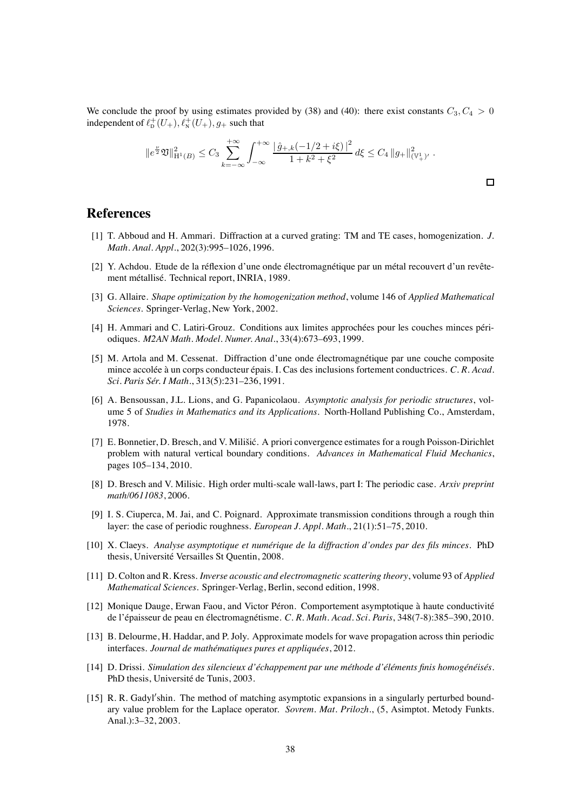We conclude the proof by using estimates provided by [\(38\)](#page-12-0) and [\(40\)](#page-13-4): there exist constants  $C_3, C_4 > 0$ independent of  $\ell_p^+(U_+), \ell_N^+(U_+), g_+$  such that

$$
||e^{\frac{\nu}{2}}\mathfrak{V}||_{\mathcal{H}^{1}(B)}^{2} \leq C_{3} \sum_{k=-\infty}^{+\infty} \int_{-\infty}^{+\infty} \frac{|\hat{g}_{+,k}(-1/2+i\xi)|^{2}}{1+k^{2}+\xi^{2}} d\xi \leq C_{4} ||g_{+}||^{2}_{(\mathbb{V}_{+}^{1})'}.
$$

### <span id="page-37-2"></span>**References**

- <span id="page-37-0"></span>[1] T. Abboud and H. Ammari. Diffraction at a curved grating: TM and TE cases, homogenization. *J. Math. Anal. Appl.*, 202(3):995–1026, 1996.
- [2] Y. Achdou. Etude de la réflexion d'une onde électromagnétique par un métal recouvert d'un revêtement métallisé. Technical report, INRIA, 1989.
- <span id="page-37-13"></span>[3] G. Allaire. *Shape optimization by the homogenization method*, volume 146 of *Applied Mathematical Sciences*. Springer-Verlag, New York, 2002.
- <span id="page-37-4"></span><span id="page-37-1"></span>[4] H. Ammari and C. Latiri-Grouz. Conditions aux limites approchées pour les couches minces périodiques. *M2AN Math. Model. Numer. Anal.*, 33(4):673–693, 1999.
- [5] M. Artola and M. Cessenat. Diffraction d'une onde électromagnétique par une couche composite mince accolée à un corps conducteur épais. I. Cas des inclusions fortement conductrices. *C. R. Acad. Sci. Paris Sér. I Math.*, 313(5):231–236, 1991.
- <span id="page-37-10"></span>[6] A. Bensoussan, J.L. Lions, and G. Papanicolaou. *Asymptotic analysis for periodic structures*, volume 5 of *Studies in Mathematics and its Applications*. North-Holland Publishing Co., Amsterdam, 1978.
- <span id="page-37-8"></span>[7] E. Bonnetier, D. Bresch, and V. Milišić. A priori convergence estimates for a rough Poisson-Dirichlet problem with natural vertical boundary conditions. *Advances in Mathematical Fluid Mechanics*, pages 105–134, 2010.
- <span id="page-37-7"></span>[8] D. Bresch and V. Milisic. High order multi-scale wall-laws, part I: The periodic case. *Arxiv preprint math/0611083*, 2006.
- <span id="page-37-6"></span>[9] I. S. Ciuperca, M. Jai, and C. Poignard. Approximate transmission conditions through a rough thin layer: the case of periodic roughness. *European J. Appl. Math.*, 21(1):51–75, 2010.
- <span id="page-37-14"></span>[10] X. Claeys. *Analyse asymptotique et numérique de la diffraction d'ondes par des fils minces*. PhD thesis, Université Versailles St Quentin, 2008.
- <span id="page-37-12"></span>[11] D. Colton and R. Kress. *Inverse acoustic and electromagnetic scattering theory*, volume 93 of *Applied Mathematical Sciences*. Springer-Verlag, Berlin, second edition, 1998.
- <span id="page-37-3"></span>[12] Monique Dauge, Erwan Faou, and Victor Péron. Comportement asymptotique à haute conductivité de l'épaisseur de peau en électromagnétisme. *C. R. Math. Acad. Sci. Paris*, 348(7-8):385–390, 2010.
- <span id="page-37-9"></span>[13] B. Delourme, H. Haddar, and P. Joly. Approximate models for wave propagation across thin periodic interfaces. *Journal de mathématiques pures et appliquées*, 2012.
- <span id="page-37-5"></span>[14] D. Drissi. *Simulation des silencieux d'échappement par une méthode d'éléments finis homogénéisés*. PhD thesis, Université de Tunis, 2003.
- <span id="page-37-11"></span>[15] R. R. Gadyl'shin. The method of matching asymptotic expansions in a singularly perturbed boundary value problem for the Laplace operator. *Sovrem. Mat. Prilozh.*, (5, Asimptot. Metody Funkts. Anal.):3–32, 2003.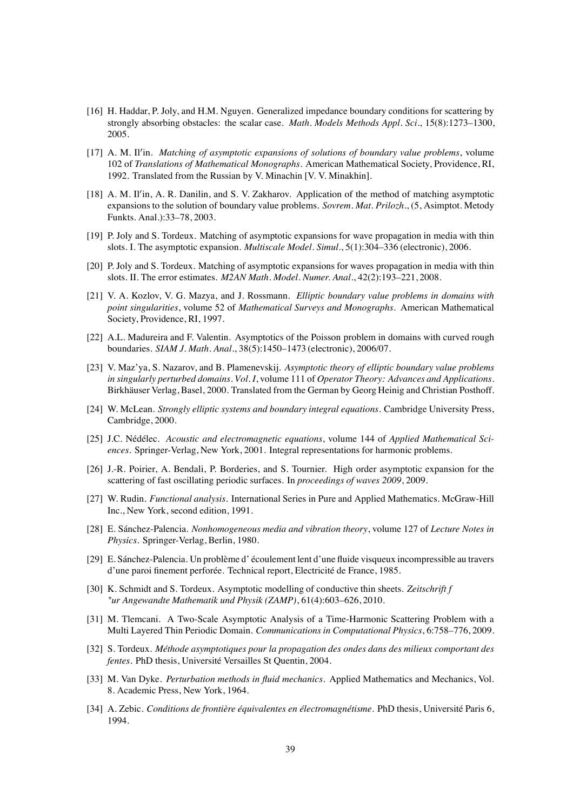- <span id="page-38-3"></span>[16] H. Haddar, P. Joly, and H.M. Nguyen. Generalized impedance boundary conditions for scattering by strongly absorbing obstacles: the scalar case. *Math. Models Methods Appl. Sci.*, 15(8):1273–1300, 2005.
- <span id="page-38-11"></span>[17] A. M. Il'in. *Matching of asymptotic expansions of solutions of boundary value problems*, volume 102 of *Translations of Mathematical Monographs*. American Mathematical Society, Providence, RI, 1992. Translated from the Russian by V. Minachin [V. V. Minakhin].
- <span id="page-38-10"></span>[18] A. M. Il'in, A. R. Danilin, and S. V. Zakharov. Application of the method of matching asymptotic expansions to the solution of boundary value problems. *Sovrem. Mat. Prilozh.*, (5, Asimptot. Metody Funkts. Anal.):33–78, 2003.
- <span id="page-38-12"></span>[19] P. Joly and S. Tordeux. Matching of asymptotic expansions for wave propagation in media with thin slots. I. The asymptotic expansion. *Multiscale Model. Simul.*, 5(1):304–336 (electronic), 2006.
- <span id="page-38-16"></span><span id="page-38-13"></span>[20] P. Joly and S. Tordeux. Matching of asymptotic expansions for waves propagation in media with thin slots. II. The error estimates. *M2AN Math. Model. Numer. Anal.*, 42(2):193–221, 2008.
- [21] V. A. Kozlov, V. G. Mazya, and J. Rossmann. *Elliptic boundary value problems in domains with point singularities*, volume 52 of *Mathematical Surveys and Monographs*. American Mathematical Society, Providence, RI, 1997.
- <span id="page-38-1"></span>[22] A.L. Madureira and F. Valentin. Asymptotics of the Poisson problem in domains with curved rough boundaries. *SIAM J. Math. Anal.*, 38(5):1450–1473 (electronic), 2006/07.
- <span id="page-38-9"></span>[23] V. Maz'ya, S. Nazarov, and B. Plamenevskij. *Asymptotic theory of elliptic boundary value problems in singularly perturbed domains. Vol. I*, volume 111 of *Operator Theory: Advances and Applications*. Birkhäuser Verlag, Basel, 2000. Translated from the German by Georg Heinig and Christian Posthoff.
- <span id="page-38-14"></span>[24] W. McLean. *Strongly elliptic systems and boundary integral equations*. Cambridge University Press, Cambridge, 2000.
- <span id="page-38-15"></span>[25] J.C. Nédélec. *Acoustic and electromagnetic equations*, volume 144 of *Applied Mathematical Sciences*. Springer-Verlag, New York, 2001. Integral representations for harmonic problems.
- <span id="page-38-2"></span>[26] J.-R. Poirier, A. Bendali, P. Borderies, and S. Tournier. High order asymptotic expansion for the scattering of fast oscillating periodic surfaces. In *proceedings of waves 2009*, 2009.
- <span id="page-38-17"></span>[27] W. Rudin. *Functional analysis*. International Series in Pure and Applied Mathematics. McGraw-Hill Inc., New York, second edition, 1991.
- <span id="page-38-7"></span>[28] E. Sánchez-Palencia. *Nonhomogeneous media and vibration theory*, volume 127 of *Lecture Notes in Physics*. Springer-Verlag, Berlin, 1980.
- <span id="page-38-6"></span>[29] E. Sánchez-Palencia. Un problème d' écoulement lent d'une fluide visqueux incompressible au travers d'une paroi finement perforée. Technical report, Electricité de France, 1985.
- <span id="page-38-5"></span>[30] K. Schmidt and S. Tordeux. Asymptotic modelling of conductive thin sheets. *Zeitschrift f "ur Angewandte Mathematik und Physik (ZAMP)*, 61(4):603–626, 2010.
- <span id="page-38-4"></span>[31] M. Tlemcani. A Two-Scale Asymptotic Analysis of a Time-Harmonic Scattering Problem with a Multi Layered Thin Periodic Domain. *Communications in Computational Physics*, 6:758–776, 2009.
- <span id="page-38-18"></span>[32] S. Tordeux. *Méthode asymptotiques pour la propagation des ondes dans des milieux comportant des fentes*. PhD thesis, Université Versailles St Quentin, 2004.
- <span id="page-38-8"></span>[33] M. Van Dyke. *Perturbation methods in fluid mechanics*. Applied Mathematics and Mechanics, Vol. 8. Academic Press, New York, 1964.
- <span id="page-38-0"></span>[34] A. Zebic. *Conditions de frontière équivalentes en électromagnétisme*. PhD thesis, Université Paris 6, 1994.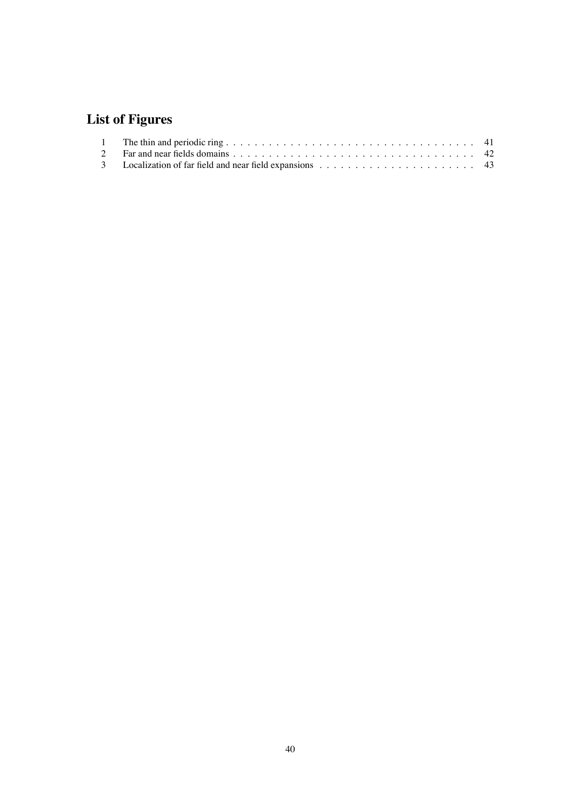# **List of Figures**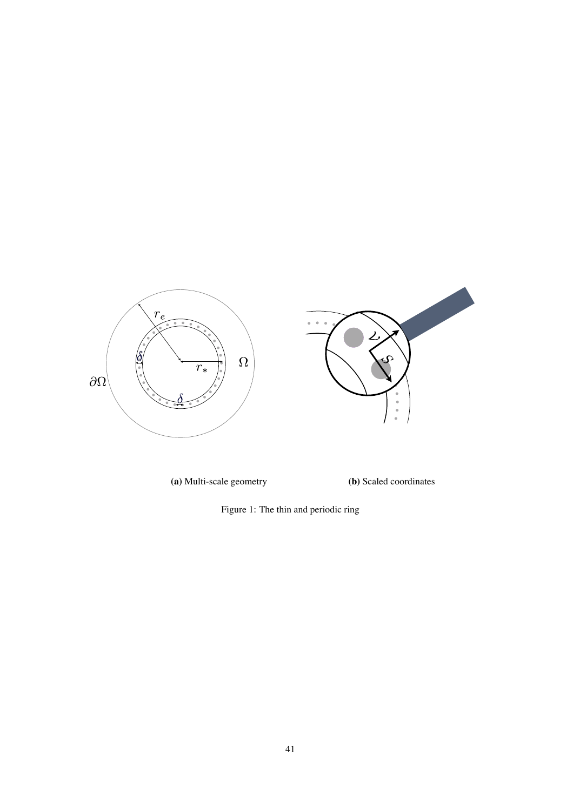

**(a)** Multi-scale geometry **(b)** Scaled coordinates

<span id="page-40-0"></span>Figure 1: The thin and periodic ring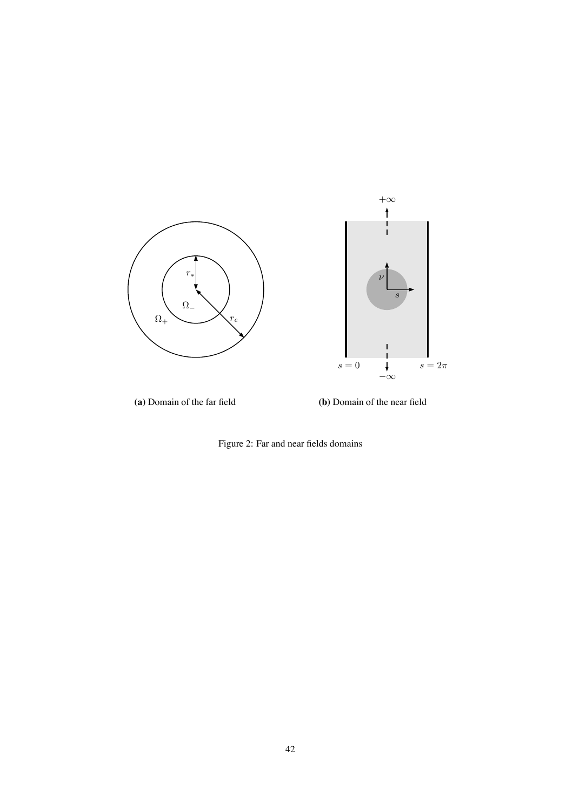

<span id="page-41-0"></span>Figure 2: Far and near fields domains